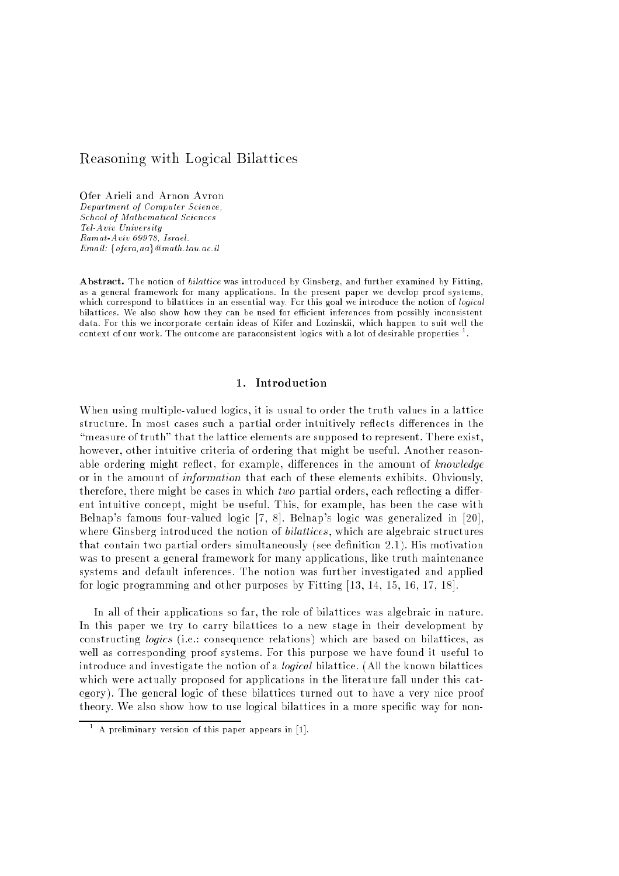# $\mathcal{L}$  . The Logical Bilattices and Logical Bilattices and Logical Bilattices and Logical Bilattices and Logical Bilattices and Logical Bilattices and Logical Bilattices and Logical Bilattices and Logical Bilattices and

Ofer Arieli and Arnon Avron Department of Computer Science, School of Mathematical Sciences Tel-Aviv University Ramat-Aviv 69978, Israel.  $Email: \{ \text{ofera}, \text{aa} \} \textcircled{a} \text{math}.$ tau.ac.il

Abstract. The notion of *bilattice* was introduced by Ginsberg, and further examined by Fitting, as a general framework for many applications. In the present paper we develop proof systems, which correspond to bilattices in an essential way. For this goal we introduce the notion of logical bilattices. We also show how they can be used for efficient inferences from possibly inconsistent data. For this we incorporate certain ideas of Kifer and Lozinskii, which happen to suit well the context of our work. The outcome are paraconsistent logics with a lot of desirable properties ".

## 1. Introduction

When using multiple-valued logics, it is usual to order the truth values in a lattice structure. In most cases such a partial order intuitively reflects differences in the "measure of truth" that the lattice elements are supposed to represent. There exist, however, other intuitive criteria of ordering that might be useful. Another reasonable ordering might reflect, for example, differences in the amount of knowledge or in the amount of information that each of these elements exhibits. Obviously, therefore, there might be cases in which *two* partial orders, each reflecting a different intuitive concept, might be useful. This, for example, has been the case with Belnap's famous four-valued logic [7, 8]. Belnap's logic was generalized in [20], where Ginsberg introduced the notion of *bilattices*, which are algebraic structures that contain two partial orders simultaneously (see denition 2.1). His motivation was to present a general framework for many applications, like truth maintenance systems and default inferences. The notion was further investigated and applied for logic programming and other purposes by Fitting [13, 14, 15, 16, 17, 18].

In all of their applications so far, the role of bilattices was algebraic in nature. In this paper we try to carry bilattices to a new stage in their development by constructing logics (i.e.: consequence relations) which are based on bilattices, as well as corresponding proof systems. For this purpose we have found it useful to introduce and investigate the notion of a logical bilattice. (All the known bilattices which were actually proposed for applications in the literature fall under this category). The general logic of these bilattices turned out to have a very nice proof theory. We also show how to use logical bilattices in a more specific way for non-

 $^-$  A preliminary version of this paper appears in  $\rm |I|.$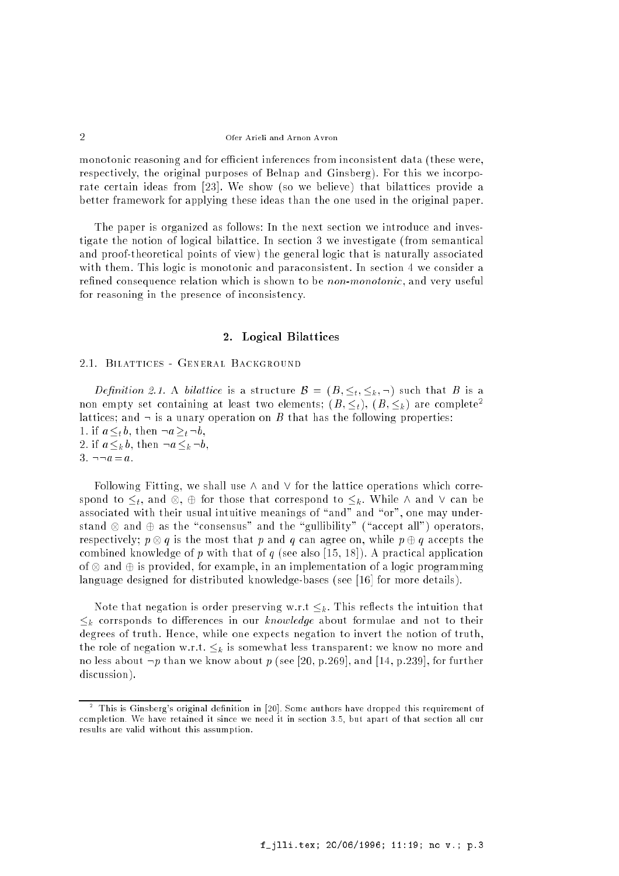monotonic reasoning and for efficient inferences from inconsistent data (these were, respectively, the original purposes of Belnap and Ginsberg). For this we incorporate certain ideas from [23]. We show (so we believe) that bilattices provide a better framework for applying these ideas than the one used in the original paper.

The paper is organized as follows: In the next section we introduce and investigate the notion of logical bilattice. In section 3 we investigate (from semantical and proof-theoretical points of view) the general logic that is naturally associated with them. This logic is monotonic and paraconsistent. In section 4 we consider a refined consequence relation which is shown to be *non-monotonic*, and very useful for reasoning in the presence of inconsistency.

## 2. Logical Bilattices

#### 2.1. Bilattices - General Background

Definition 2.1. A bilattice is a structure  $\mathcal{B} = (B, \leq_t, \leq_k, \neg)$  such that B is a non empty set containing at least two elements;  $(B, \leq_t), (B, \leq_k)$  are complete<sup>2</sup> lattices; and  $\neg$  is a unary operation on B that has the following properties: 1. if  $a \lt_b b$ , then  $\neg a \gt_b \neg b$ , 2. if  $a \leq_k b$ , then  $\neg a \leq_k \neg b$ . 3.  $\neg \neg a = a$ .

Following Fitting, we shall use  $\wedge$  and  $\vee$  for the lattice operations which corresponds to  $\mu$  , and  $\sigma$  that correspond to the correspond to  $\mu$  . Where the canonic correspond to  $\sigma$ associated with their usual intuitive meanings of "and" and "or", one may understand and the the theory and the theory and the theory of the theory of the  $\alpha$ respectively; p () g is the most that p and g can agree only while p  $\eta$  g accepts the combined knowledge of p with that of q (see also [15, 18]). A practical application of and is provided, for example, in an implementation of a logic programming language designed for distributed knowledge-bases (see [16] for more details).

Note that negation is order preserving w.r.t  $\leq_k$ . This reflects the intuition that  $\leq_k$  corrsponds to differences in our knowledge about formulae and not to their degrees of truth. Hence, while one expects negation to invert the notion of truth, the role of negation w.r.t.  $\leq_k$  is somewhat less transparent: we know no more and no less about  $\neg p$  than we know about p (see [20, p.269], and [14, p.239], for further discussion).

This is Ginsberg's original definition in [20]. Some authors have dropped this requirement of completion. We have retained it since we need it in section 3.5, but apart of that section all our results are valid without this assumption.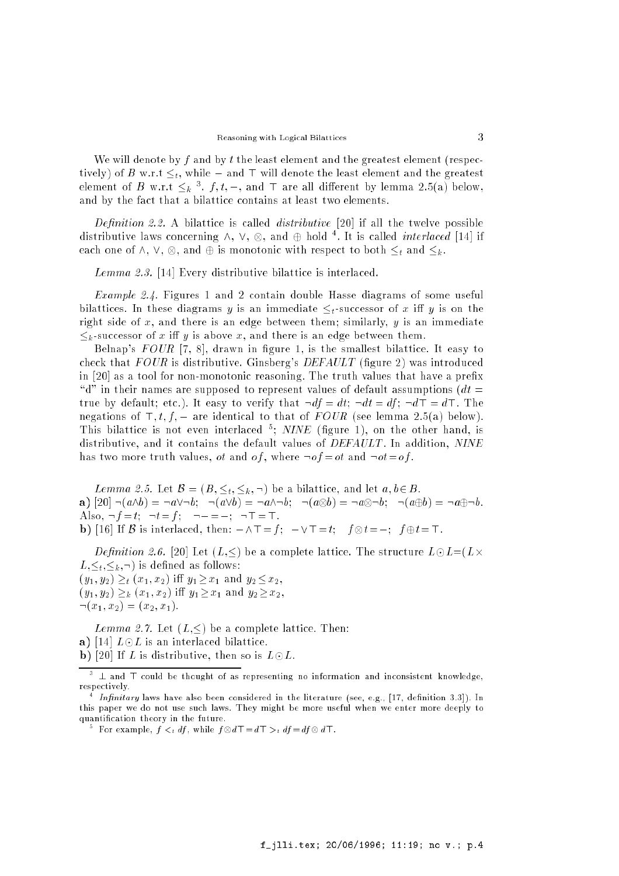We will denote by f and by t the least element and the greatest element (respectively) of B w.r.t  $\leq_t$ , while  $\perp$  and  $\top$  will denote the least element and the greatest element of B w.r.t  $\leq_k$  ,  $j$  ,  $i$ ,  $\perp$  , and if are all different by lemma 2.5(a) below, and by the fact that a bilattice contains at least two elements.

Definition 2.2. A bilattice is called *distributive* [20] if all the twelve possible distributive laws concerning  $\wedge$ ,  $\vee$ ,  $\otimes$ , and  $\oplus$  noid  $\ulcorner$ . It is called *interlaced* [14] if each one of  $\mathbb{R}^n$  , and is monotonic with respect to both the spectrum of  $\mathbb{R}^n$  . In the and k . The spectrum of  $\mathbb{R}^n$  is monotonic with respect to both the spectrum of  $\mathbb{R}^n$  . In the spectrum of  $\mathbb{$ 

Lemma 2.3. [14] Every distributive bilattice is interlaced.

Example 2.4. Figures 1 and 2 contain double Hasse diagrams of some useful bilattices. In these diagrams y is an immediate  $\leq_t$ -successor of x iff y is on the right side of  $x$ , and there is an edge between them; similarly,  $y$  is an immediate  $\leq_k$ -successor of x iff y is above x, and there is an edge between them.

Belnap's  $FOUR$  [7, 8], drawn in figure 1, is the smallest bilattice. It easy to check that  $FOUR$  is distributive. Ginsberg's  $DEFAULT$  (figure 2) was introduced in  $[20]$  as a tool for non-monotonic reasoning. The truth values that have a prefix " d" in their names are supposed to represent values of default assumptions ( $dt =$ true by default; etc.). It easy to verify that  $\neg df = dt$ ;  $\neg dt = df$ ;  $\neg d\top = d\top$ . The negations of  $\top$ ,  $t, f, \bot$  are identical to that of  $FOUR$  (see lemma 2.5(a) below). This bilattice is not even interlaced *s*; *NINE* (ligure 1), on the other hand, is distributive, and it contains the default values of DEFAULT. In addition, NINE has two more truth values, *ot* and *of*, where  $\neg$ *of* = *ot* and  $\neg$ *ot* = *of*.

Lemma 2.5. Let  $\mathcal{B} = (B, \leq_t, \leq_k, \neg)$  be a bilattice, and let  $a, b \in B$ . a) [20] :(a^b) = :a\_:b; :(a\_b) = :a^:b; :(a b) = :a :b; :(ab) = :a:b. Also,  $\neg f = t$ ;  $\neg t = f$ ;  $\neg \bot = \bot$ ;  $\neg \top = \top$ .  $\alpha$  is interlaced, then, then  $\alpha$  is the  $\alpha$  is the  $\alpha$  then  $\alpha$  is the  $\alpha$  then  $\alpha$ 

*Definition 2.6.* [20] Let  $(L,\leq)$  be a complete lattice. The structure  $L\odot L = (L\times)$  $L, \leq t, \leq k, \neg$ ) is defined as follows:  $(y_1, y_2) \geq_t (x_1, x_2)$  iff  $y_1 \geq x_1$  and  $y_2 \leq x_2$ ,  $(y_1, y_2) \geq_k (x_1, x_2)$  iff  $y_1 \geq x_1$  and  $y_2 \geq x_2$  $\neg(x_1,x_2) = (x_2,x_1).$ 

Lemma 2.7. Let  $(L,\leq)$  be a complete lattice. Then: a) [14]  $L \odot L$  is an interlaced bilattice. **b**) [20] If L is distributive, then so is  $L \odot L$ .

 $^{\circ}$   $\perp$  and  $\perp$  could be thought of as representing no information and inconsistent knowledge, respectively.

Infinitary laws have also been considered in the literature (see, e.g., [17, definition 3.3]). In this paper we do not use such laws. They might be more useful when we enter more deeply to

<sup>&</sup>lt;sup>1</sup> <sup>5</sup> For example,  $f \n\t\leq_t df$ , while  $f \otimes d\mathsf{T} = d\mathsf{T} >_t df = df \otimes d\mathsf{T}$ .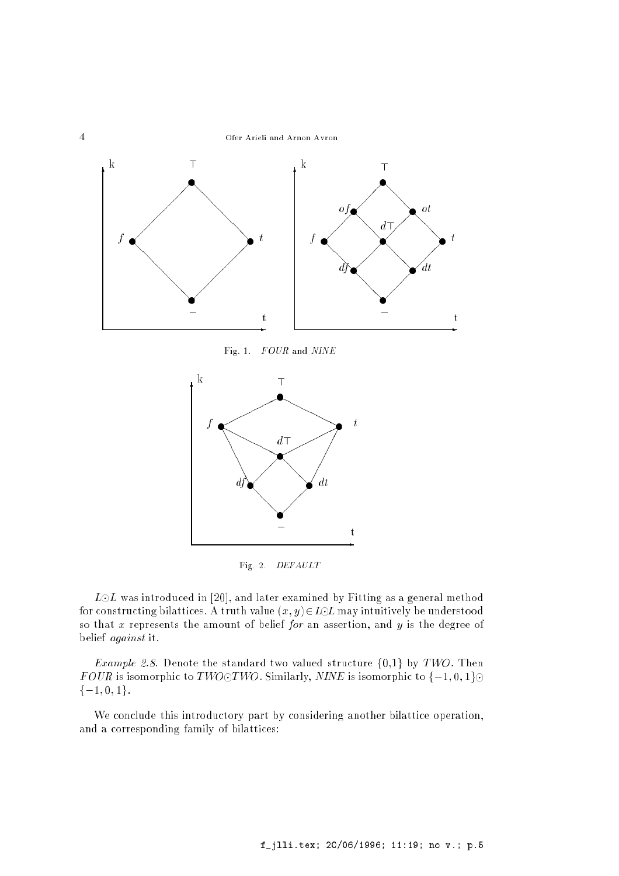



Fig. 2. DEFAULT

 $L \odot L$  was introduced in [20], and later examined by Fitting as a general method for constructing bilattices. A truth value  $(x, y) \in L \odot L$  may intuitively be understood so that  $x$  represents the amount of belief for an assertion, and  $y$  is the degree of belief against it.

*Example 2.8.* Denote the standard two valued structure  $\{0,1\}$  by TWO. Then FOUR is isomorphic to TWO $\odot$ TWO. Similarly, NINE is isomorphic to  $\{\pm 1, 0, 1\}$  $\{\pm 1, 0, 1\}.$ 

We conclude this introductory part by considering another bilattice operation, and a corresponding family of bilattices: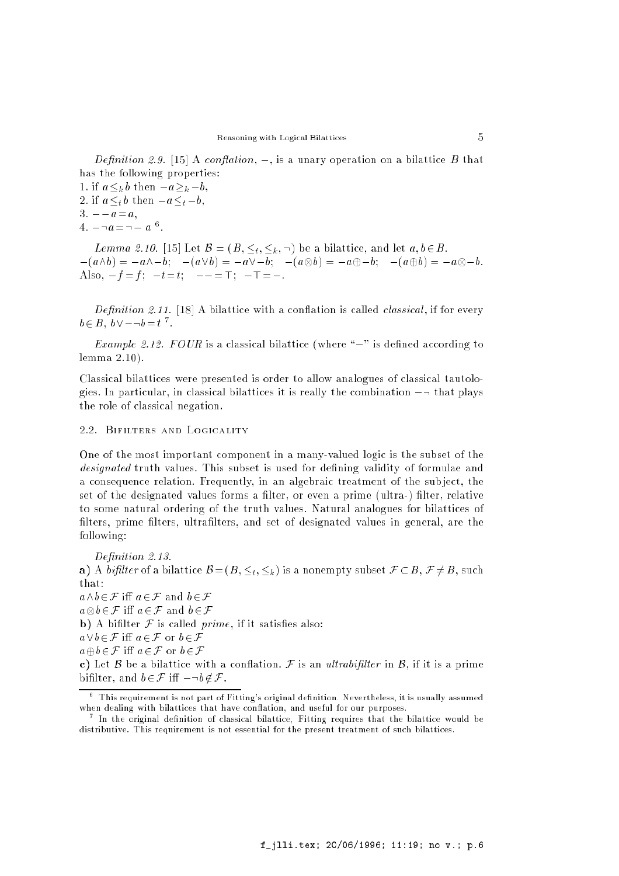Definition 2.9. [15] A conflation,  $\perp$ , is a unary operation on a bilattice B that has the following properties:

1. if  $a \leq_k b$  then  $\perp a \geq_k \perp b$ , 2. if  $a \leq_t b$  then  $\perp a \leq_t \perp b$ , 3.  $\perp \perp a=a$ .  $4.$   $\bot \neg u = \neg \bot u$   $\vdots$ 

Lemma 2.10. [15] Let  $\mathcal{B} = (B, \leq_t, \leq_k, \neg)$  be a bilattice, and let  $a, b \in B$ . (a^b) = a^b; (a\_b) = a\_b; (a b) = ab; (ab) = a b. Also,  $\bot f = f$ ;  $\bot t = t$ ;  $\bot \bot = \top$ ;  $\bot \top = \bot$ .

*Definition 2.11.* [18] A bilattice with a conflation is called *classical*, if for every  $0\in D$  ,  $0\vee\bot \neg 0\equiv t$  .

*Example 2.12. FOUR* is a classical bilattice (where " $\perp$ " is defined according to lemma 2.10).

Classical bilattices were presented is order to allow analogues of classical tautologies. In particular, in classical bilattices it is really the combination  $\perp \neg$  that plays the role of classical negation.

## 2.2. Bifilters and Logicality

One of the most important component in a many-valued logic is the subset of the designated truth values. This subset is used for defining validity of formulae and a consequence relation. Frequently, in an algebraic treatment of the sub ject, the set of the designated values forms a filter, or even a prime (ultra-) filter, relative to some natural ordering of the truth values. Natural analogues for bilattices of filters, prime filters, ultrafilters, and set of designated values in general, are the following:

Definition 2.13.

a) A bifilter of a bilattice  $B = (B, \leq_t, \leq_k)$  is a nonempty subset  $\mathcal{F} \subset B$ ,  $\mathcal{F} \neq B$ , such that:  $a\land b\in\mathcal{F}$  iff  $a\in\mathcal{F}$  and  $b\in\mathcal{F}$ 

a i a2F i a2F i a2F a2F i a2F i a2F i a2F i a2F i a2F i a2F i a2F i a2F i a2F i a2F i a2F i a2F i a2F i a2F i

**b**) A bifilter  $F$  is called *prime*, if it satisfies also:

 $a\vee b\in\mathcal{F}$  iff  $a\in\mathcal{F}$  or  $b\in\mathcal{F}$ 

 $a \oplus b \in \mathcal{F}$  iff  $a \in \mathcal{F}$  or  $b \in \mathcal{F}$ 

c) Let B be a bilattice with a conflation. F is an ultrabifilter in B, if it is a prime bifilter, and  $b \in \mathcal{F}$  iff  $\bot \neg b \notin \mathcal{F}$ .

 $^{\circ}\,$  This requirement is not part of Fitting's original definition. Nevertheless, it is usually assumed when dealing with bilattices that have conflation, and useful for our purposes.

In the original definition of classical bilattice, Fitting requires that the bilattice would be distributive. This requirement is not essential for the present treatment of such bilattices.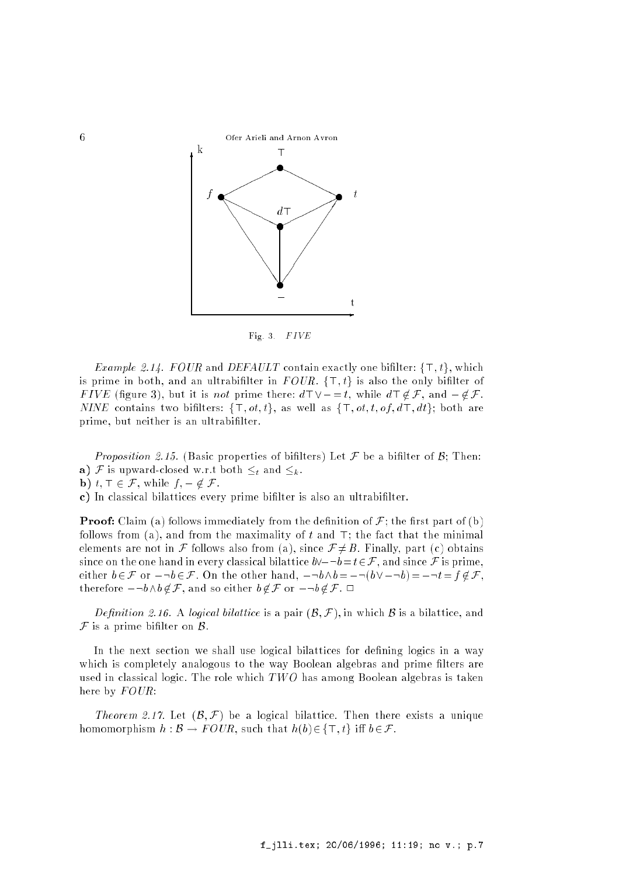

Fig. 3.  $FIVE$ 

*Example 2.14. FOUR* and *DEFAULT* contain exactly one bifilter:  $\{\top, t\}$ , which is prime in both, and an ultrabifilter in FOUR.  $\{\top, t\}$  is also the only bifilter of FIVE (figure 3), but it is not prime there:  $d\top \vee \bot = t$ , while  $d\top \notin \mathcal{F}$ , and  $\bot \notin \mathcal{F}$ . NINE contains two bifilters:  $\{\top, ot, t\}$ , as well as  $\{\top, ot, t, of, d\top, dt\}$ ; both are prime, but neither is an ultrabilter.

Proposition 2.15. (Basic properties of bifilters) Let  $\mathcal F$  be a bifilter of  $\mathcal B$ ; Then: a) F is upward-closed w.r.t both  $\leq_t$  and  $\leq_k$ .

**b**)  $t, \top \in \mathcal{F}$ , while  $f, \bot \notin \mathcal{F}$ .

c) In classical bilattices every prime bilter is also an ultrabilter.

**Proof:** Claim (a) follows immediately from the definition of  $F$ ; the first part of (b) follows from (a), and from the maximality of  $t$  and  $\top$ ; the fact that the minimal elements are not in F follows also from (a), since  $\mathcal{F} \neq B$ . Finally, part (c) obtains since on the one hand in every classical bilattice  $b\vee \bot \neg b=t \in \mathcal{F}$ , and since  $\mathcal F$  is prime, either  $b \in \mathcal{F}$  or  $\bot \neg b \in \mathcal{F}$ . On the other hand,  $\bot \neg b \wedge b = \bot \neg(b \vee \bot \neg b) = \bot \neg t = f \notin \mathcal{F}$ , therefore  $\bot \neg b \land b \notin \mathcal{F}$ , and so either  $b \notin \mathcal{F}$  or  $\bot \neg b \notin \mathcal{F}$ .  $\Box$ 

Definition 2.16. A logical bilattice is a pair  $(\mathcal{B}, \mathcal{F})$ , in which  $\mathcal B$  is a bilattice, and  $\mathcal F$  is a prime bifilter on  $\mathcal B$ .

In the next section we shall use logical bilattices for defining logics in a way which is completely analogous to the way Boolean algebras and prime filters are used in classical logic. The role which  $TWO$  has among Boolean algebras is taken here by  $FOUR$ :

Theorem 2.17. Let  $(\mathcal{B}, \mathcal{F})$  be a logical bilattice. Then there exists a unique homomorphism  $h : \mathcal{B} \to \text{FOUR}$ , such that  $h(b) \in \{\top, t\}$  iff  $b \in \mathcal{F}$ .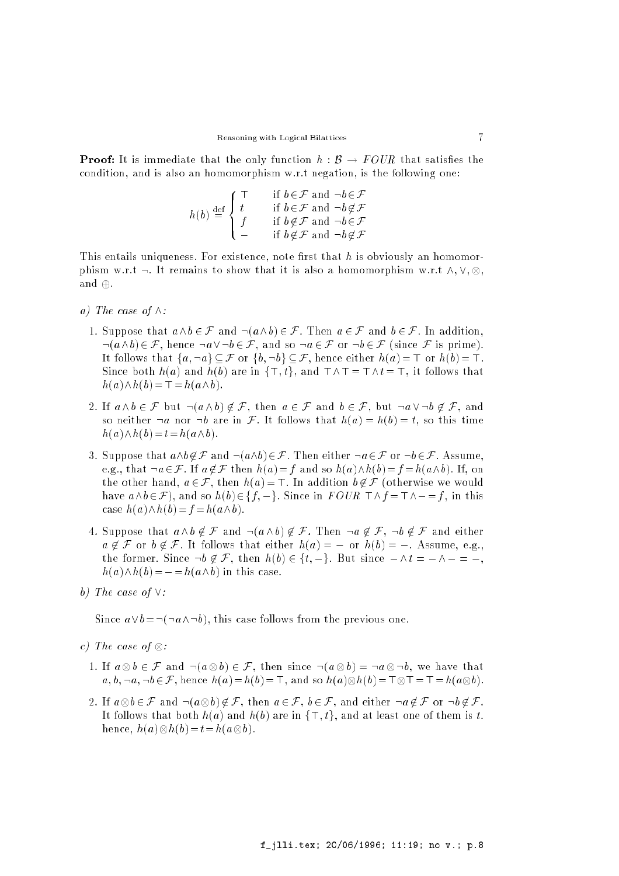**Proof:** It is immediate that the only function  $h : \mathcal{B} \to \text{FOUR}$  that satisfies the condition, and is also an homomorphism w.r.t negation, is the following one:

$$
h(b) \stackrel{\text{def}}{=} \begin{cases} \top & \text{if } b \in \mathcal{F} \text{ and } \neg b \in \mathcal{F} \\ t & \text{if } b \in \mathcal{F} \text{ and } \neg b \notin \mathcal{F} \\ f & \text{if } b \notin \mathcal{F} \text{ and } \neg b \in \mathcal{F} \\ \bot & \text{if } b \notin \mathcal{F} \text{ and } \neg b \notin \mathcal{F} \end{cases}
$$

This entails uniqueness. For existence, note first that  $h$  is obviously an homomorphism w.r.t :. It remains to show that it is also a homomorphism w.r.t  $\mathbb{R}^n$  ,  $\mathbb{R}^n$  ,  $\mathbb{R}^n$  ,  $\mathbb{R}^n$  ,  $\mathbb{R}^n$  ,  $\mathbb{R}^n$  ,  $\mathbb{R}^n$  ,  $\mathbb{R}^n$  ,  $\mathbb{R}^n$  ,  $\mathbb{R}^n$  ,  $\mathbb{R}^n$  ,  $\mathbb{R}$ and  $\oplus$ .

- a) The case of  $\wedge$ :
	- 1. Suppose that  $a \wedge b \in \mathcal{F}$  and  $\neg(a \wedge b) \in \mathcal{F}$ . Then  $a \in \mathcal{F}$  and  $b \in \mathcal{F}$ . In addition,  $\neg(a \wedge b) \in \mathcal{F}$ , hence  $\neg a \vee \neg b \in \mathcal{F}$ , and so  $\neg a \in \mathcal{F}$  or  $\neg b \in \mathcal{F}$  (since  $\mathcal{F}$  is prime). It follows that  $\{a, \neg a\} \subseteq \mathcal{F}$  or  $\{b, \neg b\} \subseteq \mathcal{F}$ , hence either  $h(a) = \top$  or  $h(b) = \top$ . Since both  $h(a)$  and  $h(b)$  are in  $\{\top, t\}$ , and  $\top \land \top = \top \land t = \top$ , it follows that  $h(a)\wedge h(b)=\top=h(a\wedge b).$
	- 2. If  $a \wedge b \in \mathcal{F}$  but  $\neg(a \wedge b) \notin \mathcal{F}$ , then  $a \in \mathcal{F}$  and  $b \in \mathcal{F}$ , but  $\neg a \vee \neg b \notin \mathcal{F}$ , and so neither  $\neg a$  nor  $\neg b$  are in F. It follows that  $h(a) = h(b) = t$ , so this time  $h(a)\wedge h(b)=t=h(a\wedge b).$
	- 3. Suppose that  $a\wedge b \notin \mathcal{F}$  and  $\neg(a\wedge b)\in\mathcal{F}$ . Then either  $\neg a\in\mathcal{F}$  or  $\neg b\in\mathcal{F}$ . Assume, e.g., that  $-a \in \mathcal{F}$ . If  $a \notin \mathcal{F}$  then  $h(a)=f$  and so  $h(a)\wedge h(b)=f =h(a\wedge b)$ . If, on the other hand,  $a \in \mathcal{F}$ , then  $h(a) = \top$ . In addition  $b \notin \mathcal{F}$  (otherwise we would have  $a\wedge b\in\mathcal{F}$ ), and so  $h(b)\in\{f, \perp\}$ . Since in  $FOUR \top \wedge f = \top \wedge \bot =f$ , in this case  $h(a)\wedge h(b)=f = h(a\wedge b)$ .
	- 4. Suppose that  $a \wedge b \notin \mathcal{F}$  and  $\neg (a \wedge b) \notin \mathcal{F}$ . Then  $\neg a \notin \mathcal{F}$ ,  $\neg b \notin \mathcal{F}$  and either  $a \notin \mathcal{F}$  or  $b \notin \mathcal{F}$ . It follows that either  $h(a) = \perp$  or  $h(b) = \perp$ . Assume, e.g., the former. Since  $\neg b \notin \mathcal{F}$ , then  $h(b) \in \{t, \perp\}$ . But since  $\perp \wedge t = \perp \wedge \perp = \perp$ ,  $h(a)\wedge h(b)=\bot=h(a\wedge b)$  in this case.
- b) The case of  $\vee$ :

Since  $a\vee b=\neg(\neg a\wedge\neg b)$ , this case follows from the previous one.

- c) The case of :
	- 1. If a b 2 F and :(a b) 2 F, then since :(a b) = :a :b, we have that a; b; :a; :b2F, hence h(a)=h(b)=>, and so h(a) h(b)=> >=>=h(a b).
	- 2. If <sup>a</sup>b 2 F and :(a b) 62 F, then a 2 F, b 2 F, and either :a 62 F or :b 62 F. It follows that both  $h(a)$  and  $h(b)$  are in  $\{\top, t\}$ , and at least one of them is t. hence, hence, hence, hence, hence, hence, hence, hence, hence, hence, hence, hence, hence, hence, hence, hence,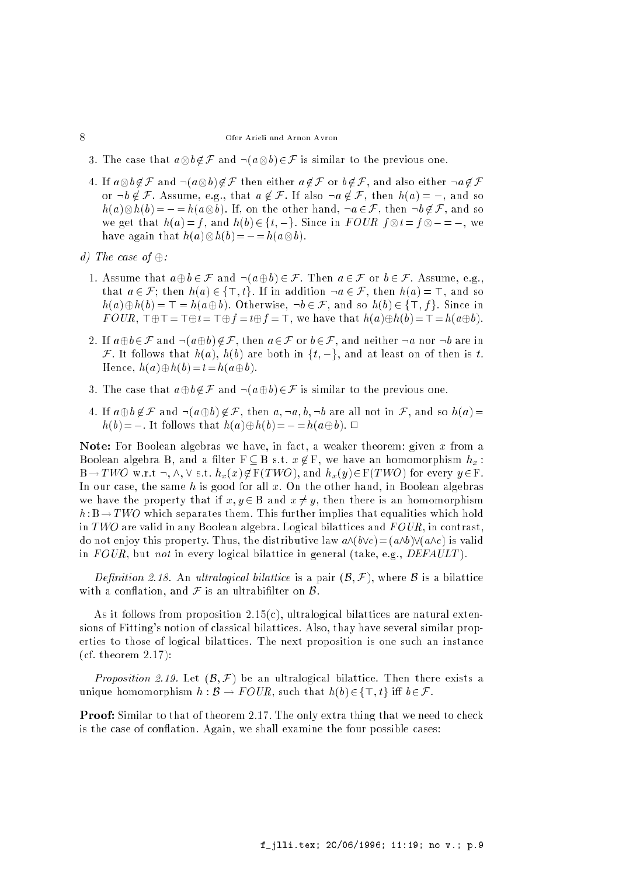- 3. The case that <sup>a</sup>b 62F and :(a b) 2F is similar to the previous one.
- 4. If <sup>a</sup>b 62F and :(a b) 62F then either a 62F or b 62F, and also either :a 62F or  $\neg b \notin \mathcal{F}$ . Assume, e.g., that  $a \notin \mathcal{F}$ . If also  $\neg a \notin \mathcal{F}$ , then  $h(a) = \bot$ , and so h(b) = ? + 82 F, and son the other hand, in the other hand, in the other hand, in the other hand, in the other we give that  $\{x_i\}$  , it were the function for the following in  $\{y_i\}$  ,  $\{y_i\}$  ,  $\{y_i\}$  ,  $\{y_i\}$  ,  $\{y_i\}$ have a contracted a contracted as a contracted and a contracted and a contracted and a contracted and a contracted and a contracted and a contracted and a contracted and a contracted and a contracted and a contracted and a
- d) The case of  $\oplus$ :
	- 1. Assume that  $a \oplus b \in \mathcal{F}$  and  $\neg(a \oplus b) \in \mathcal{F}$ . Then  $a \in \mathcal{F}$  or  $b \in \mathcal{F}$ . Assume, e.g., that  $a \in \mathcal{F}$ ; then  $h(a) \in {\{\top, t\}}$ . If in addition  $\neg a \in \mathcal{F}$ , then  $h(a) = \top$ , and so  $h(a)\oplus h(b) = \top = h(a\oplus b)$ . Otherwise,  $\neg b \in \mathcal{F}$ , and so  $h(b) \in {\top, f}$ . Since in  $FOUR$ ,  $\top \oplus \top = \top \oplus t = \top \oplus f = t \oplus f = \top$ , we have that  $h(a) \oplus h(b) = \top = h(a \oplus b)$ .
	- 2. If  $a \oplus b \in \mathcal{F}$  and  $\neg(a \oplus b) \notin \mathcal{F}$ , then  $a \in \mathcal{F}$  or  $b \in \mathcal{F}$ , and neither  $\neg a$  nor  $\neg b$  are in F. It follows that  $h(a)$ ,  $h(b)$  are both in  $\{t, \perp\}$ , and at least on of then is t. Hence,  $h(a)\oplus h(b)=t=h(a\oplus b)$ .
	- 3. The case that  $a \oplus b \notin \mathcal{F}$  and  $\neg(a \oplus b) \in \mathcal{F}$  is similar to the previous one.
	- 4. If  $a \oplus b \notin \mathcal{F}$  and  $\neg(a \oplus b) \notin \mathcal{F}$ , then  $a, \neg a, b, \neg b$  are all not in  $\mathcal{F}$ , and so  $h(a)$  =  $h(b)=\bot$ . It follows that  $h(a)\oplus h(b)=\bot=h(a\oplus b)$ .  $\Box$

Note: For Boolean algebras we have, in fact, a weaker theorem: given x from a Boolean algebra B, and a filter  $F \subseteq B$  s.t.  $x \notin F$ , we have an homomorphism  $h_x$ :  $B \to TWO$  w.r.t  $\neg, \wedge, \vee$  s.t.  $h_x(x) \notin F(TWO)$ , and  $h_x(y) \in F(TWO)$  for every  $y \in F$ . In our case, the same h is good for all  $x$ . On the other hand, in Boolean algebras we have the property that if  $x, y \in B$  and  $x \neq y$ , then there is an homomorphism  $h : B \to TWO$  which separates them. This further implies that equalities which hold in TWO are valid in any Boolean algebra. Logical bilattices and  $FOUR$ , in contrast, do not enjoy this property. Thus, the distributive law  $a\wedge (b\vee c) = (a\wedge b)\vee(a\wedge c)$  is valid in  $FOUR$ , but not in every logical bilattice in general (take, e.g.,  $DEFAULT$ ).

Definition 2.18. An ultralogical bilattice is a pair  $(\mathcal{B}, \mathcal{F})$ , where  $\mathcal B$  is a bilattice with a conflation, and  $\mathcal F$  is an ultrabifilter on  $\mathcal B$ .

As it follows from proposition  $2.15(c)$ , ultralogical bilattices are natural extensions of Fitting's notion of classical bilattices. Also, thay have several similar properties to those of logical bilattices. The next proposition is one such an instance (cf. theorem 2.17):

*Proposition 2.19.* Let  $(\mathcal{B}, \mathcal{F})$  be an ultralogical bilattice. Then there exists a unique homomorphism  $h : \mathcal{B} \to FOUR$ , such that  $h(b) \in {\text{\sf T}}; t$  iff  $b \in \mathcal{F}$ .

**Proof:** Similar to that of theorem 2.17. The only extra thing that we need to check is the case of conflation. Again, we shall examine the four possible cases:

## 8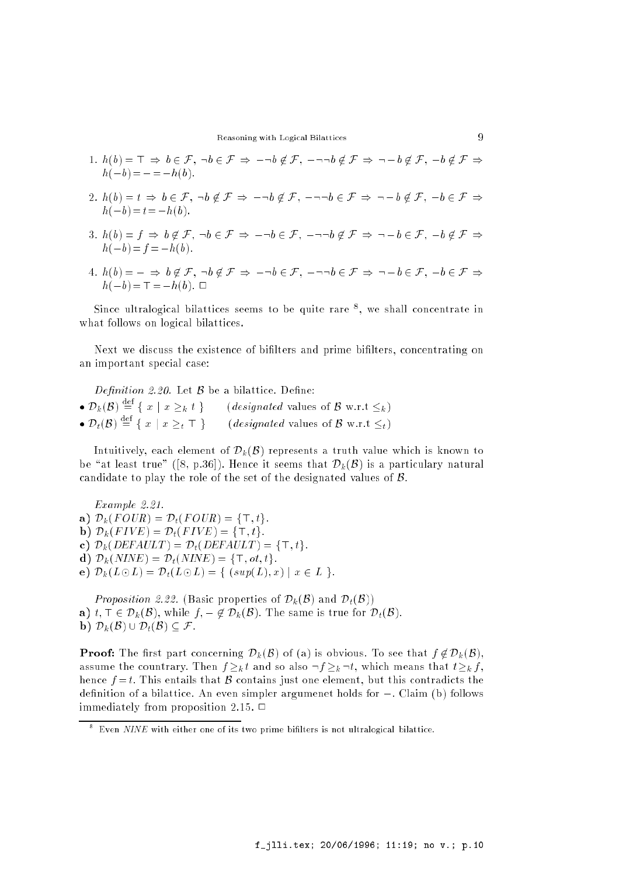Reasoning with Logical Bilattices 9

- 1.  $h(b) = \top \Rightarrow b \in \mathcal{F}$ ,  $\neg b \in \mathcal{F} \Rightarrow \bot \neg b \notin \mathcal{F}$ ,  $\bot \neg \neg b \notin \mathcal{F} \Rightarrow \neg \bot b \notin \mathcal{F}$ ,  $\bot b \notin \mathcal{F} \Rightarrow$  $h(\perp b)=\perp=\perp h(b).$
- 2.  $h(b) = t \Rightarrow b \in \mathcal{F}, \neg b \notin \mathcal{F} \Rightarrow \bot \neg b \notin \mathcal{F}, \bot \neg \neg b \in \mathcal{F} \Rightarrow \neg \bot b \notin \mathcal{F}, \bot b \in \mathcal{F} \Rightarrow$  $h(\perp b)=t=\perp h(b).$
- 3.  $h(b) = f \Rightarrow b \notin \mathcal{F}$ ,  $\neg b \in \mathcal{F} \Rightarrow \bot \neg b \in \mathcal{F}$ ,  $\bot \neg \neg b \notin \mathcal{F} \Rightarrow \neg \bot b \in \mathcal{F}$ ,  $\bot b \notin \mathcal{F} \Rightarrow$  $h(\perp b)=f=\perp h(b).$
- 4. h(b) = ? ) b 62 F, :b 62 F ) :b 2 F, ::b 2 F ) :b 2 F, b 2 F ) h(b)=>=h(b). <sup>2</sup>

Since ultralogical bilattices seems to be quite rare  $\,$  , we shall concentrate in what follows on logical bilattices.

Next we discuss the existence of bilters and prime bilters, concentrating on an important special case:

Definition 2.20. Let  $\beta$  be a bilattice. Define:  $\bullet \ D_k(\mathcal{B}) = \{ x \mid x \geq_k t \}$  (designated values of B w.r.t  $\leq_k$ )  $\bullet \ D_t(\mathcal{B}) = \{ x \mid x \geq t \ \top \}$  (designated values of B w.r.t  $\leq_t$ )

Intuitively, each element of  $\mathcal{D}_k(\mathcal{B})$  represents a truth value which is known to be "at least true" ([8, p.36]). Hence it seems that  $\mathcal{D}_k (\mathcal{B})$  is a particulary natural candidate to play the role of the set of the designated values of B.

Example 2.21. a)  $\mathcal{D}_k(FOUR) = \mathcal{D}_t(FOUR) = \{\top, t\}.$ b)  $\mathcal{D}_k(FIVE) = \mathcal{D}_t(FIVE) = {\top, t}.$ c)  $\mathcal{D}_k(DEFAULT) = \mathcal{D}_t(DEFAULT) = {\top, t}.$ d)  $\mathcal{D}_k(NINE) = \mathcal{D}_t(NINE) = {\top, ot, t}.$ e)  $\mathcal{D}_k(L \odot L) = \mathcal{D}_t(L \odot L) = \{ (sup(L), x) \mid x \in L \}.$ 

*Proposition 2.22.* (Basic properties of  $\mathcal{D}_k(\mathcal{B})$  and  $\mathcal{D}_t(\mathcal{B})$ ) a)  $t, \top \in \mathcal{D}_k(\mathcal{B})$ , while  $f, \bot \notin \mathcal{D}_k(\mathcal{B})$ . The same is true for  $\mathcal{D}_t(\mathcal{B})$ . b)  $\mathcal{D}_k(\mathcal{B}) \cup \mathcal{D}_t(\mathcal{B}) \subseteq \mathcal{F}$ .

**Proof:** The first part concerning  $\mathcal{D}_k(\mathcal{B})$  of (a) is obvious. To see that  $f \notin \mathcal{D}_k(\mathcal{B})$ , assume the countrary. Then  $f \geq k t$  and so also  $\neg f \geq k \neg t$ , which means that  $t \geq k f$ . hence  $f = t$ . This entails that  $\beta$  contains just one element, but this contradicts the definition of a bilattice. An even simpler argumenet holds for  $\perp$ . Claim (b) follows immediately from proposition 2.15.  $\Box$ 

 $\degree$  Even  $NINE$  with either one of its two prime bifilters is not ultralogical bilattice.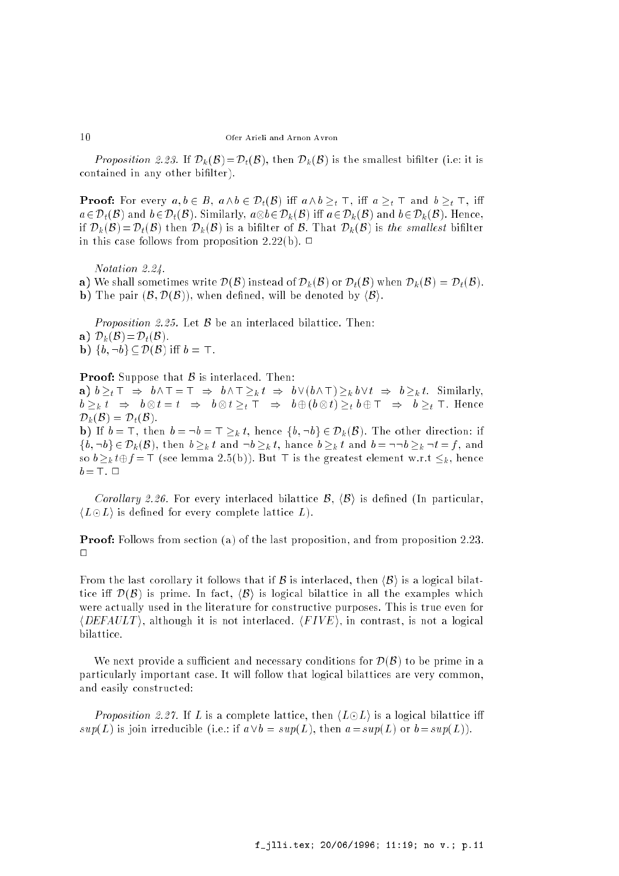*Proposition 2.23.* If  $\mathcal{D}_k(\mathcal{B}) = \mathcal{D}_t(\mathcal{B})$ , then  $\mathcal{D}_k(\mathcal{B})$  is the smallest bifilter (i.e. it is contained in any other bilter).

**Proof:** For every  $a, b \in B$ ,  $a \wedge b \in \mathcal{D}_t(\mathcal{B})$  iff  $a \wedge b \geq_t \top$ , iff  $a \geq_t \top$  and  $b \geq_t \top$ , iff a 2Dt(B) and b2Dt(B). Similarly, ab2Dk (B). Similarly, and a 2Dk (B). Hence,  $B$ if  $\mathcal{D}_k(\mathcal{B}) = \mathcal{D}_t(\mathcal{B})$  then  $\mathcal{D}_k(\mathcal{B})$  is a bifilter of  $\mathcal{B}$ . That  $\mathcal{D}_k(\mathcal{B})$  is the smallest bifilter in this case follows from proposition 2.22(b).  $\Box$ 

Notation 2.24.

a) We shall sometimes write  $\mathcal{D}(\mathcal{B})$  instead of  $\mathcal{D}_k(\mathcal{B})$  or  $\mathcal{D}_t(\mathcal{B})$  when  $\mathcal{D}_k(\mathcal{B}) = \mathcal{D}_t(\mathcal{B})$ .

b) The pair  $(\mathcal{B}, \mathcal{D}(\mathcal{B}))$ , when defined, will be denoted by  $\langle \mathcal{B} \rangle$ .

*Proposition 2.25.* Let  $\beta$  be an interlaced bilattice. Then: a)  $\mathcal{D}_k(\mathcal{B})=\mathcal{D}_t(\mathcal{B})$ . **b**)  $\{b, \neg b\} \subset \mathcal{D}(\mathcal{B})$  iff  $b = \top$ .

**Proof:** Suppose that  $\beta$  is interlaced. Then:

a)  $b \geq_t \top \Rightarrow b \wedge \top = \top \Rightarrow b \wedge \top \geq_k t \Rightarrow b \vee (b \wedge \top) \geq_k b \vee t \Rightarrow b \geq_k t$ . Similarly,  $\tau = \kappa$  , the set of  $\tau$  is the set of  $\tau$  , the set of  $\tau$  is the set of  $\tau$  of  $\tau$  is the set of  $\tau$  $\mathcal{D}_k(\mathcal{B}) = \mathcal{D}_t(\mathcal{B}).$ **b**) If  $b = \top$ , then  $b = \neg b = \top \geq_k t$ , hence  $\{b, \neg b\} \in \mathcal{D}_k(\mathcal{B})$ . The other direction: if

 $\{b, \neg b\} \in \mathcal{D}_k(\mathcal{B})$ , then  $b \geq_k t$  and  $\neg b \geq_k t$ , hance  $b \geq_k t$  and  $b = \neg \neg b \geq_k \neg t = f$ , and so  $b \geq_k t \oplus f = \top$  (see lemma 2.5(b)). But  $\top$  is the greatest element w.r.t  $\leq_k$ , hence  $b=\top$ .  $\Box$ 

Corollary 2.26. For every interlaced bilattice  $\mathcal{B}, \langle \mathcal{B} \rangle$  is defined (In particular,  $\langle L \odot L \rangle$  is defined for every complete lattice L).

Proof: Follows from section (a) of the last proposition, and from proposition 2.23.  $\Box$ 

From the last corollary it follows that if B is interlaced, then  $\langle B \rangle$  is a logical bilattice iff  $\mathcal{D}(\mathcal{B})$  is prime. In fact,  $\langle \mathcal{B} \rangle$  is logical bilattice in all the examples which were actually used in the literature for constructive purposes. This is true even for  $\langle DEFAULT \rangle$ , although it is not interlaced.  $\langle FIVE \rangle$ , in contrast, is not a logical bilattice.

We next provide a sufficient and necessary conditions for  $\mathcal{D}(\mathcal{B})$  to be prime in a particularly important case. It will follow that logical bilattices are very common, and easily constructed:

*Proposition 2.27.* If L is a complete lattice, then  $\langle L \odot L \rangle$  is a logical bilattice iff  $sup(L)$  is join irreducible (i.e.: if  $a \vee b = sup(L)$ , then  $a = sup(L)$  or  $b = sup(L)$ ).

 $10$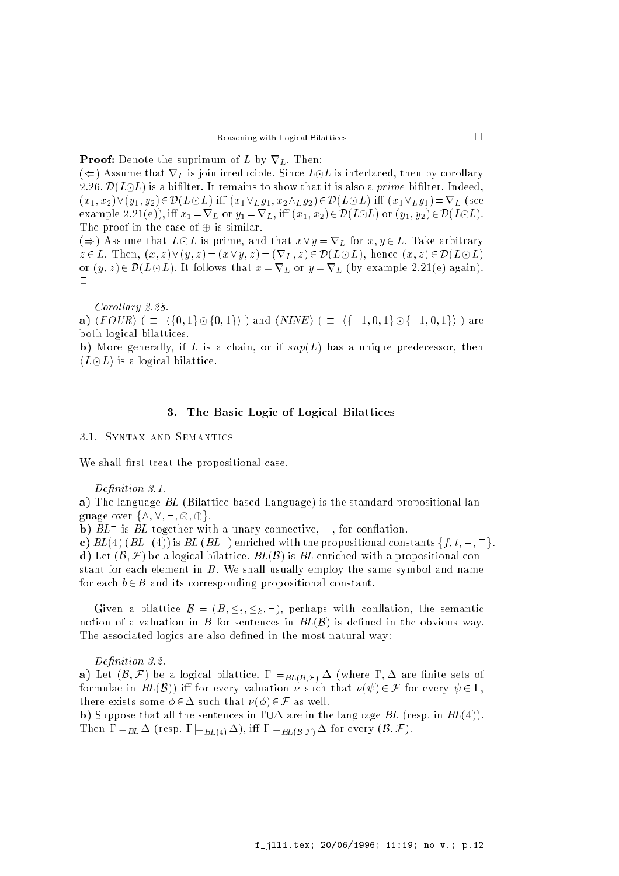#### **Proof:** Denote the suprimum of L by  $\nabla_L$ . Then:

 $(\Leftarrow)$  Assume that  $\nabla_L$  is join irreducible. Since  $L \odot L$  is interlaced, then by corollary 2.26,  $\mathcal{D}(L\odot L)$  is a bifilter. It remains to show that it is also a *prime* bifilter. Indeed,  $(x_1, x_2) \vee (y_1, y_2) \in \mathcal{D}(L \odot L)$  iff  $(x_1 \vee_L y_1, x_2 \wedge_L y_2) \in \mathcal{D}(L \odot L)$  iff  $(x_1 \vee_L y_1) = \nabla_L$  (see example 2.21(e)), iff  $x_1 = \nabla_L$  or  $y_1 = \nabla_L$ , iff  $(x_1, x_2) \in \mathcal{D}(L \odot L)$  or  $(y_1, y_2) \in \mathcal{D}(L \odot L)$ . The proof in the case of  $\oplus$  is similar.

 $(\Rightarrow)$  Assume that  $L \odot L$  is prime, and that  $x \vee y = \nabla_L$  for  $x, y \in L$ . Take arbitrary  $z \in L$ . Then,  $(x, z) \vee (y, z) = (x \vee y, z) = (\nabla_L, z) \in \mathcal{D}(L \odot L)$ , hence  $(x, z) \in \mathcal{D}(L \odot L)$ or  $(y, z) \in \mathcal{D}(L \odot L)$ . It follows that  $x = \nabla_L$  or  $y = \nabla_L$  (by example 2.21(e) again).  $\Box$ 

Corollary 2.28.

**a)**  $\langle \text{FOUR} \rangle$  ( =  $\langle \{0, 1\} \odot \{0, 1\} \rangle$  ) and  $\langle \text{NINE} \rangle$  ( =  $\langle \{\pm 1, 0, 1\} \odot \{\pm 1, 0, 1\} \rangle$  ) are both logical bilattices.

b) More generally, if L is a chain, or if  $sup(L)$  has a unique predecessor, then  $\langle L \odot L \rangle$  is a logical bilattice.

## 3. The Basic Logic of Logical Bilattices

3.1. Syntax and Semantics

We shall first treat the propositional case.

Definition 3.1.

a) The language BL (Bilattice-based Language) is the standard propositional language over f^; \_; :; ; g.

 $\mathbf{p}$ )  $_{BL}$  is  $_{BL}$  together with a unary connective,  $\perp$ , for connation.

**c**)  $BL(4)$  (BL  $[H]$ ) is BL (BL ) enriched with the propositional constants  $\{f, t, \bot, \top\}$ . d) Let  $(\mathcal{B}, \mathcal{F})$  be a logical bilattice.  $BL(\mathcal{B})$  is BL enriched with a propositional constant for each element in  $B$ . We shall usually employ the same symbol and name for each  $b \in B$  and its corresponding propositional constant.

Given a bilattice  $\mathcal{B} = (B, \leq_t, \leq_k, \neg)$ , perhaps with conflation, the semantic notion of a valuation in B for sentences in  $BL(B)$  is defined in the obvious way. The associated logics are also defined in the most natural way:

Definition 3.2.

a) Let  $(\mathcal{B},\mathcal{F})$  be a logical bilattice.  $\Gamma \models_{BL(\mathcal{B},\mathcal{F})} \Delta$  (where  $\Gamma,\Delta$  are finite sets of formulae in  $BL(\mathcal{B})$  iff for every valuation  $\nu$  such that  $\nu(\psi) \in \mathcal{F}$  for every  $\psi \in \Gamma$ . there exists some  $\phi \in \Delta$  such that  $\nu(\phi) \in \mathcal{F}$  as well.

b) Suppose that all the sentences in  $\Gamma \cup \Delta$  are in the language BL (resp. in  $BL(4)$ ). Then  $\Gamma \models_{BL} \Delta$  (resp.  $\Gamma \models_{BL(4)} \Delta$ ), iff  $\Gamma \models_{BL(B,\mathcal{F})} \Delta$  for every  $(\mathcal{B}, \mathcal{F})$ .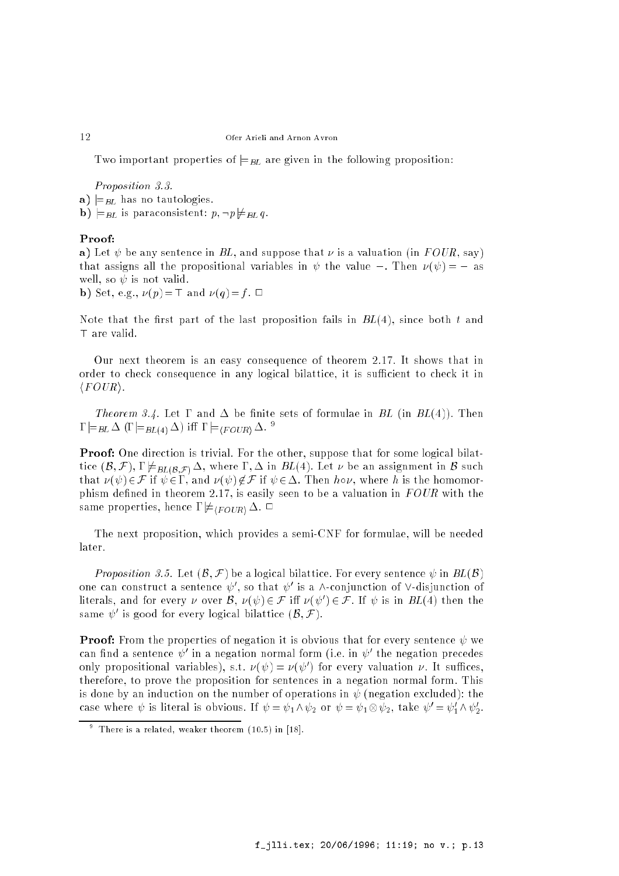Two important properties of  $\models$ <sub>BL</sub> are given in the following proposition:

Proposition 3.3.

- a)  $\models$ <sub>BL</sub> has no tautologies.
- **b**)  $\models$ *BL* is paraconsistent:  $p, \neg p \not\models$ *BL* q.

#### Proof:

a) Let  $\psi$  be any sentence in BL, and suppose that  $\nu$  is a valuation (in FOUR, say) that assigns all the propositional variables in  $\psi$  the value  $\bot$ . Then  $\nu(\psi) = \bot$  as well, so  $\psi$  is not valid.

**b**) Set, e.g.,  $\nu(p)=\top$  and  $\nu(q)=f$ .  $\Box$ 

Note that the first part of the last proposition fails in  $BL(4)$ , since both t and T are valid.

Our next theorem is an easy consequence of theorem 2.17. It shows that in order to check consequence in any logical bilattice, it is sufficient to check it in  $\langle \textit{FOUR} \rangle$ .

*Theorem 3.4.* Let  $\Gamma$  and  $\Delta$  be finite sets of formulae in BL (in BL(4)). Then  $\Gamma \models_{BL} \Delta (\Gamma \models_{BL(4)} \Delta)$  iff  $\Gamma \models_{\langle FOUR \rangle} \Delta$ . <sup>9</sup>

Proof: One direction is trivial. For the other, suppose that for some logical bilattice  $(\mathcal{B}, \mathcal{F}), \Gamma \not\models_{BL(\mathcal{B}, \mathcal{F})} \Delta$ , where  $\Gamma, \Delta$  in  $BL(4)$ . Let  $\nu$  be an assignment in  $\mathcal{B}$  such that  $\nu(\psi) \in \mathcal{F}$  if  $\psi \in \Gamma$ , and  $\nu(\psi) \notin \mathcal{F}$  if  $\psi \in \Delta$ . Then  $h \circ \nu$ , where h is the homomorphism defined in theorem 2.17, is easily seen to be a valuation in  $FOUR$  with the same properties, hence  $\Gamma \not\models_{\langle \text{FOUB} \rangle} \Delta$ .  $\Box$ 

The next proposition, which provides a semi-CNF for formulae, will be needed later.

Proposition 3.5. Let  $(\mathcal{B}, \mathcal{F})$  be a logical bilattice. For every sentence  $\psi$  in  $BL(\mathcal{B})$ one can construct a sentence  $\psi$  , so that  $\psi$  is a  $\wedge$ -conjunction of  $\vee$ -disjunction of literals, and for every  $\nu$  over  $\beta$ ,  $\nu ( \psi ) \in {\mathcal F}$  in  $\nu ( \psi ) \in {\mathcal F}$ . If  $\psi$  is in  $BL(4)$  then the same  $\psi$  is good for every logical bilattice ( $\beta$ ,  $\mathcal{F}$ ).

**Proof:** From the properties of negation it is obvious that for every sentence  $\psi$  we can iniu a sentence  $\psi$  in a negation normal form (i.e. in  $\psi$  ) the negation precedes only propositional variables), s.t.  $\nu(\psi) = \nu(\psi)$  for every valuation  $\nu$ . It suffices, therefore, to prove the proposition for sentences in a negation normal form. This is done by an induction on the number of operations in  $\psi$  (negation excluded): the case where  $\psi$  is literal is obvious. If  $\psi = \psi_1 \wedge \psi_2$  or  $\psi = \psi_1 \otimes \psi_2$ , take  $\psi' = \psi_1 \wedge \psi_2$ .

There is a related, weaker theorem (10.5) in [18].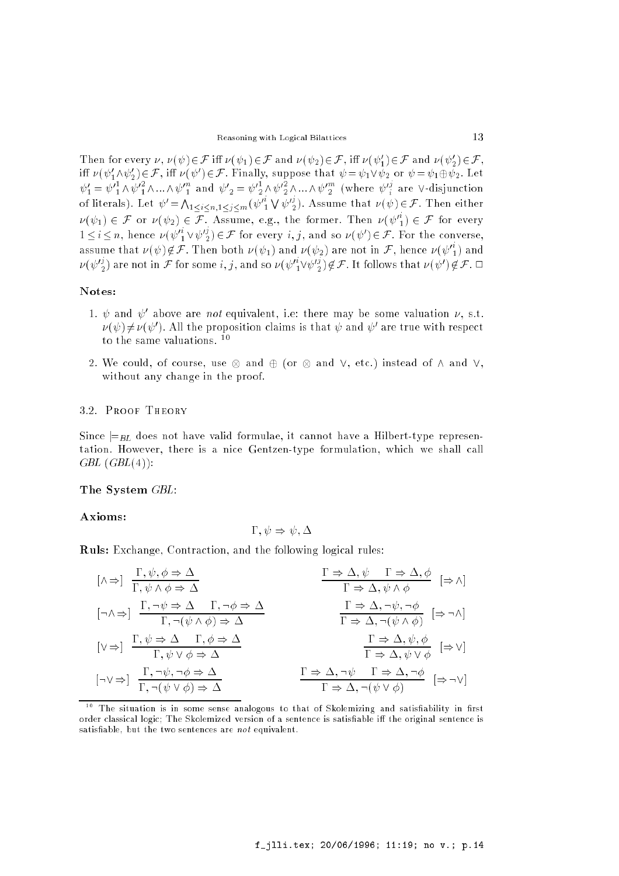Then for every  $\nu, \nu(\psi) \in \mathcal{F}$  in  $\nu(\psi_1) \in \mathcal{F}$  and  $\nu(\psi_2) \in \mathcal{F}$ , in  $\nu(\psi_1) \in \mathcal{F}$  and  $\nu(\psi_2)$ 2)2F, in  $\nu(\psi_1 \wedge \psi_2) \in \mathcal{F}$ , in  $\nu(\psi') \in \mathcal{F}$  . Finally, suppose that  $\psi = \psi_1 \vee \psi_2$  or  $\psi = \psi_1 \oplus \psi_2$ . Let  $\psi_1' = \psi_1' \wedge \psi_1' \wedge ... \wedge \psi_{1}'$  and  $\psi_2' = \psi_2' \wedge \psi_2' \wedge ... \wedge \psi_{2}'$  (where  $\psi_3'$  are V-disjunction of literals). Let  $\psi' = \bigwedge_{1 \leq i \leq n, 1 \leq j \leq m} (\psi_1'')$  $\bigvee \psi'^{\jmath}_2$ ). Assume that  $\nu(\psi)\!\in\! \mathcal{F}.$  Then either  $\nu(\psi_1) \in \mathcal{F}$  or  $\nu(\psi_2) \in \mathcal{F}$ . Assume, e.g., the former. Then  $\nu(\psi_1') \in \mathcal{F}$  for every  $1 \leq i \leq n$ , hence  $\nu(\psi_1 \vee \psi_2) \in \mathcal{F}$  for every  $i, j$ , and so  $\nu(\psi') \in \mathcal{F}$ . For the converse, assume that  $\nu(\psi) \not\in \mathcal{F}$  . Then both  $\nu(\psi_1)$  and  $\nu(\psi_2)$  are not in  $\mathcal{F},$  hence  $\nu(\psi_1^*)$  and  $\nu(\psi^{\nu}_{[2]})$  are not in  ${\cal F}$  for some  $\imath,\jmath$ , and so  $\nu(\psi^{\nu}_{[1}\vee\psi^{\nu}_{[2]})\not\in{\cal F}$  . It follows that  $\nu(\psi^{\nu})\not\in{\cal F}$  .  $\sqcup$ 

## Notes:

- 1.  $\psi$  and  $\psi$  above are not equivalent, i.e. there may be some valuation  $\nu$ , s.t.  $\nu(\nu) \neq \nu(\nu)$  ). All the proposition claims is that  $\nu$  and  $\nu$  are true with respect to the same valuations. <sup>10</sup>
- 2. We could, of course, use and (or and \_, etc.) instead of ^ and \_, without any change in the proof.

#### 3.2. Proof Theory

Since  $\equiv_{BL}$  does not have valid formulae, it cannot have a Hilbert-type representation. However, there is a nice Gentzen-type formulation, which we shall call  $GBL$   $(GBL(4))$ :

#### The System GBL:

#### Axioms:

$$
\Gamma, \psi \Rightarrow \psi, \Delta
$$

Ruls: Exchange, Contraction, and the following logical rules:

$$
\begin{array}{llll}\n\left[\wedge\Rightarrow\right] & \frac{\Gamma,\psi,\phi\Rightarrow\Delta}{\Gamma,\psi\wedge\phi\Rightarrow\Delta} & \frac{\Gamma\Rightarrow\Delta,\psi\quad\Gamma\Rightarrow\Delta,\phi}{\Gamma\Rightarrow\Delta,\psi\wedge\phi} & \left[\Rightarrow\wedge\right] \\
\left[\neg\wedge\Rightarrow\right] & \frac{\Gamma,\neg\psi\Rightarrow\Delta}{\Gamma,\neg(\psi\wedge\phi)\Rightarrow\Delta} & & \frac{\Gamma\Rightarrow\Delta,\neg\psi,\neg\phi}{\Gamma\Rightarrow\Delta,\neg(\psi\wedge\phi)} & \left[\Rightarrow\neg\wedge\right] \\
\left[\vee\Rightarrow\right] & \frac{\Gamma,\psi\Rightarrow\Delta}{\Gamma,\psi\vee\phi\Rightarrow\Delta} & & \frac{\Gamma\Rightarrow\Delta,\neg\psi,\neg\phi}{\Gamma\Rightarrow\Delta,\neg(\psi\wedge\phi)} & \left[\Rightarrow\wedge\right] \\
\left[\neg\vee\Rightarrow\right] & \frac{\Gamma,\neg\psi,\neg\phi\Rightarrow\Delta}{\Gamma,\neg(\psi\vee\phi)\Rightarrow\Delta} & & \frac{\Gamma\Rightarrow\Delta,\neg\psi\quad\Gamma\Rightarrow\Delta,\neg\phi}{\Gamma\Rightarrow\Delta,\neg(\psi\vee\phi)} & \left[\Rightarrow\neg\vee\right]\n\end{array}
$$

 $\hbox{--}$  The situation is in some sense analogous to that of Skolemizing and satisfiability in first order classical logic; The Skolemized version of a sentence is satisfiable iff the original sentence is satisfiable, but the two sentences are not equivalent.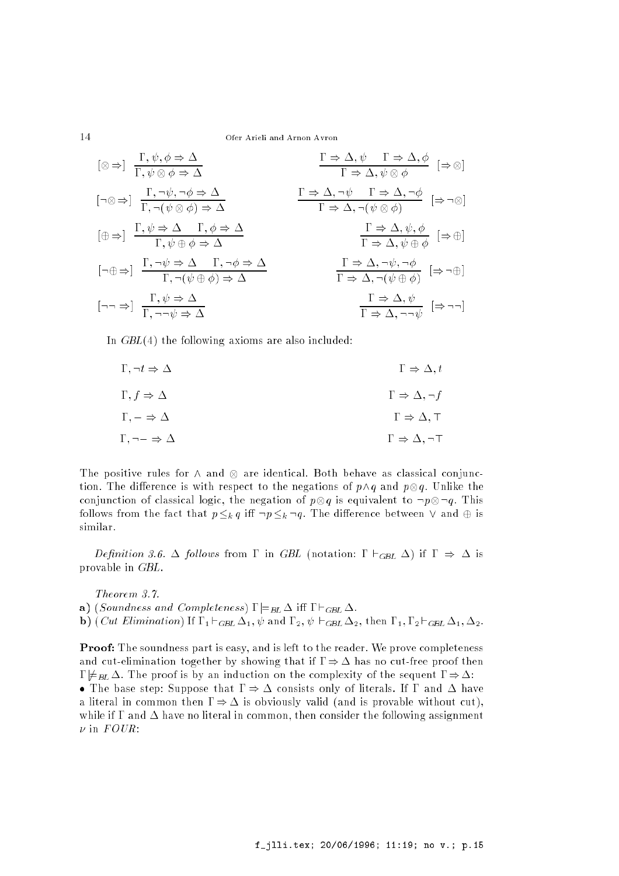$$
\begin{array}{llll}\n\left[\otimes\Rightarrow\right] & \frac{\Gamma,\psi,\phi\Rightarrow\Delta}{\Gamma,\psi\otimes\phi\Rightarrow\Delta} & \frac{\Gamma\Rightarrow\Delta,\psi\quad\Gamma\Rightarrow\Delta,\phi}{\Gamma\Rightarrow\Delta,\psi\otimes\phi} & \left[\Rightarrow\otimes\right] \\
\left[\neg\otimes\Rightarrow\right] & \frac{\Gamma,\neg\psi,\neg\phi\Rightarrow\Delta}{\Gamma,\neg(\psi\otimes\phi)\Rightarrow\Delta} & & \frac{\Gamma\Rightarrow\Delta,\neg\psi\quad\Gamma\Rightarrow\Delta,\neg\phi}{\Gamma\Rightarrow\Delta,\neg(\psi\otimes\phi)} & \left[\Rightarrow\neg\otimes\right] \\
\left[\oplus\Rightarrow\right] & \frac{\Gamma,\psi\Rightarrow\Delta\quad\Gamma,\phi\Rightarrow\Delta}{\Gamma,\psi\oplus\phi\Rightarrow\Delta} & & \frac{\Gamma\Rightarrow\Delta,\neg\psi}{\Gamma\Rightarrow\Delta,\neg(\psi\otimes\phi)} & \left[\Rightarrow\neg\otimes\right] \\
\left[\neg\oplus\Rightarrow\right] & \frac{\Gamma,\neg\psi\Rightarrow\Delta\quad\Gamma,\neg\phi\Rightarrow\Delta}{\Gamma,\neg(\psi\oplus\phi)\Rightarrow\Delta} & & \frac{\Gamma\Rightarrow\Delta,\neg\psi,\neg\phi}{\Gamma\Rightarrow\Delta,\neg(\psi\oplus\phi)} & \left[\Rightarrow\neg\oplus\right] \\
\left[\neg\neg\Rightarrow\right] & \frac{\Gamma,\psi\Rightarrow\Delta}{\Gamma,\neg\neg\psi\Rightarrow\Delta} & & \frac{\Gamma\Rightarrow\Delta,\neg\psi,\neg\phi}{\Gamma\Rightarrow\Delta,\neg(\psi\oplus\phi)} & \left[\Rightarrow\neg\oplus\right] \\
\end{array}
$$

In  $GBL(4)$  the following axioms are also included:

| $\Gamma, \neg t \Rightarrow \Delta$    | $\Gamma \Rightarrow \Delta, t$         |
|----------------------------------------|----------------------------------------|
| $\Gamma, f \Rightarrow \Delta$         | $\Gamma \Rightarrow \Delta, \neg f$    |
| $\Gamma, \bot \Rightarrow \Delta$      | $\Gamma \Rightarrow \Delta, \neg f$    |
| $\Gamma, \neg \bot \Rightarrow \Delta$ | $\Gamma \Rightarrow \Delta, \neg \top$ |

The positive rules for ^ and are identical. Both behave as classical conjunction. The dierence is with respect to the negation  $\mathcal{U}^{\text{max}}$ conjunction of control the negation of classical logic of  $\mathbb{R}^n$  is equivalent to :p  $\mathbb{Q}^n$  is the set follows from the fact that  $p \leq_k q$  iff  $\neg p \leq_k \neg q$ . The difference between  $\vee$  and  $\oplus$  is similar.

Definition 3.6.  $\Delta$  follows from  $\Gamma$  in GBL (notation:  $\Gamma \vdash_{GBL} \Delta$ ) if  $\Gamma \Rightarrow \Delta$  is provable in GBL.

Theorem 3.7. a) (Soundness and Completeness)  $\Gamma \models_{BL} \Delta$  iff  $\Gamma \vdash_{GBL} \Delta$ . **b**) (*Cut Elimination*) If  $\Gamma_1 \vdash_{GBL} \Delta_1$ ,  $\psi$  and  $\Gamma_2$ ,  $\psi \vdash_{GBL} \Delta_2$ , then  $\Gamma_1$ ,  $\Gamma_2 \vdash_{GBL} \Delta_1$ ,  $\Delta_2$ .

**Proof:** The soundness part is easy, and is left to the reader. We prove completeness and cut-elimination together by showing that if  $\Gamma \Rightarrow \Delta$  has no cut-free proof then  $\Gamma \not\models BL \Delta$ . The proof is by an induction on the complexity of the sequent  $\Gamma \Rightarrow \Delta$ : • The base step: Suppose that  $\Gamma \Rightarrow \Delta$  consists only of literals. If  $\Gamma$  and  $\Delta$  have

a literal in common then  $\Gamma \Rightarrow \Delta$  is obviously valid (and is provable without cut). while if  $\Gamma$  and  $\Delta$  have no literal in common, then consider the following assignment  $\nu$  in  $FOUR$ :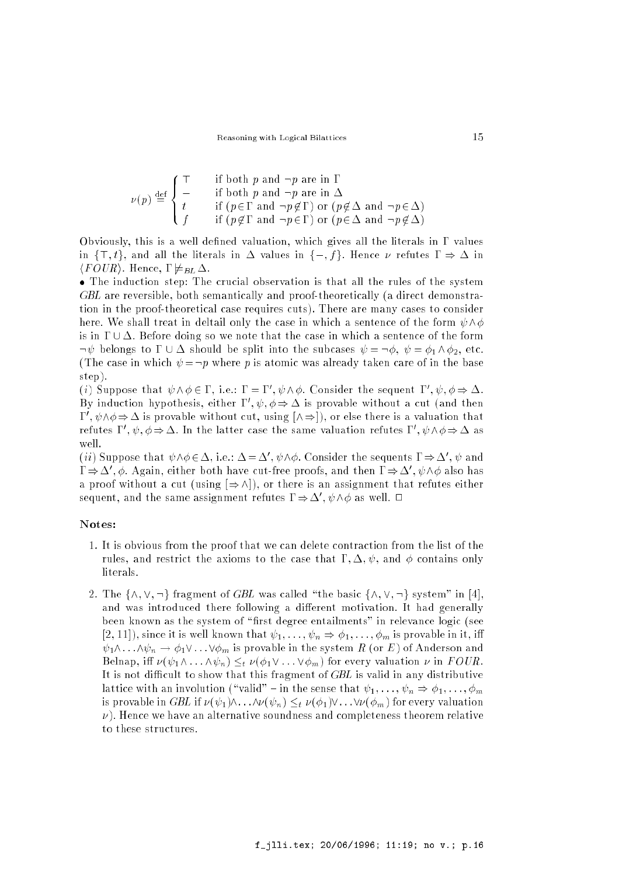$$
\nu(p) \stackrel{\text{def}}{=} \begin{cases} \top & \text{if both } p \text{ and } \neg p \text{ are in } \Gamma \\ \bot & \text{if both } p \text{ and } \neg p \text{ are in } \Delta \\ t & \text{if } (p \in \Gamma \text{ and } \neg p \notin \Gamma) \text{ or } (p \notin \Delta \text{ and } \neg p \in \Delta) \\ f & \text{if } (p \notin \Gamma \text{ and } \neg p \in \Gamma) \text{ or } (p \in \Delta \text{ and } \neg p \notin \Delta) \end{cases}
$$

Obviously, this is a well defined valuation, which gives all the literals in  $\Gamma$  values in  $\{\top, t\}$ , and all the literals in  $\Delta$  values in  $\{\bot, f\}$ . Hence  $\nu$  refutes  $\Gamma \Rightarrow \Delta$  in  $\langle \text{FOUR} \rangle$ . Hence,  $\Gamma \not\models \text{BL} \Delta$ .

 The induction step: The crucial observation is that all the rules of the system GBL are reversible, both semantically and proof-theoretically (a direct demonstration in the proof-theoretical case requires cuts). There are many cases to consider here. We shall treat in deltail only the case in which a sentence of the form  $\psi \wedge \phi$ is in  $\Gamma \cup \Delta$ . Before doing so we note that the case in which a sentence of the form  $\neg \psi$  belongs to  $\Gamma \cup \Delta$  should be split into the subcases  $\psi = \neg \phi$ ,  $\psi = \phi_1 \wedge \phi_2$ , etc. (The case in which  $\psi = \neg p$  where p is atomic was already taken care of in the base step).

(*i*) suppose that  $\psi \wedge \phi \in I$ , i.e.:  $I = I$  ,  $\psi \wedge \phi$ . Consider the sequent  $I$  ,  $\psi$ ,  $\phi \Rightarrow \Delta$ . By induction hypothesis, either  $1^-, \psi, \phi \Rightarrow \Delta$  is provable without a cut (and then  $1$  ,  $\psi \wedge \phi \Rightarrow \Delta$  is provable without cut, using  $\vert \wedge \Rightarrow \vert$  ), or else there is a valuation that refutes 1,  $\psi$ ,  $\varphi \Rightarrow \Delta$ . In the latter case the same valuation refutes 1,  $\psi \wedge \varphi \Rightarrow \Delta$  as well.

(*u*) suppose that  $\psi \wedge \phi \in \Delta$ , i.e.:  $\Delta = \Delta$  ,  $\psi \wedge \phi$ . Consider the sequents  $1 \Rightarrow \Delta$  ,  $\psi$  and  $\alpha \Rightarrow \Delta$  ,  $\varphi$ . Again, either both have cut-free proofs, and then  $1 \Rightarrow \Delta$  ,  $\psi \wedge \varphi$  also has a proof without a cut (using  $[\Rightarrow \wedge]$ ), or there is an assignment that refutes either sequent, and the same assignment refutes  $1 \Rightarrow \Delta$  ,  $\psi \wedge \phi$  as well.  $\Box$ 

#### Notes:

- 1. It is obvious from the proof that we can delete contraction from the list of the rules, and restrict the axioms to the case that  $\Gamma$ ,  $\Delta$ ,  $\psi$ , and  $\phi$  contains only literals.
- 2. The  $\{\wedge, \vee, \neg\}$  fragment of GBL was called "the basic  $\{\wedge, \vee, \neg\}$  system" in [4]. and was introduced there following a different motivation. It had generally been known as the system of "first degree entailments" in relevance logic (see [2, 11]), since it is well known that  $\psi_1, \ldots, \psi_n \Rightarrow \phi_1, \ldots, \phi_m$  is provable in it, iff  $\psi_1\wedge\ldots\wedge\psi_n\to\phi_1\vee\ldots\vee\phi_m$  is provable in the system  $R$  (or  $E$ ) of Anderson and Belnap, iff  $\nu (\psi_1 \wedge \ldots \wedge \psi_n) \leq_t \nu (\phi_1 \vee \ldots \vee \phi_m)$  for every valuation  $\nu$  in  $FOUR$ . It is not difficult to show that this fragment of  $GBL$  is valid in any distributive lattice with an involution ("valid" - in the sense that  $\psi_1, \ldots, \psi_n \Rightarrow \phi_1, \ldots, \phi_m$ is provable in GBL if  $\nu (\psi_1)\wedge \ldots \wedge \nu(\psi_n) \leq_t \nu(\phi_1)\vee \ldots \vee \nu(\phi_m)$  for every valuation  $\nu$ ). Hence we have an alternative soundness and completeness theorem relative to these structures.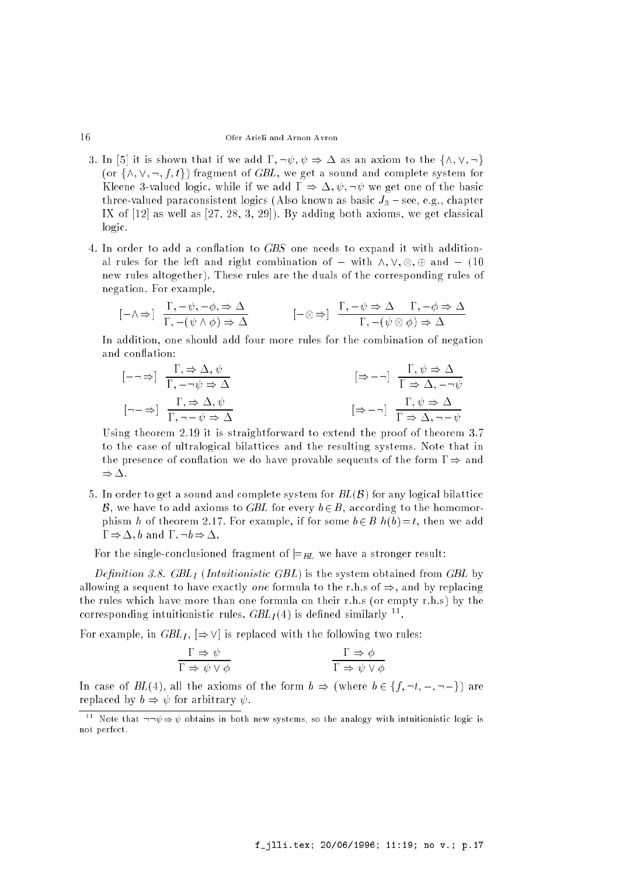- 3. In [5] it is shown that if we add  $\Gamma, \neg \psi, \psi \Rightarrow \Delta$  as an axiom to the  $\{\wedge, \vee, \neg\}$ (or  $\{\wedge, \vee, \neg, f, t\}$ ) fragment of GBL, we get a sound and complete system for Kleene 3-valued logic, while if we add  $\Gamma \Rightarrow \Delta, \psi, \neg \psi$  we get one of the basic three-valued paraconsistent logics (Also known as basic  $J_3$  – see, e.g., chapter IX of  $[12]$  as well as  $[27, 28, 3, 29]$ . By adding both axioms, we get classical logic.
- 4. In order to add a conflation to GBS one needs to expand it with additional rules for the left and right combination of  $\mathcal{N}$  ,  $\mathcal{N}$  and  $\mathcal{N}$  and  $\mathcal{N}$  and  $\mathcal{N}$ new rules altogether). These rules are the duals of the corresponding rules of negation. For example,

$$
[\bot \land \Rightarrow] \frac{\Gamma, \bot \psi, \bot \phi, \Rightarrow \Delta}{\Gamma, \bot (\psi \land \phi) \Rightarrow \Delta} \qquad [\bot \otimes \Rightarrow] \frac{\Gamma, \bot \psi \Rightarrow \Delta \quad \Gamma, \bot \phi \Rightarrow \Delta}{\Gamma, \bot (\psi \otimes \phi) \Rightarrow \Delta}
$$

In addition, one should add four more rules for the combination of negation and conflation:

$$
[\bot \neg \Rightarrow] \frac{\Gamma, \Rightarrow \Delta, \psi}{\Gamma, \bot \neg \psi \Rightarrow \Delta} \qquad [\Rightarrow \bot \neg] \frac{\Gamma, \psi \Rightarrow \Delta}{\Gamma \Rightarrow \Delta, \bot \neg \psi}
$$
  

$$
[\neg \bot \Rightarrow] \frac{\Gamma, \Rightarrow \Delta, \psi}{\Gamma, \neg \bot \psi \Rightarrow \Delta} \qquad [\Rightarrow \bot \neg] \frac{\Gamma, \psi \Rightarrow \Delta}{\Gamma \Rightarrow \Delta, \neg \bot \psi}
$$

Using theorem 2.19 it is straightforward to extend the proof of theorem 3.7 to the case of ultralogical bilattices and the resulting systems. Note that in the presence of conflation we do have provable sequents of the form  $\Gamma \Rightarrow$  and  $\Rightarrow \Delta$ .

5. In order to get a sound and complete system for  $BL(B)$  for any logical bilattice B, we have to add axioms to GBL for every  $b \in B$ , according to the homomorphism h of theorem 2.17. For example, if for some  $b \in B$   $h(b)=t$ , then we add  $\Gamma \Rightarrow \Delta$ , b and  $\Gamma$ ,  $\neg b \Rightarrow \Delta$ .

For the single-conclusioned fragment of  $\equiv_{BL}$  we have a stronger result:

Definition 3.8.  $GBL<sub>I</sub>$  (Intuitionistic  $GBL$ ) is the system obtained from  $GBL$  by allowing a sequent to have exactly one formula to the r.h.s of  $\Rightarrow$ , and by replacing the rules which have more than one formula on their r.h.s (or empty r.h.s) by the corresponding intuitionistic rules.  $GDL_I(4)$  is defined similarly  $\ddot{\ }$ .

For example, in  $GBL<sub>I</sub>$ ,  $\Rightarrow$   $\vee$  is replaced with the following two rules:

$$
\frac{\Gamma \Rightarrow \psi}{\Gamma \Rightarrow \psi \vee \phi} \qquad \qquad \frac{\Gamma \Rightarrow \phi}{\Gamma \Rightarrow \psi \vee \phi}
$$

In case of  $BL(4)$ , all the axioms of the form  $b \Rightarrow$  (where  $b \in \{f, \neg t, \bot, \neg \bot\}$ ) are replaced by  $b \Rightarrow \psi$  for arbitrary  $\psi$ .

<sup>&</sup>lt;sup>11</sup> Note that  $\neg\neg\psi \Rightarrow \psi$  obtains in both new systems, so the analogy with intuitionistic logic is not perfect.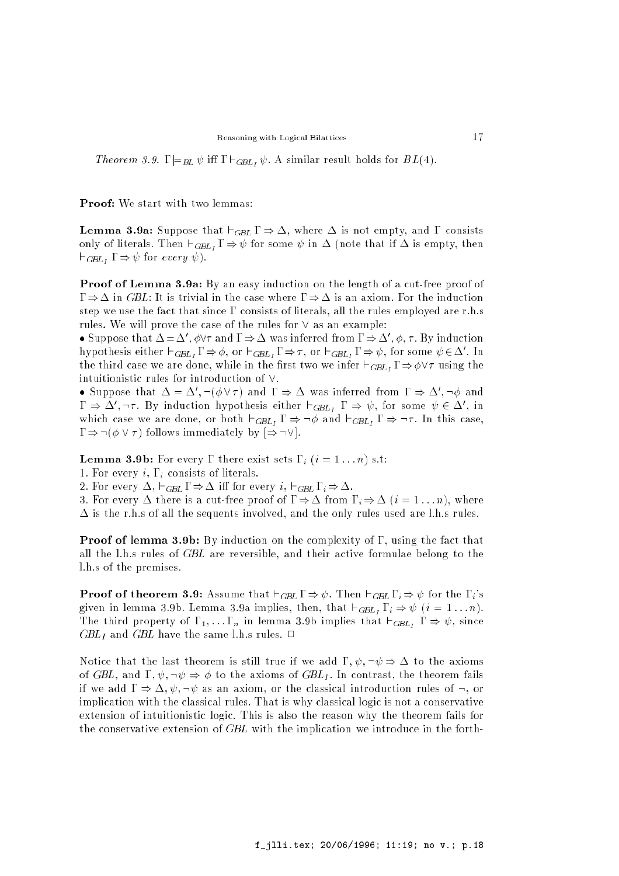Theorem 3.9.  $\Gamma \models_{BL} \psi$  iff  $\Gamma \vdash_{GBL} \psi$ . A similar result holds for  $BL(4)$ .

Proof: We start with two lemmas:

**Lemma 3.9a:** Suppose that  $\vdash_{GBL} \Gamma \Rightarrow \Delta$ , where  $\Delta$  is not empty, and  $\Gamma$  consists only of literals. Then  $\vdash_{GBL_1} \Gamma \Rightarrow \psi$  for some  $\psi$  in  $\Delta$  (note that if  $\Delta$  is empty, then  $\vdash_{GBL_I} \Gamma \Rightarrow \psi$  for every  $\psi$ ).

Proof of Lemma 3.9a: By an easy induction on the length of a cut-free proof of  $\Gamma \Rightarrow \Delta$  in GBL: It is trivial in the case where  $\Gamma \Rightarrow \Delta$  is an axiom. For the induction step we use the fact that since  $\Gamma$  consists of literals, all the rules employed are r.h.s rules. We will prove the case of the rules for  $\vee$  as an example:

• Suppose that  $\Delta = \Delta$  ,  $\varphi$ y and  $1 \Rightarrow \Delta$  was inferred from  $1 \Rightarrow \Delta$  ,  $\varphi$ , *t*. By induction hypothesis either  $\sqsubset_{GBL_1} \mathbf{1} \Rightarrow \varphi$ , or  $\sqsubset_{GBL_1} \mathbf{1} \Rightarrow \tau$ , or  $\sqsubset_{GBL_1} \mathbf{1} \Rightarrow \psi$ , for some  $\psi \in \Delta$ . In the third case we are done, while in the first two we infer  $\vdash_{GBL} \Gamma \Rightarrow \phi \lor \tau$  using the intuitionistic rules for introduction of  $\vee$ .

 $\bullet$  Suppose that  $\Delta = \Delta$ ,  $\neg(\emptyset \vee \tau)$  and  $\Gamma \Rightarrow \Delta$  was inferred from  $\Gamma \Rightarrow \Delta$ ,  $\neg \emptyset$  and  $\alpha_1 \Rightarrow \alpha_1, \beta_1 \dots \beta_N$  induction hypothesis either  $\Box_{GBL_1}$   $1 \Rightarrow \psi$ , for some  $\psi \in \Delta$ , in which case we are done, or both  $\vdash_{GBL_I} \Gamma \Rightarrow \neg \phi$  and  $\vdash_{GBL_I} \Gamma \Rightarrow \neg \tau$ . In this case,  $\Gamma \Rightarrow \neg (\phi \vee \tau)$  follows immediately by  $[\Rightarrow \neg \vee]$ .

**Lemma 3.9b:** For every  $\Gamma$  there exist sets  $\Gamma_i$   $(i = 1 ... n)$  s.t:

1. For every i,  $\Gamma_i$  consists of literals.

2. For every  $\Delta$ ,  $\vdash_{GBL} \Gamma \Rightarrow \Delta$  iff for every  $i, \vdash_{GBL} \Gamma_i \Rightarrow \Delta$ .

3. For every  $\Delta$  there is a cut-free proof of  $\Gamma \Rightarrow \Delta$  from  $\Gamma_i \Rightarrow \Delta$   $(i = 1 ... n)$ , where  $\Delta$  is the r.h.s of all the sequents involved, and the only rules used are l.h.s rules.

**Proof of lemma 3.9b:** By induction on the complexity of  $\Gamma$ , using the fact that all the l.h.s rules of GBL are reversible, and their active formulae belong to the l.h.s of the premises.

**Proof of theorem 3.9:** Assume that  $\vdash_{GBL} \Gamma \Rightarrow \psi$ . Then  $\vdash_{GBL} \Gamma_i \Rightarrow \psi$  for the  $\Gamma_i$ 's given in lemma 3.9b. Lemma 3.9a implies, then, that  $\vdash_{GBL_I} \Gamma_i \Rightarrow \psi$   $(i = 1 \ldots n)$ . The third property of  $\Gamma_1, \ldots, \Gamma_n$  in lemma 3.9b implies that  $\vdash_{GBL} \Gamma \Rightarrow \psi$ , since  $GBL<sub>I</sub>$  and  $GBL$  have the same l.h.s rules.  $\Box$ 

Notice that the last theorem is still true if we add  $\Gamma$ ,  $\psi$ ,  $\neg \psi \Rightarrow \Delta$  to the axioms of GBL, and  $\Gamma, \psi, \neg \psi \Rightarrow \phi$  to the axioms of GBL<sub>I</sub>. In contrast, the theorem fails if we add  $\Gamma \Rightarrow \Delta, \psi, \neg \psi$  as an axiom, or the classical introduction rules of  $\neg$ , or implication with the classical rules. That is why classical logic is not a conservative extension of intuitionistic logic. This is also the reason why the theorem fails for the conservative extension of GBL with the implication we introduce in the forth-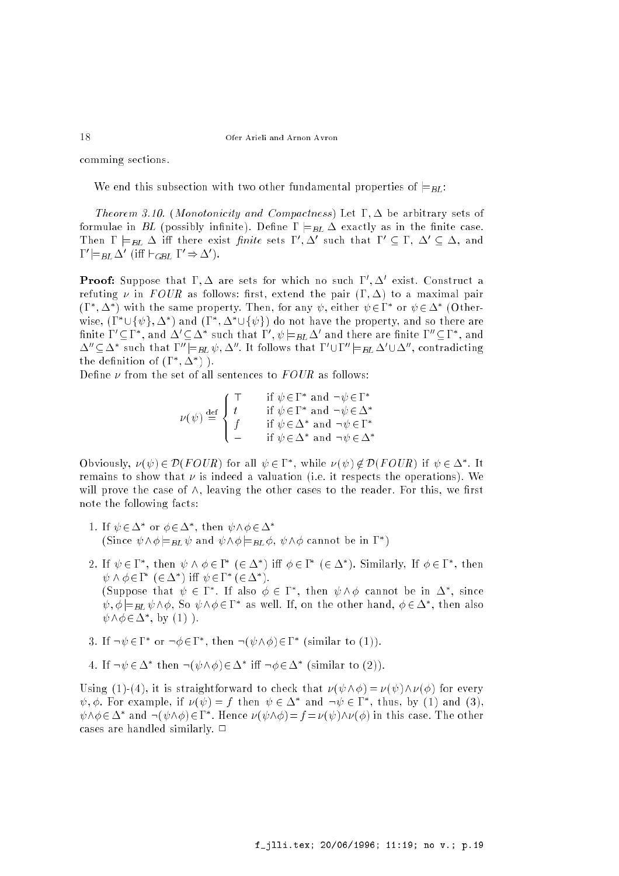comming sections.

We end this subsection with two other fundamental properties of  $\models_{BL}$ :

Theorem 3.10. (Monotonicity and Compactness) Let  $\Gamma, \Delta$  be arbitrary sets of  $\mathbf{f} = \mathbf{f} \mathbf{f}$  in the internal density in the set of  $\mathbf{f} = \mathbf{f} \mathbf{f}$  as in the set of  $\mathbf{f} = \mathbf{f} \mathbf{f}$ Then  $1 \models_{BL} \Delta$  in there exist *finite* sets  $1, \Delta$  such that  $1 \subseteq 1, \Delta \subseteq \Delta$ , and  $1 \models BL \Delta \setminus \text{III} \sqsubset GBL \perp \Rightarrow \Delta \cdot$ 

**Proof:** Suppose that  $1, \Delta$  are sets for which no such 1,  $\Delta$  exist. Construct a refuting  $\nu$  in FOUR as follows: first, extend the pair  $(\Gamma, \Delta)$  to a maximal pair  $(1, \Delta)$  with the same property. Then, for any  $\psi$ , either  $\psi \in I$  for  $\psi \in \Delta$  (Otherwise, (1  $\cup$ { $\psi$ },  $\Delta$  ) and (1 ,  $\Delta$   $\cup$ { $\psi$ }) do not have the property, and so there are nnite  $1 \subseteq 1$ , and  $\Delta \subseteq \Delta$  such that  $1$ ,  $\psi \models_{BL} \Delta$  and there are nnite  $1 \subseteq 1$ , and  $\Delta \subseteq \Delta$  such that  $1 \models_{BL} v, \Delta$  . It follows that  $1 \cup 1 \models_{BL} \Delta \cup \Delta$  , contradicting the definition of  $(1, \Delta)$ .

Define  $\nu$  from the set of all sentences to  $FOUR$  as follows:

$$
\nu(\psi) \stackrel{\text{def}}{=} \begin{cases} \top & \text{if } \psi \in \Gamma^* \text{ and } \neg \psi \in \Gamma^* \\ t & \text{if } \psi \in \Gamma^* \text{ and } \neg \psi \in \Delta^* \\ f & \text{if } \psi \in \Delta^* \text{ and } \neg \psi \in \Gamma^* \\ \bot & \text{if } \psi \in \Delta^* \text{ and } \neg \psi \in \Delta^* \end{cases}
$$

Obviously,  $\nu(\psi) \in \nu(F \cup U_R)$  for all  $\psi \in I$ , while  $\nu(\psi) \notin \nu(F \cup U_R)$  if  $\psi \in \Delta$ . It remains to show that  $\nu$  is indeed a valuation (i.e. it respects the operations). We will prove the case of  $\wedge$ , leaving the other cases to the reader. For this, we first note the following facts:

- 1. If  $\psi \in \Delta$  or  $\phi \in \Delta$  , then  $\psi \wedge \phi \in \Delta$ (Since  $\psi \wedge \phi = BL \psi$  and  $\psi \wedge \phi = BL \phi, \psi \wedge \phi$  cannot be in 1 )
- 2. If  $\psi \in I$  , then  $\psi \wedge \phi \in I$  ( $\in \Delta$  ) in  $\phi \in I$  ( $\in \Delta$  ). Similarly, if  $\phi \in I$  , then  $\psi \wedge \psi$ ヒエニ(ヒ $\Delta$  ) !!!  $\psi$ ヒエニ(ヒ $\Delta$  ). (Suppose that  $\psi \in I$  . If also  $\phi \in I$  , then  $\psi \wedge \phi$  cannot be in  $\Delta$  , since  $\psi, \varphi \models$  BL  $\psi \land \varphi$ , So  $\psi \land \varphi \in I$  as well. It, on the other hand,  $\varphi \in \Delta$ , then also  $\psi \wedge \psi \in \Delta$ , Dy (1) ).
- $\mathfrak{z}$ . If  $\neg \psi \in \mathfrak{l}$  or  $\neg \psi \in \mathfrak{l}$  , then  $\neg (\psi \wedge \psi) \in \mathfrak{l}$  , think to (1)).
- 4. II  $\neg \psi \in \Delta$  then  $\neg (\psi \wedge \phi) \in \Delta$  in  $\neg \phi \in \Delta$  (similar to (2)).

Using (1)-(4), it is straightforward to check that  $\nu(\psi \wedge \phi) = \nu(\psi) \wedge \nu(\phi)$  for every  $\psi, \varphi$ , for example, if  $\nu(\psi) = 1$  then  $\psi \in \Delta$  and  $\neg \psi \in 1$ , thus, by (1) and (3),  $\psi \wedge \phi \in \Delta$  and  $\neg(\psi \wedge \phi) \in I$  . Hence  $\nu(\psi \wedge \phi) = I = \nu(\psi) \wedge \nu(\phi)$  in this case. The other cases are handled similarly.  $\Box$ 

18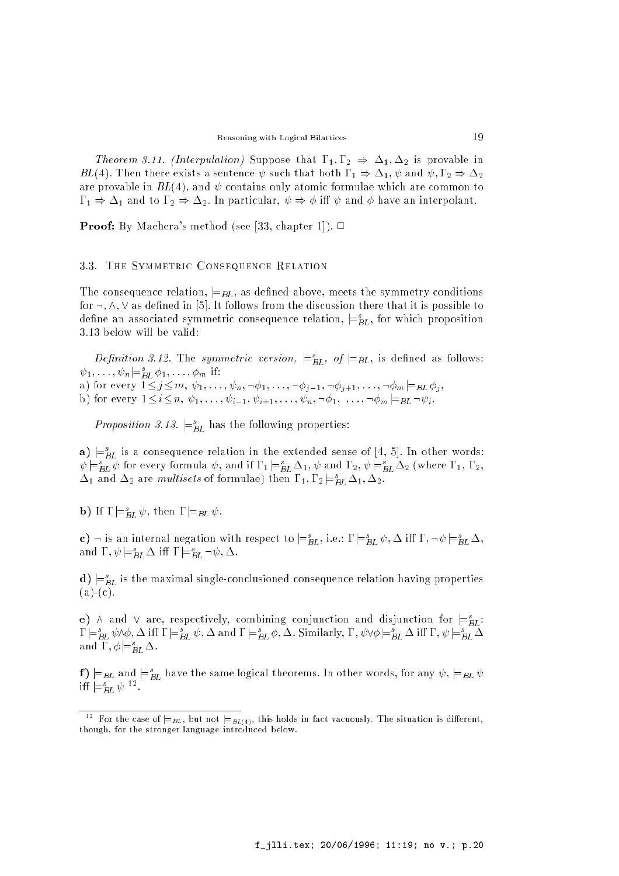*Theorem 3.11. (Interpulation)* Suppose that  $\Gamma_1, \Gamma_2 \Rightarrow \Delta_1, \Delta_2$  is provable in BL(4). Then there exists a sentence  $\psi$  such that both  $\Gamma_1 \Rightarrow \Delta_1, \psi$  and  $\psi, \Gamma_2 \Rightarrow \Delta_2$ are provable in  $BL(4)$ , and  $\psi$  contains only atomic formulae which are common to  $\Gamma_1 \Rightarrow \Delta_1$  and to  $\Gamma_2 \Rightarrow \Delta_2$ . In particular,  $\psi \Rightarrow \phi$  iff  $\psi$  and  $\phi$  have an interpolant.

**Proof:** By Maehera's method (see [33, chapter 1]).  $\Box$ 

#### 3.3. The Symmetric Consequence Relation

The consequence relation,  $\models$   $BL$ , as defined above, meets the symmetry conditions for  $\neg, \wedge, \vee$  as defined in [5]. It follows from the discussion there that it is possible to define an associated symmetric consequence relation,  $\equiv_{BL}$ , for which proposition 3.13 below will be valid:

*Definition 3.12.* The *symmetric version*,  $\models$ <sub>*BL*</sub>, *of*  $\models$ *BL*, is defined as follows:  $\psi_1, \ldots, \psi_n \models_{BL} \varphi_1, \ldots, \varphi_m$  11:

 $\bm{a}$  for every  $\bm{b}$  for  $\bm{c}$   $\bm{c}$   $\bm{c}$   $\bm{c}$   $\bm{c}$   $\bm{c}$   $\bm{c}$   $\bm{c}$   $\bm{c}$   $\bm{c}$   $\bm{c}$   $\bm{c}$   $\bm{c}$   $\bm{c}$   $\bm{c}$   $\bm{c}$   $\bm{c}$   $\bm{c}$   $\bm{c}$   $\bm{c}$   $\bm{c}$   $\bm{c}$   $\bm{c}$   $\bm{c}$ 

 $\tau$ ) for every in itelations in the form in the form in the form  $\tau$  is such that  $\tau$  is interesting to  $\tau$ 

*Proposition 3.13.*  $\equiv_{BL}^{\infty}$  has the following properties:

 ${\bf a}$ )  $\models_{BL}$  is a consequence relation in the extended sense of [4, 5]. In other words:  $\psi \models_{BL} \psi$  for every formula  $\psi$ , and if  $1_1 \models_{BL} \Delta_1$ ,  $\psi$  and  $1_2$ ,  $\psi \models_{BL} \Delta_2$  (where  $1_1, 1_2,$  $\Delta_1$  and  $\Delta_2$  are *multisets* of formulae) then  $1_1, 1_2 \models_{BL} \Delta_1, \Delta_2.$ 

**b**) If  $\mathbf{I} = \mathbf{B}L \mathbf{\Psi}$ , then  $\mathbf{I} = \mathbf{B}L \mathbf{\Psi}$ .

c)  $\exists$  is an internal negation with respect to  $\models_{BL}^s,$  i.e.:  $1 \models_{BL}^s \psi, \Delta$  in  $1\,, \neg \psi \models_{BL}^s \Delta,$ and  $1, \psi \models_{BL} \Delta$  in  $1 \models_{BL} \neg \psi, \Delta$ .

 ${\bf a}$ )  $\models$  $_{BL}$  is the maximal single-conclusioned consequence relation having properties  $(a)-(c).$ 

e)  $\land$  and  $\lor$  are, respectively, combining conjunction and disjunction for  $\models_{BL}$ : j=s BL ^; i j=s BL ; and j=<sup>s</sup> BL ; . Similarly, ; \_ j=s BL i ; j=s BL and  $\mathbf{1}$  ,  $\varphi \models_{BL} \Delta$ .

 $f(\mathbf{r}) = B$ L and  $\models_{BL}^{\infty}$  have the same logical theorems. In other words, for any  $\psi$  ,  $\models_{BL} \psi$  $\text{in}$   $\mathop{\varepsilon_{BL}}$   $\psi$   $\cdots$ 

 $12$  for the case of  $\equiv_{BL}$ , but not  $\equiv_{BL(4)}$ , this holds in fact vacuously. The situation is different, though, for the stronger language introduced below.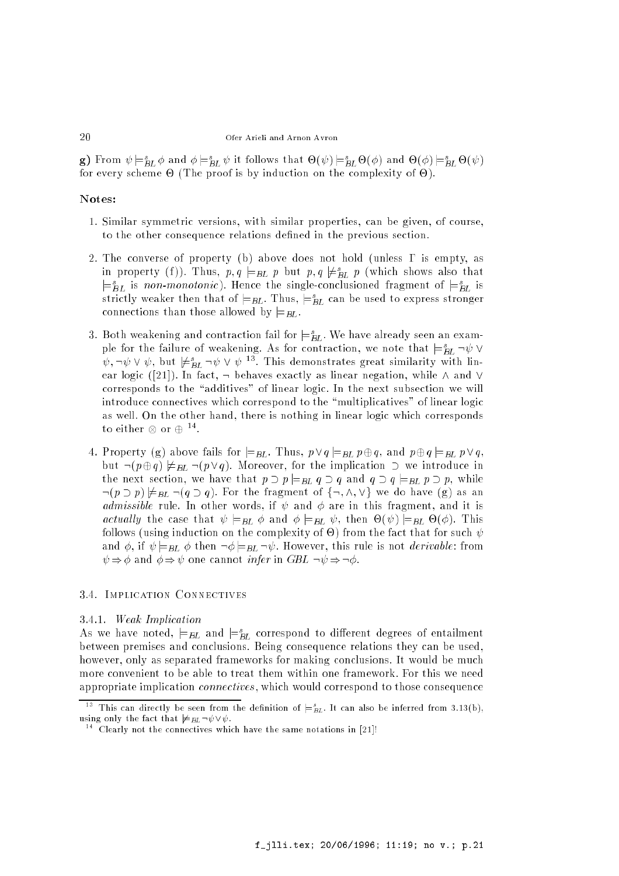g) from  $\psi \models_{BL}^{\infty} \varphi$  and  $\varphi \models_{BL}^{\infty} \psi$  it follows that  $\Theta(\psi) \models_{BL}^{\infty} \Theta(\varphi)$  and  $\Theta(\varphi) \models_{BL}^{\infty} \Theta(\psi)$ for every scheme - (The proof is by induction on the complexity of -).

## Notes:

- 1. Similar symmetric versions, with similar properties, can be given, of course, to the other consequence relations defined in the previous section.
- 2. The converse of property (b) above does not hold (unless  $\Gamma$  is empty, as in property (f)). Thus,  $p,q \models_{BL} p$  but  $p,q \not \models_{BL} p$  (which shows also that  $\equiv_{BL}$  is non-monotonic). Hence the single-conclusioned fragment of  $\equiv_{BL}$  is strictly weaker then that of  $\models$   $_{BL}$ . Thus,  $\models$   $_{BL}$  can be used to express stronger connections than those allowed by  $\models$   $_{BL}$ .
- 3. Both weakening and contraction fail for  $\equiv_{BL}^{-}$  we have already seen an example for the failure of weakening. As for contraction, we note that  $\models_{BL} \neg \psi \vee \psi$  $\psi, \neg \psi \lor \psi$ , but  $\neq_{BL} \neg \psi \lor \psi \negthinspace\negthinspace \cdot \negthinspace 1$  his demonstrates great similarity with finear logic ([21]). In fact,  $\rightarrow$  behaves exactly as linear negation, while  $\land$  and  $\lor$ corresponds to the "additives" of linear logic. In the next subsection we will introduce connectives which correspond to the \multiplicatives" of linear logic as well. On the other hand, there is nothing in linear logic which corresponds to either  $\otimes$  or  $\oplus$  .
- 4. Property (g) above fails for  $\models_{BL}$ . Thus,  $p \lor q \models_{BL} p \oplus q$ , and  $p \oplus q \models_{BL} p \lor q$ , but  $\neg(p \oplus q) \not\models_{BL} \neg(p \vee q)$ . Moreover, for the implication  $\supset$  we introduce in the next section, we have that  $p \supset p \models_{BL} q \supset q$  and  $q \supset q \models_{BL} p \supset p$ , while  $\lnot (p \supset p) \not\models_{BL} \lnot (q \supset q)$ . For the fragment of  $\{\neg, \land, \lor\}$  we do have (g) as an *admissible* rule. In other words, if  $\psi$  and  $\phi$  are in this fragment, and it is actual ly the case that is the case of the case of the case of the case of the case of the case of the case of follows (using induction on the fact that for such that for such that for such that for such that for such that for such that for such that for such that for such that for such that for such that for such that for such th and  $\phi$ , if  $\psi|_{BL} \phi$  then  $\neg \phi|_{BL} \neg \psi$ . However, this rule is not *derivable*: from  $\psi \Rightarrow \phi$  and  $\phi \Rightarrow \psi$  one cannot *infer* in *GBL*  $\neg \psi \Rightarrow \neg \phi$ .

## 3.4. Implication Connectives

#### 3.4.1. Weak Implication

As we have noted,  $\models$ BL and  $\models$ BL correspond to different degrees of entailment between premises and conclusions. Being consequence relations they can be used, however, only as separated frameworks for making conclusions. It would be much more convenient to be able to treat them within one framework. For this we need appropriate implication connectives , which would correspond to those consequence

 $\lceil \cdot \rceil$  ins can directly be seen from the definition of  $\mathrel{\models}_{BL}$ . It can also be inferred from 3.13(b), using only the fact that  $\neq_{BL} \neg \psi \vee \psi$ .<br><sup>14</sup> Clearly not the connectives which have the same notations in [21]!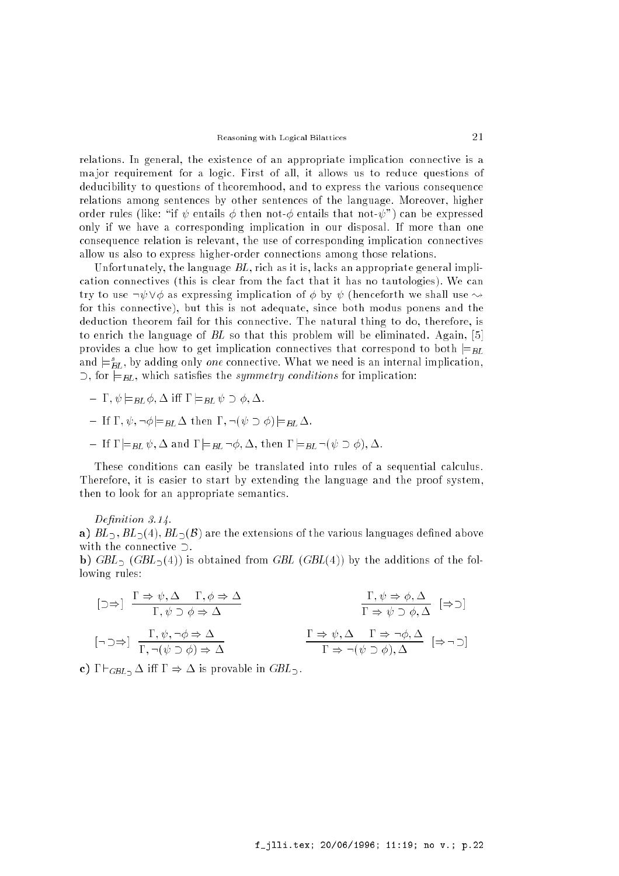relations. In general, the existence of an appropriate implication connective is a ma jor requirement for a logic. First of all, it allows us to reduce questions of deducibility to questions of theoremhood, and to express the various consequence relations among sentences by other sentences of the language. Moreover, higher order rules (like: "if  $\psi$  entails  $\phi$  then not- $\phi$  entails that not- $\psi$ ") can be expressed only if we have a corresponding implication in our disposal. If more than one consequence relation is relevant, the use of corresponding implication connectives allow us also to express higher-order connections among those relations.

Unfortunately, the language  $BL$ , rich as it is, lacks an appropriate general implication connectives (this is clear from the fact that it has no tautologies). We can try to use  $\neg \psi \vee \phi$  as expressing implication of  $\phi$  by  $\psi$  (henceforth we shall use  $\leadsto$ for this connective), but this is not adequate, since both modus ponens and the deduction theorem fail for this connective. The natural thing to do, therefore, is to enrich the language of BL so that this problem will be eliminated. Again, [5] provides a clue how to get implication connectives that correspond to both  $\models$ BL and  $\equiv_{BL}$ , by adding only *one* connective. What we need is an internal implication,  $\supset$ , for  $\models$ <sub>BL</sub>, which satisfies the *symmetry conditions* for implication:

- $\perp \Gamma$ ,  $\psi \models_{BL} \phi$ ,  $\Delta$  iff  $\Gamma \models_{BL} \psi \supset \phi$ ,  $\Delta$ .
- $\perp$  If  $\Gamma$ ,  $\psi$ ,  $\neg \phi \models_{BL} \Delta$  then  $\Gamma$ ,  $\neg (\psi \supset \phi) \models_{BL} \Delta$ .
- $\perp$  If  $\Gamma \models_{BL} \psi$ ,  $\Delta$  and  $\Gamma \models_{BL} \neg \phi$ ,  $\Delta$ , then  $\Gamma \models_{BL} \neg (\psi \supset \phi)$ ,  $\Delta$ .

These conditions can easily be translated into rules of a sequential calculus. Therefore, it is easier to start by extending the language and the proof system, then to look for an appropriate semantics.

#### Definition 3.14.

a)  $BL_2$ ,  $BL_2(4)$ ,  $BL_2(\mathcal{B})$  are the extensions of the various languages defined above with the connective  $\supset$ .

**b)** GBL<sub>2</sub> (GBL<sub>2</sub>(4)) is obtained from GBL (GBL(4)) by the additions of the following rules:

$$
\begin{array}{ccc}\n\left[\supset \Rightarrow\right] & \frac{\Gamma \Rightarrow \psi, \Delta \quad \Gamma, \phi \Rightarrow \Delta}{\Gamma, \psi \supset \phi \Rightarrow \Delta} & & \frac{\Gamma, \psi \Rightarrow \phi, \Delta}{\Gamma \Rightarrow \psi \supset \phi, \Delta} & \left[\Rightarrow \supset\right] \\
\left[\neg \supset \Rightarrow\right] & \frac{\Gamma, \psi, \neg \phi \Rightarrow \Delta}{\Gamma, \neg(\psi \supset \phi) \Rightarrow \Delta} & & \frac{\Gamma \Rightarrow \psi, \Delta \quad \Gamma \Rightarrow \neg \phi, \Delta}{\Gamma \Rightarrow \neg(\psi \supset \phi), \Delta} & \left[\Rightarrow \neg \supset\right]\n\end{array}
$$

c)  $\Gamma \vdash_{GBL} \Delta$  iff  $\Gamma \Rightarrow \Delta$  is provable in  $GBL$ .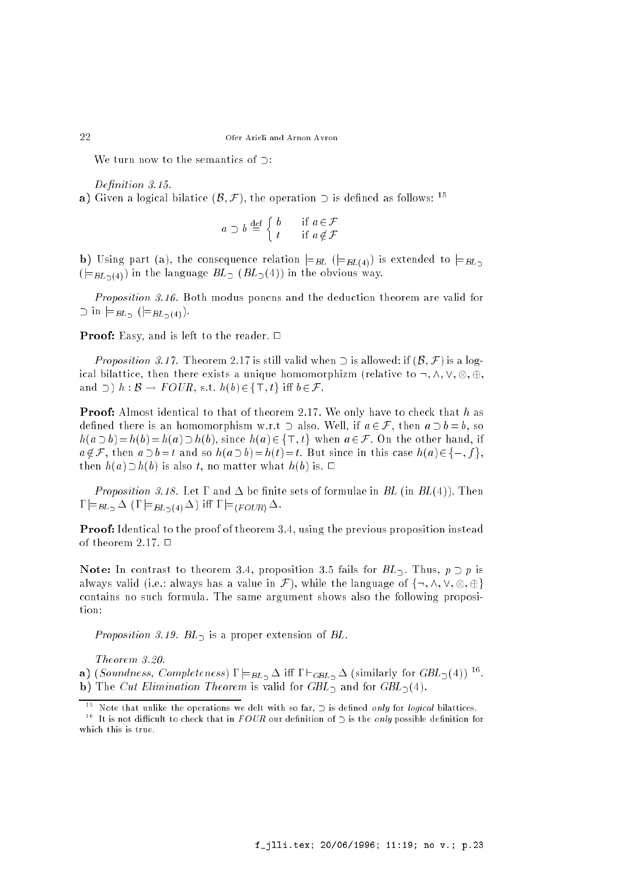We turn now to the semantics of  $\supset$ :

Definition 3.15.

a) Given a logical bilatice  $(\mathcal{B}, \mathcal{F})$ , the operation  $\supset$  is defined as follows: <sup>15</sup>

$$
a \supset b \stackrel{\text{def}}{=} \begin{cases} b & \text{if } a \in \mathcal{F} \\ t & \text{if } a \notin \mathcal{F} \end{cases}
$$

b) Using part (a), the consequence relation  $\models_{BL} ( \models_{BL(4)})$  is extended to  $\models_{BL_2}$  $(\models_{BL_{\supset}(4)})$  in the language  $BL_{\supset}(BL_{\supset}(4))$  in the obvious way.

Proposition 3.16. Both modus ponens and the deduction theorem are valid for  $\supset$  in  $\models$   $BL_2$   $(\models$   $BL_2(4)$ ).

**Proof:** Easy, and is left to the reader.  $\Box$ 

*Proposition 3.17.* Theorem 2.17 is still valid when  $\supset$  is allowed: if  $(\mathcal{B}, \mathcal{F})$  is a logis the complete then the contract a unit  $\alpha$  and  $\beta$  are the stationary (relative to :;  $\alpha$  ;  $\beta$  ;  $\gamma$  ;  $\gamma$  ; and  $\supset$   $h : \mathcal{B} \to \text{FOUR}$ , s.t.  $h(b) \in \{\top, t\}$  iff  $b \in \mathcal{F}$ .

**Proof:** Almost identical to that of theorem 2.17. We only have to check that h as defined there is an homomorphism w.r.t  $\supset$  also. Well, if  $a \in \mathcal{F}$ , then  $a \supset b = b$ , so  $h(a \supset b) = h(b) = h(a) \supset h(b)$ , since  $h(a) \in \{\top, t\}$  when  $a \in \mathcal{F}$ . On the other hand, if  $a \notin \mathcal{F}$ , then  $a \supset b=t$  and so  $h(a \supset b)=h(t)=t$ . But since in this case  $h(a) \in \{\perp, f\}$ . then  $h(a) \supset h(b)$  is also t, no matter what  $h(b)$  is.  $\Box$ 

*Proposition 3.18.* Let  $\Gamma$  and  $\Delta$  be finite sets of formulae in BL (in BL(4)). Then  $\Gamma \models_{BL_2} \Delta (\Gamma \models_{BL_2(4)} \Delta)$  iff  $\Gamma \models_{\langle \text{FOUR} \rangle} \Delta$ .

Proof: Identical to the proof of theorem 3.4, using the previous proposition instead of theorem 2.17.  $\Box$ 

**Note:** In contrast to theorem 3.4, proposition 3.5 fails for  $BL_2$ . Thus,  $p \supset p$  is always value in Fig. always has a value in Fig. , while the language of fig. ,  $\alpha$  ,  $\beta$  ,  $\beta$ contains no such formula. The same argument shows also the following proposition:

Proposition 3.19.  $BL<sub>2</sub>$  is a proper extension of BL.

Theorem 3.20.

**a**) (Sounaness, Completeness)  $I = BL \Delta$  III  $I = GBL \Delta$  (similarly for GDL $_D(4)$ ) <sup>--</sup>. **b**) The *Cut Elimination Theorem* is valid for  $GBL<sub>2</sub>$  and for  $GBL<sub>2</sub>(4)$ .

22

Note that unlike the operations we delt with so far,  $\supset$  is defined only for logical bilattices.

<sup>&</sup>lt;sup>16</sup> It is not difficult to check that in  $FOUR$  our definition of  $\supset$  is the *only* possible definition for which this is true.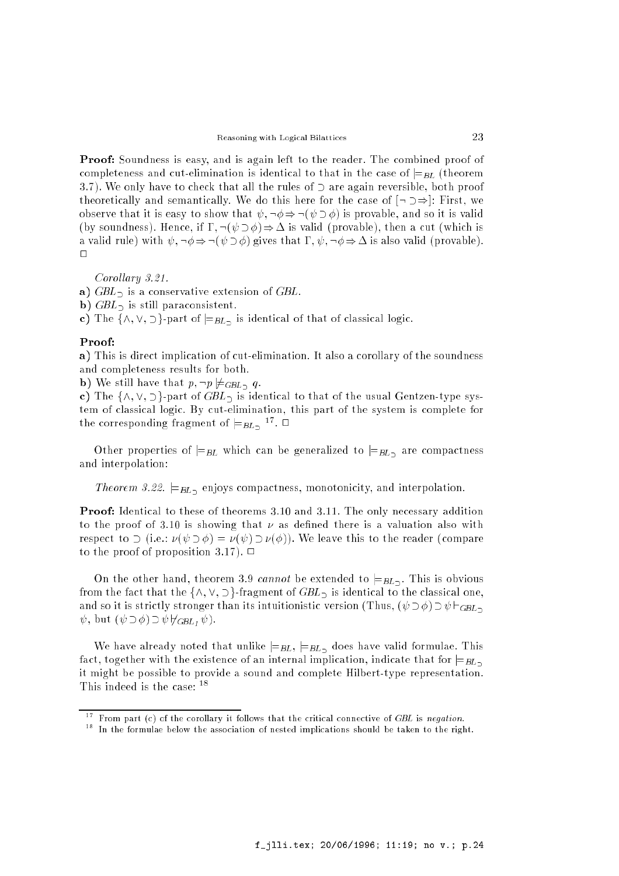Proof: Soundness is easy, and is again left to the reader. The combined proof of completeness and cut-elimination is identical to that in the case of  $\models_{BL}$  (theorem 3.7). We only have to check that all the rules of  $\supset$  are again reversible, both proof theoretically and semantically. We do this here for the case of  $\lceil \cdot \rceil \Rightarrow$ : First, we observe that it is easy to show that  $\psi$ ,  $\neg \phi \Rightarrow \neg (\psi \supset \phi)$  is provable, and so it is valid (by soundness). Hence, if  $\Gamma$ ,  $\neg(\psi \supset \phi) \Rightarrow \Delta$  is valid (provable), then a cut (which is a valid rule) with  $\psi$ ,  $\neg \phi \Rightarrow \neg (\psi \supset \phi)$  gives that  $\Gamma$ ,  $\psi$ ,  $\neg \phi \Rightarrow \Delta$  is also valid (provable).  $\Box$ 

Corollary 3.21.

a)  $GBL<sub>2</sub>$  is a conservative extension of  $GBL$ .

b)  $GBL_{\supset}$  is still paraconsistent.

c) The  $\{\wedge, \vee, \supset\}$ -part of  $\models_{BL_2}$  is identical of that of classical logic.

#### Proof:

a) This is direct implication of cut-elimination. It also a corollary of the soundness and completeness results for both.

**b)** We still have that  $p, \neg p \not\models GBL \neg q$ .

c) The  $\{\wedge, \vee, \supset\}$ -part of  $GBL_{\supset}$  is identical to that of the usual Gentzen-type system of classical logic. By cut-elimination, this part of the system is complete for the corresponding tragment of  $\models BL_{2}$ ,  $\cdot \cup$ 

Other properties of  $\models$ BL which can be generalized to  $\models$ BL<sub>2</sub> are compactness and interpolation:

Theorem 3.22.  $\models$   $B_L$ , enjoys compactness, monotonicity, and interpolation.

Proof: Identical to these of theorems 3.10 and 3.11. The only necessary addition to the proof of 3.10 is showing that  $\nu$  as defined there is a valuation also with respect to  $\supset$  (i.e.:  $\nu(\psi \supset \phi) = \nu(\psi) \supset \nu(\phi)$ ). We leave this to the reader (compare to the proof of proposition 3.17).  $\Box$ 

On the other hand, theorem 3.9 cannot be extended to  $\models$ <sub>BL</sub>. This is obvious from the fact that the  $\{\wedge, \vee, \supset\}$ -fragment of  $GBL$  is identical to the classical one, and so it is strictly stronger than its intuitionistic version (Thus,  $(\psi \supset \phi) \supset \psi \vdash_{GBL}$ )  $\psi$ , but  $(\psi \supset \phi) \supset \psi \nvdash_{GBL_1} \psi$ ).

We have already noted that unlike  $\models_{BL}$ ,  $\models_{BL}$ , does have valid formulae. This fact, together with the existence of an internal implication, indicate that for  $\vert =_{BL}$ it might be possible to provide a sound and complete Hilbert-type representation. This indeed is the case: <sup>18</sup>

From part (c) of the corollary it follows that the critical connective of GBL is negation.

 $\hbox{ }^{\circ}$  In the formulae below the association of nested implications should be taken to the right.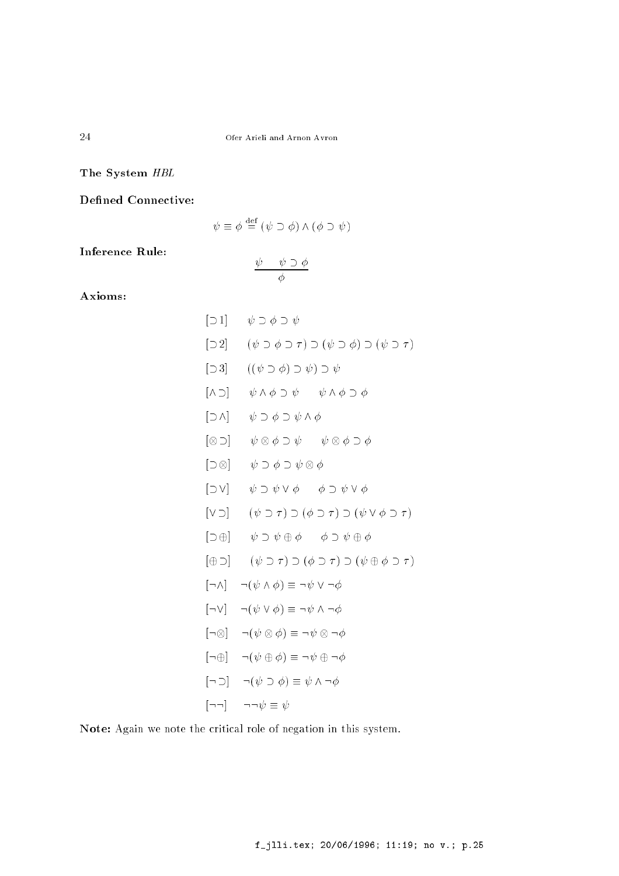The System HBL

Defined Connective:

$$
\psi \equiv \phi \stackrel{\text{def}}{=} (\psi \supset \phi) \land (\phi \supset \psi)
$$

Inference Rule:

$$
\frac{\psi \quad \psi \supset \phi}{\phi}
$$

Axioms:

$$
[\neg 1] \quad \psi \supset \phi \supset \psi
$$
\n
$$
[\neg 2] \quad (\psi \supset \phi \supset \tau) \supset (\psi \supset \phi) \supset (\psi \supset \tau)
$$
\n
$$
[\neg 3] \quad ((\psi \supset \phi) \supset \psi) \supset \psi
$$
\n
$$
[\wedge \supset] \quad \psi \wedge \phi \supset \psi \quad \psi \wedge \phi \supset \phi
$$
\n
$$
[\neg \wedge] \quad \psi \supset \phi \supset \psi \wedge \phi
$$
\n
$$
[\neg \otimes] \quad \psi \otimes \phi \supset \psi \quad \psi \otimes \phi \supset \phi
$$
\n
$$
[\neg \otimes] \quad \psi \supset \phi \supset \psi \otimes \phi
$$
\n
$$
[\neg \vee] \quad (\psi \supset \tau) \supset (\phi \supset \tau) \supset (\psi \vee \phi \supset \tau)
$$
\n
$$
[\neg \oplus] \quad (\psi \supset \tau) \supset (\phi \supset \tau) \supset (\psi \vee \phi \supset \tau)
$$
\n
$$
[\neg \wedge] \quad \neg (\psi \wedge \phi) \equiv \neg \psi \vee \neg \phi
$$
\n
$$
[\neg \vee] \quad \neg (\psi \vee \phi) \equiv \neg \psi \wedge \neg \phi
$$
\n
$$
[\neg \vee] \quad \neg (\psi \otimes \phi) \equiv \neg \psi \wedge \neg \phi
$$
\n
$$
[\neg \neg \neg \neg \psi) \quad \neg (\psi \otimes \phi) \equiv \neg \psi \otimes \neg \phi
$$
\n
$$
[\neg \neg \neg \neg \psi) \quad \neg (\psi \otimes \phi) \equiv \neg \psi \otimes \neg \phi
$$
\n
$$
[\neg \neg \neg \neg \psi) \equiv \psi \wedge \neg \phi
$$
\n
$$
[\neg \neg \neg \neg \psi) \equiv \psi \wedge \neg \phi
$$
\n
$$
[\neg \neg \neg \psi) \equiv \psi \wedge \neg \phi
$$
\n
$$
[\neg \neg \neg \psi) \equiv \psi \wedge \neg \phi
$$
\n
$$
[\neg \neg \neg \psi) \equiv \psi \wedge \neg \phi
$$
\n
$$
[\neg \neg \neg \psi) \
$$

Note: Again we note the critical role of negation in this system.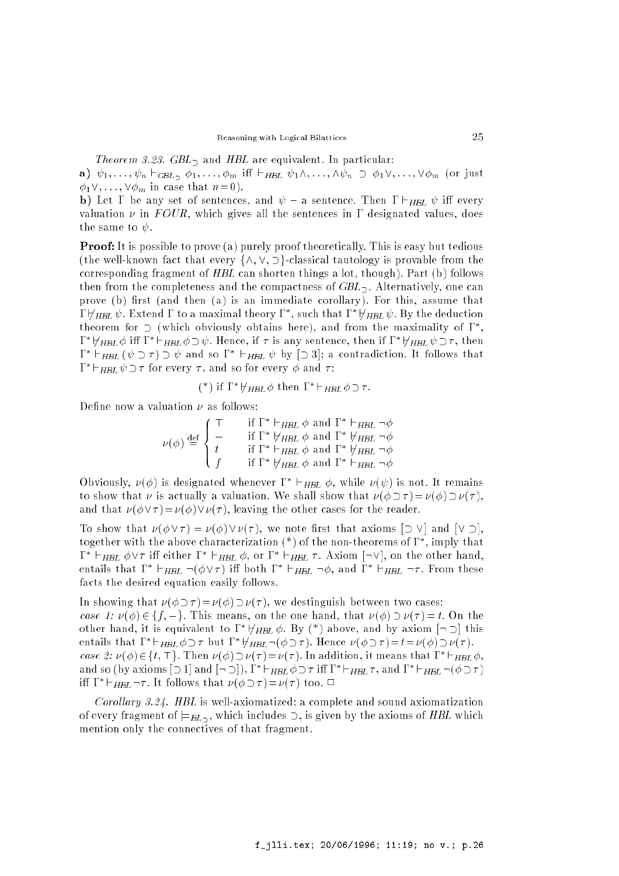Theorem 3.23. GBL, and HBL are equivalent. In particular:

a)  $\psi_1, \ldots, \psi_n \vdash_{GBL_2} \phi_1, \ldots, \phi_m$  iff  $\vdash_{HBL} \psi_1 \wedge, \ldots, \wedge \psi_n \supset \phi_1 \vee, \ldots, \vee \phi_m$  (or just  $\phi_1 \vee, \ldots, \vee \phi_m$  in case that  $n = 0$ ).

b) Let  $\Gamma$  be any set of sentences, and  $\psi$  – a sentence. Then  $\Gamma \vdash_{HBL} \psi$  iff every valuation  $\nu$  in FOUR, which gives all the sentences in  $\Gamma$  designated values, does the same to  $\psi$ .

**Proof:** It is possible to prove (a) purely proof theoretically. This is easy but tedious (the well-known fact that every  $\{\wedge, \vee, \supset\}$ -classical tautology is provable from the corresponding fragment of HBL can shorten things a lot, though). Part (b) follows then from the completeness and the compactness of  $GBL_{\supset}$ . Alternatively, one can prove (b) first (and then (a) is an immediate corollary). For this, assume that  $1 \nabla HBL$   $\psi$  . Extend  $1$  to a maximal theory  $1$  , such that  $1 \nabla HBL$   $\psi$  . By the deduction theorem for  $\cup$  (which obviously obtains here), and from the maximality of I ,  $1 \nightharpoonup \nightharpoonup HBL \nightharpoonup \nightharpoonup HBL \nightharpoonup \nightharpoonup \nightharpoonup \nightharpoonup \nightharpoonup \nightharpoonup \nightharpoonup \nightharpoonup HBL \nightharpoonup \nightharpoonup \nightharpoonup \nightharpoonup \nightharpoonup \nightharpoonup \nightharpoonup \nightharpoonup \nightharpoonup \nightharpoonup \nightharpoonup \nightharpoonup \nightharpoonup \nightharpoonup \nightharpoonup \nightharpoonup \nightharpoonup \nightharpoonup \nightharpoonup \nightharpoonup \nightharpoonup \nightharpoonup \nightharpoonup \nighth$ **I**  $\vdash$   $\vdash$   $HHB$  (  $\psi$   $\supset$   $\tau$  )  $\supset$   $\psi$  and so  $I$   $\vdash$   $HHB$   $\psi$  by  $\supset$  3); a contradiction. It follows that  $H = HBL \psi \supset \tau$  for every  $\tau$  , and so for every  $\phi$  and  $\tau$  :

$$
(*) \text{ if } \Gamma^* \nvdash_{HBL} \phi \text{ then } \Gamma^* \vdash_{HBL} \phi \supset \tau.
$$

Define now a valuation  $\nu$  as follows:

$$
\nu(\phi) \stackrel{\text{def}}{=} \begin{cases} \top & \text{if } \Gamma^* \vdash_{HBL} \phi \text{ and } \Gamma^* \vdash_{HBL} \neg \phi \\ \bot & \text{if } \Gamma^* \not\models_{HBL} \phi \text{ and } \Gamma^* \not\models_{HBL} \neg \phi \\ t & \text{if } \Gamma^* \vdash_{HBL} \phi \text{ and } \Gamma^* \not\models_{HBL} \neg \phi \\ f & \text{if } \Gamma^* \not\models_{HBL} \phi \text{ and } \Gamma^* \vdash_{HBL} \neg \phi \end{cases}
$$

Obviously,  $\nu(\varphi)$  is designated whenever  $1 + \square_{HBL} \varphi$ , while  $\nu(\psi)$  is not. It remains to show that  $\nu$  is actually a valuation. We shall show that  $\nu(\phi \supset \tau) = \nu(\phi) \supset \nu(\tau)$ . and that  $\nu(\phi \vee \tau) = \nu(\phi) \vee \nu(\tau)$ , leaving the other cases for the reader.

To show that  $\nu(\phi \vee \tau) = \nu(\phi) \vee \nu(\tau)$ , we note first that axioms  $[\supset \vee]$  and  $[\vee \supset]$ , together with the above characterization (\*) of the non-theorems of , imply that **I**  $\vdash$   $HHBL$   $\varphi$  v  $\vdash$  in either **1**  $\vdash$   $HHBL$   $\varphi$ , or  $1$   $\vdash$   $HHBL$   $\varphi$  . Axiom  $|\neg$  v  $|$ , on the other hand, entails that  $I = \Box (\varphi \lor \tau)$  in both  $I = \Box HBL \neg \varphi$ , and  $I = \Box HBL \neg \tau$ . From these facts the desired equation easily follows.

In showing that  $\nu(\phi \supset \tau) = \nu(\phi) \supset \nu(\tau)$ , we destinguish between two cases: case 1:  $\nu(\phi) \in \{f, \perp\}$ . This means, on the one hand, that  $\nu(\phi) \supset \nu(\tau) = t$ . On the other hand, it is equivalent to  $1 - \eta_{HBL} \phi$ . By (\*) above, and by axiom  $|\neg$   $\rangle$  this entails that  $I = \square$   $HBL \varphi \supseteq I$  but  $I = \square$   $HBL \neg (\varphi \supseteq I)$ . Hence  $\nu(\varphi \supseteq I) = t = \nu(\varphi) \supseteq \nu(T)$ . case  $z: \nu(\varphi) \in \{t, +\}$ . Then  $\nu(\varphi) \supset \nu(\tau) = \nu(\tau)$ . In addition, it means that  $1 - \tau_{HBL} \varphi$ , and so (by axioms  $\cup$  1) and  $\cup$ ,  $1$   $\vdash$   $HHL$   $\varphi$   $\cup$   $i$   $\vdash$   $HHL$   $\vdash$   $HHR$ ,  $i$ , and  $1$   $\vdash$   $HHR$ ,  $\neg$   $\vdash$   $\varphi$   $\varphi$   $i$   $\vdash$ III I  $\vdash$  FHBL  $\neg \tau$ . It follows that  $\nu(\varphi \supset \tau) = \nu(\tau)$  too.  $\sqcup$ 

Corollary 3.24. HBL is well-axiomatized: a complete and sound axiomatization of every fragment of  $\models$   $B_L$ , which includes  $\supset$ , is given by the axioms of HBL which mention only the connectives of that fragment.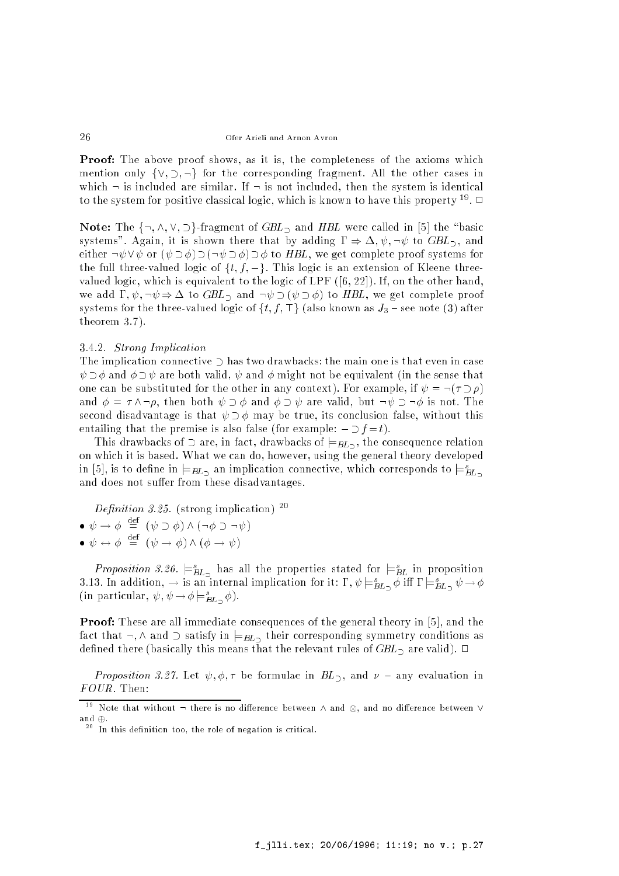**Proof:** The above proof shows, as it is, the completeness of the axioms which mention only  $\{ \vee, \supset, \neg \}$  for the corresponding fragment. All the other cases in which  $\neg$  is included are similar. If  $\neg$  is not included, then the system is identical to the system for positive classical logic, which is known to have this property  $\sim$  .  $\Box$ 

Note: The  $\{\neg, \wedge, \vee, \supset\}$ -fragment of  $GBL$  and HBL were called in [5] the "basic systems". Again, it is shown there that by adding  $\Gamma \Rightarrow \Delta, \psi, \neg \psi$  to  $GBL_{\Box}$ , and either  $\neg \psi \lor \psi$  or  $(\psi \lor \phi) \lor (\neg \psi \lor \phi) \lor \phi$  to HBL, we get complete proof systems for the full three-valued logic of  $\{t, f, \perp\}$ . This logic is an extension of Kleene threevalued logic, which is equivalent to the logic of LPF ([6, 22]). If, on the other hand, we add  $\Gamma, \psi, \neg \psi \Rightarrow \Delta$  to  $GBL_{\supset}$  and  $\neg \psi \supset (\psi \supset \phi)$  to  $HBL$ , we get complete proof systems for the three-valued logic of  $\{t, f, \top\}$  (also known as  $J_3$  - see note (3) after theorem 3.7).

## 3.4.2. Strong Implication

The implication connective  $\supset$  has two drawbacks: the main one is that even in case  $\psi \supset \phi$  and  $\phi \supset \psi$  are both valid,  $\psi$  and  $\phi$  might not be equivalent (in the sense that one can be substituted for the other in any context). For example, if  $\psi = \neg(\tau \supset \rho)$ and  $\phi = \tau \wedge \neg \rho$ , then both  $\psi \supset \phi$  and  $\phi \supset \psi$  are valid, but  $\neg \psi \supset \neg \phi$  is not. The second disadvantage is that  $\psi \supset \phi$  may be true, its conclusion false, without this entailing that the premise is also false (for example:  $\bot \supset f = t$ ).

This drawbacks of  $\supset$  are, in fact, drawbacks of  $\models$   $B_L \supset$ , the consequence relation on which it is based. What we can do, however, using the general theory developed in [5], is to define in  $\models$   $B\!L_2$  an implication connective, which corresponds to  $\mid \equiv$   $\bar{B}\!L_2$ and does not suffer from these disadvantages.

Definition 3.25. (strong implication)  $^{20}$ 

$$
\bullet \ \psi \to \phi \stackrel{\text{def}}{=} (\psi \supset \phi) \land (\neg \phi \supset \neg \psi)
$$

 $\bullet \psi \leftrightarrow \phi \equiv (\psi \rightarrow \phi) \wedge (\phi \rightarrow \psi)$ 

*Proposition 5.20.*  $\models_{BL}$  has all the properties stated for  $\models_{BL}$  in proposition 3.13. In addition,  $\rightarrow$  is an internal implication for it: 1,  $\psi \models_{BL_2} \varphi$  in 1  $\models_{BL_2} \psi \rightarrow \varphi$ (in particular,  $\psi, \psi \rightarrow \psi \models_{BL_2} \psi$ ).

Proof: These are all immediate consequences of the general theory in [5], and the fact that  $\neg$ ,  $\wedge$  and  $\supset$  satisfy in  $\models$ BL<sub> $\supset$ </sub> their corresponding symmetry conditions as defined there (basically this means that the relevant rules of  $GBL_{\supset}$  are valid).  $\Box$ 

*Proposition 3.27.* Let  $\psi$ ,  $\phi$ ,  $\tau$  be formulae in  $BL_2$ , and  $\nu$  – any evaluation in FOUR. Then:

<sup>19</sup>  $N$  . There is no dierence between  $N$  and no dierence between  $N$  and no dierence between  $N$ and  $\oplus$ .

 $\sim$  In this definition too, the role of negation is critical.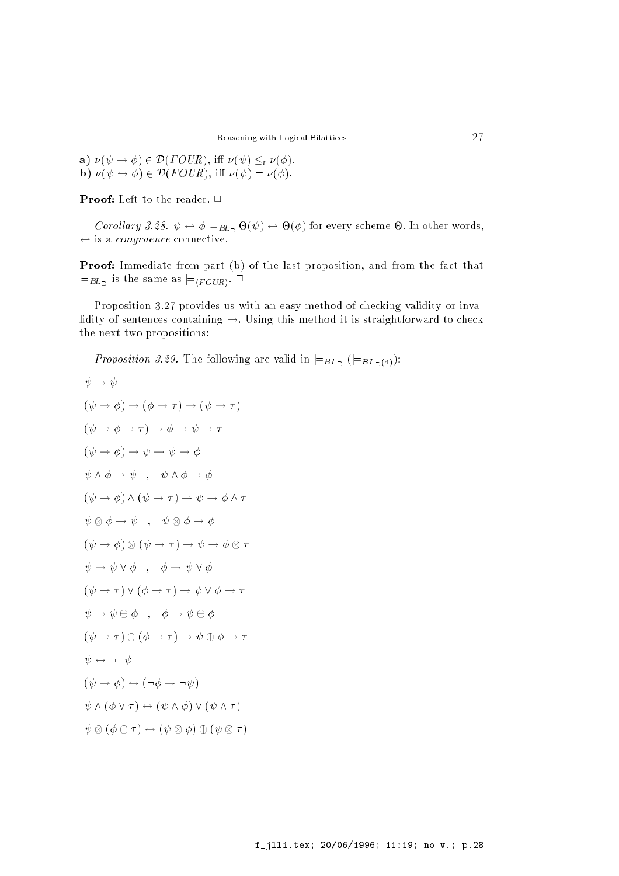a)  $\nu(\psi \to \phi) \in \mathcal{D}(FOUR)$ , iff  $\nu(\psi) \leq_t \nu(\phi)$ . **b**)  $\nu(\psi \leftrightarrow \phi) \in \mathcal{D}(FOUR)$ , iff  $\nu(\psi) = \nu(\phi)$ .

**Proof:** Left to the reader.  $\Box$ 

 $\mathcal{C}$  ,  $\mathcal{C}$  ,  $\mathcal{C}$  ,  $\mathcal{C}$  ,  $\mathcal{C}$  ,  $\mathcal{C}$  ,  $\mathcal{C}$  ,  $\mathcal{C}$  ,  $\mathcal{C}$  ,  $\mathcal{C}$  ,  $\mathcal{C}$  ,  $\mathcal{C}$  ,  $\mathcal{C}$  ,  $\mathcal{C}$  ,  $\mathcal{C}$  ,  $\mathcal{C}$  ,  $\mathcal{C}$  ,  $\mathcal{C}$  ,  $\mathcal{C}$  ,  $\mathcal{C}$  ,  $\leftrightarrow$  is a *congruence* connective.

Proof: Immediate from part (b) of the last proposition, and from the fact that  $\models_{BL}$  is the same as  $\models_{\langle FOUR\rangle}$ .  $\Box$ 

Proposition 3.27 provides us with an easy method of checking validity or invalidity of sentences containing  $\rightarrow$ . Using this method it is straightforward to check the next two propositions:

*Proposition 3.29.* The following are valid in  $\models$ <sub>BL<sub>2</sub></sub> ( $\models$ <sub>BL<sub>2</sub>(4)</sub>):

$$
\psi \rightarrow \psi
$$
\n
$$
(\psi \rightarrow \phi) \rightarrow (\phi \rightarrow \tau) \rightarrow (\psi \rightarrow \tau)
$$
\n
$$
(\psi \rightarrow \phi \rightarrow \tau) \rightarrow \phi \rightarrow \psi \rightarrow \tau
$$
\n
$$
(\psi \rightarrow \phi) \rightarrow \psi \rightarrow \psi \rightarrow \phi
$$
\n
$$
\psi \land \phi \rightarrow \psi \rightarrow \psi \rightarrow \phi
$$
\n
$$
(\psi \rightarrow \phi) \land (\psi \rightarrow \tau) \rightarrow \psi \rightarrow \phi \land \tau
$$
\n
$$
(\psi \rightarrow \phi) \land (\psi \rightarrow \tau) \rightarrow \psi \rightarrow \phi \land \tau
$$
\n
$$
\psi \otimes \phi \rightarrow \psi \quad , \quad \psi \otimes \phi \rightarrow \phi
$$
\n
$$
(\psi \rightarrow \phi) \otimes (\psi \rightarrow \tau) \rightarrow \psi \rightarrow \phi \otimes \tau
$$
\n
$$
\psi \rightarrow \psi \vee \phi \quad , \quad \phi \rightarrow \psi \vee \phi
$$
\n
$$
(\psi \rightarrow \tau) \vee (\phi \rightarrow \tau) \rightarrow \psi \vee \phi \rightarrow \tau
$$
\n
$$
\psi \rightarrow \psi \oplus \phi \quad , \quad \phi \rightarrow \psi \oplus \phi
$$
\n
$$
(\psi \rightarrow \tau) \oplus (\phi \rightarrow \tau) \rightarrow \psi \oplus \phi \rightarrow \tau
$$
\n
$$
\psi \leftrightarrow \neg \neg \psi
$$
\n
$$
(\psi \rightarrow \phi) \leftrightarrow (\neg \phi \rightarrow \neg \psi)
$$
\n
$$
\psi \land (\phi \lor \tau) \leftrightarrow (\psi \land \phi) \lor (\psi \land \tau)
$$
\n
$$
\psi \otimes (\phi \oplus \tau) \leftrightarrow (\psi \otimes \phi) \oplus (\psi \otimes \tau)
$$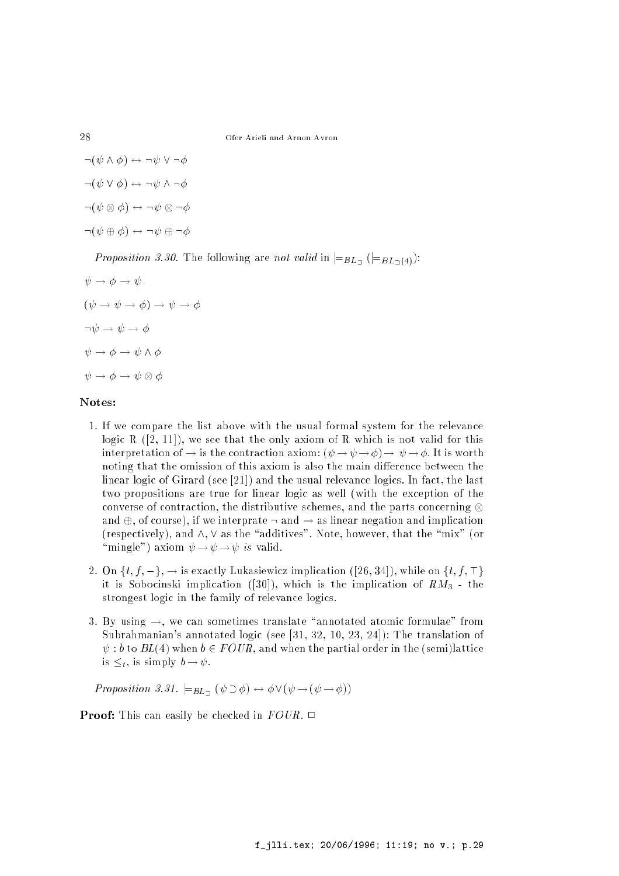$\neg(\psi \land \phi) \leftrightarrow \neg \psi \lor \neg \phi$  $\neg(\psi \vee \phi) \leftrightarrow \neg \psi \wedge \neg \phi$ :( ) \$ : :  $\neg(\psi \oplus \phi) \leftrightarrow \neg \psi \oplus \neg \phi$ 

Proposition 3.30. The following are not valid in  $\models$   $B_{L}$  ( $\models$  $B_{L}$ <sub>1</sub>(4)):

$$
\psi \to \phi \to \psi
$$
  

$$
(\psi \to \psi \to \phi) \to \psi \to \phi
$$
  

$$
\neg \psi \to \psi \to \phi
$$
  

$$
\psi \to \phi \to \psi \land \phi
$$
  

$$
\psi \to \phi \to \psi \otimes \phi
$$

#### Notes:

- 1. If we compare the list above with the usual formal system for the relevance logic R  $([2, 11])$ , we see that the only axiom of R which is not valid for this interpretation of  $\rightarrow$  is the contraction axiom:  $(\psi \rightarrow \psi \rightarrow \phi) \rightarrow \psi \rightarrow \phi$ . It is worth noting that the omission of this axiom is also the main difference between the linear logic of Girard (see [21]) and the usual relevance logics. In fact, the last two propositions are true for linear logic as well (with the exception of the converse of contraction, the distributive schemes, and the parts concerning  $\otimes$ and  $\oplus$ , of course), if we interprate  $\neg$  and  $\rightarrow$  as linear negation and implication (respectively), and  $\wedge$ ,  $\vee$  as the "additives". Note, however, that the "mix" (or "mingle") axiom  $\psi \rightarrow \psi \rightarrow \psi$  is valid.
- 2. On  $\{t, f, \perp\}$ ,  $\rightarrow$  is exactly Lukasiewicz implication ([26, 34]), while on  $\{t, f, \perp\}$ it is Sobocinski implication ([30]), which is the implication of  $RM_3$  - the strongest logic in the family of relevance logics.
- 3. By using  $\rightarrow$ , we can sometimes translate "annotated atomic formulae" from Subrahmanian's annotated logic (see [31, 32, 10, 23, 24]): The translation of  $\psi : b$  to  $BL(4)$  when  $b \in FOUR$ , and when the partial order in the (semi)lattice is  $\leq_t$ , is simply  $b \to \psi$ .

Proposition 3.31.  $\models_{BL_2} (\psi \supset \phi) \leftrightarrow \phi \vee (\psi \rightarrow (\psi \rightarrow \phi))$ 

**Proof:** This can easily be checked in  $FOUR$ .  $\Box$ 

28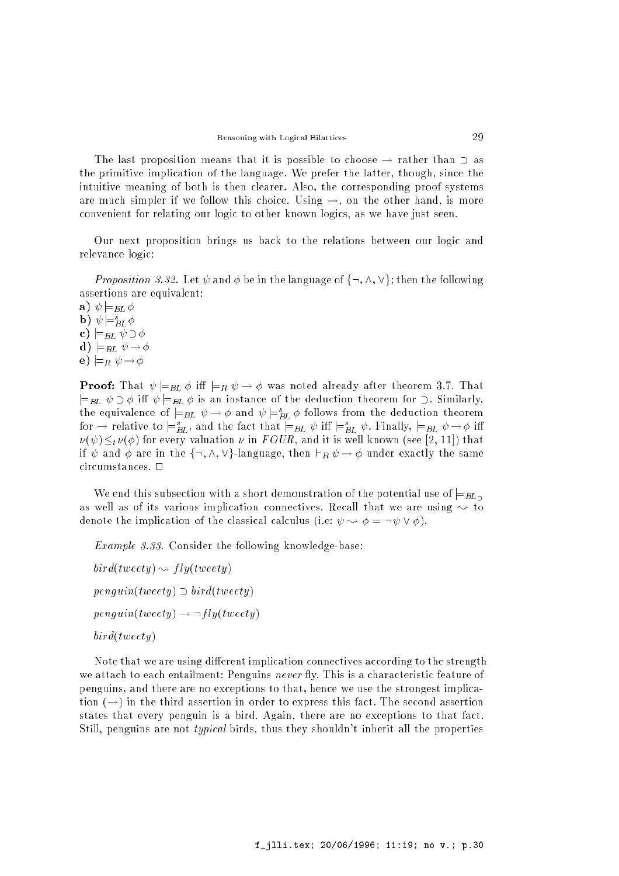The last proposition means that it is possible to choose  $\rightarrow$  rather than  $\supset$  as the primitive implication of the language. We prefer the latter, though, since the intuitive meaning of both is then clearer. Also, the corresponding proof systems are much simpler if we follow this choice. Using  $\rightarrow$ , on the other hand, is more convenient for relating our logic to other known logics, as we have just seen.

Our next proposition brings us back to the relations between our logic and relevance logic:

*Proposition 3.32.* Let  $\psi$  and  $\phi$  be in the language of  $\{\neg, \wedge, \vee\}$ ; then the following assertions are equivalent:

a)  $\psi = BL \phi$  $\mathbf{p}$ )  $\psi \models_{BL} \varphi$ c)  $\models$ <sub>BL</sub>  $\psi \supset \phi$ d)  $\models$ BL  $\psi \rightarrow \phi$ e)  $\models_R \psi \rightarrow \phi$ 

**Proof:** That  $\psi \models_{BL} \phi$  iff  $\models_R \psi \rightarrow \phi$  was noted already after theorem 3.7. That  $\models$ <sub>BL</sub>  $\psi \supset \phi$  iff  $\psi \models$ <sub>BL</sub>  $\phi$  is an instance of the deduction theorem for  $\supset$ . Similarly, the equivalence of  $=_{BL}$   $\psi \rightarrow \varphi$  and  $\psi =_{BL} \varphi$  follows from the deduction theorem for  $\rightarrow$  relative to  $\models_{BL}$ , and the fact that  $\models_{BL} \psi$  in  $\models_{BL} \psi$ . Finally,  $\models_{BL} \psi \rightarrow \phi$  in  $\nu(\psi) \leq_t \nu(\phi)$  for every valuation  $\nu$  in FOUR, and it is well known (see [2, 11]) that if  $\psi$  and  $\phi$  are in the  $\{\neg, \wedge, \vee\}$ -language, then  $\vdash_R \psi \to \phi$  under exactly the same circumstances.  $\Box$ 

We end this subsection with a short demonstration of the potential use of  $\equiv_{BL}$ as well as of its various implication connectives. Recall that we are using  $\sim$  to denote the implication of the classical calculus (i.e:  $\psi \rightsquigarrow \phi = \neg \psi \vee \phi$ ).

Example 3.33. Consider the following knowledge-base:

 $bird(tweety) \rightarrow fly(tweety)$  $penguin(tweety) \supset bird(tweety)$  $penguin(tweety) \rightarrow \neg fly(tweety)$ bird(tweety)

Note that we are using different implication connectives according to the strength we attach to each entailment: Penguins never fly. This is a characteristic feature of penguins, and there are no exceptions to that, hence we use the strongest implication  $(\rightarrow)$  in the third assertion in order to express this fact. The second assertion states that every penguin is a bird. Again, there are no exceptions to that fact. Still, penguins are not typical birds, thus they shouldn't inherit all the properties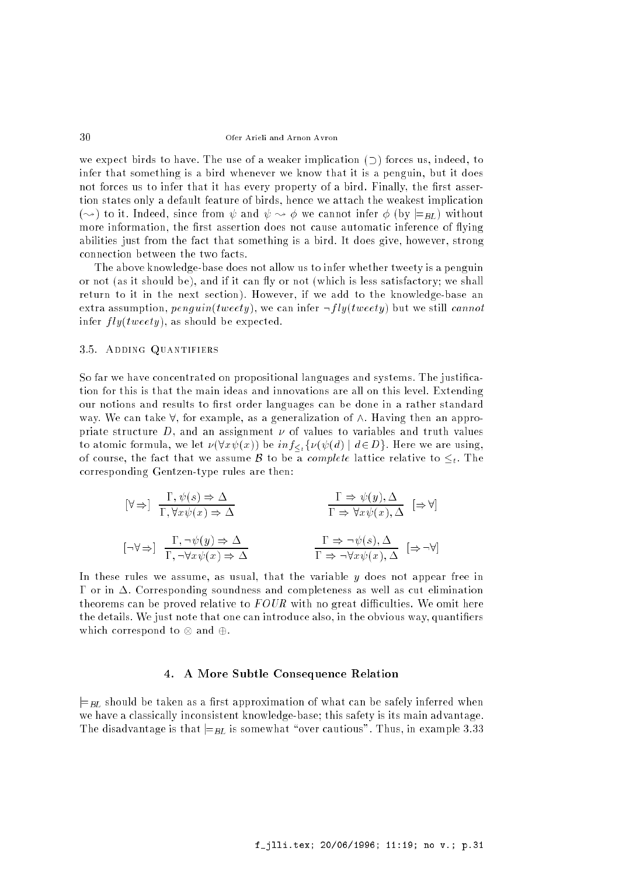we expect birds to have. The use of a weaker implication  $(2)$  forces us, indeed, to infer that something is a bird whenever we know that it is a penguin, but it does not forces us to infer that it has every property of a bird. Finally, the first assertion states only a default feature of birds, hence we attach the weakest implication ( $\rightsquigarrow$ ) to it. Indeed, since from  $\psi$  and  $\psi \rightsquigarrow \phi$  we cannot infer  $\phi$  (by  $\models_{BL}$ ) without more information, the first assertion does not cause automatic inference of flying abilities just from the fact that something is a bird. It does give, however, strong connection between the two facts.

The above knowledge-base does not allow us to infer whether tweety is a penguin or not (as it should be), and if it can fly or not (which is less satisfactory; we shall return to it in the next section). However, if we add to the knowledge-base an extra assumption,  $penguin(tweety)$ , we can infer  $\neg fly(tweety)$  but we still cannot infer  $fly(tweety)$ , as should be expected.

## 3.5. Adding Quantifiers

So far we have concentrated on propositional languages and systems. The justication for this is that the main ideas and innovations are all on this level. Extending our notions and results to first order languages can be done in a rather standard way. We can take  $\forall$ , for example, as a generalization of  $\wedge$ . Having then an appropriate structure  $D$ , and an assignment  $\nu$  of values to variables and truth values to atomic formula, we let  $\nu(\forall x \psi(x))$  be  $inf_{\leq t} {\{\nu(\psi(d) \mid d \in D\}}.$  Here we are using, of course, the fact that we assume B to be a *complete* lattice relative to  $\leq_t$ . The corresponding Gentzen-type rules are then:

$$
[\forall \Rightarrow] \frac{\Gamma, \psi(s) \Rightarrow \Delta}{\Gamma, \forall x \psi(x) \Rightarrow \Delta} \qquad \qquad \frac{\Gamma \Rightarrow \psi(y), \Delta}{\Gamma \Rightarrow \forall x \psi(x), \Delta} \qquad [\Rightarrow \forall]
$$
  

$$
[\neg \forall \Rightarrow] \frac{\Gamma, \neg \psi(y) \Rightarrow \Delta}{\Gamma, \neg \forall x \psi(x) \Rightarrow \Delta} \qquad \qquad \frac{\Gamma \Rightarrow \neg \psi(s), \Delta}{\Gamma \Rightarrow \neg \forall x \psi(x), \Delta} \qquad [\Rightarrow \neg \forall]
$$

In these rules we assume, as usual, that the variable y does not appear free in  $\Gamma$  or in  $\Delta$ . Corresponding soundness and completeness as well as cut elimination theorems can be proved relative to  $FOUR$  with no great difficulties. We omit here the details. We just note that one can introduce also, in the obvious way, quantiers which corresponds to  $\alpha$  , which  $\alpha$ 

## 4. A More Subtle Consequence Relation

 $\models$ BL should be taken as a first approximation of what can be safely inferred when we have a classically inconsistent knowledge-base; this safety is its main advantage. The disadvantage is that  $\models$ <sub>BL</sub> is somewhat "over cautious". Thus, in example 3.33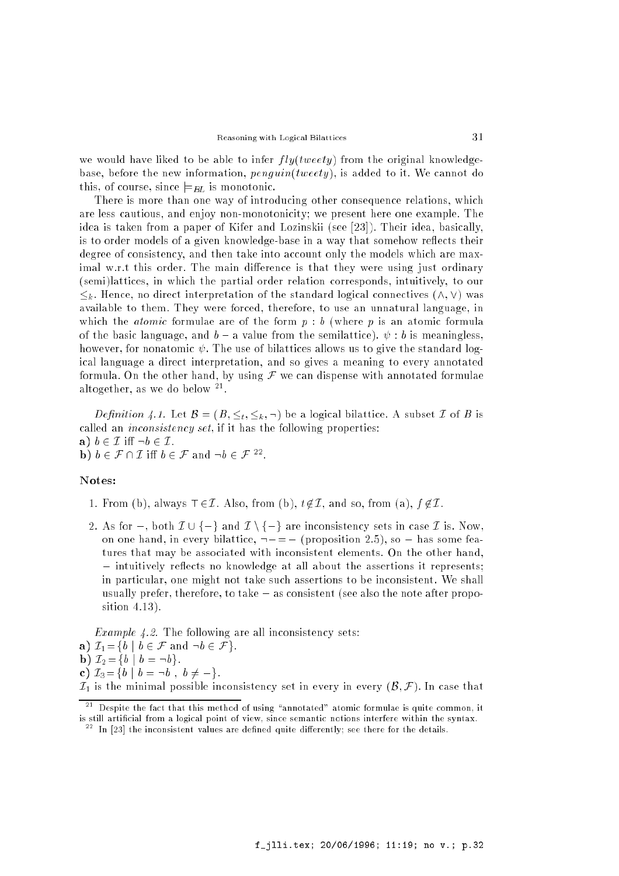we would have liked to be able to infer  $fly(tweety)$  from the original knowledgebase, before the new information,  $penguin(tweety)$ , is added to it. We cannot do this, of course, since  $\models$ <sub>BL</sub> is monotonic.

There is more than one way of introducing other consequence relations, which are less cautious, and enjoy non-monotonicity; we present here one example. The idea is taken from a paper of Kifer and Lozinskii (see [23]). Their idea, basically, is to order models of a given knowledge-base in a way that somehow reflects their degree of consistency, and then take into account only the models which are maximal w.r.t this order. The main difference is that they were using just ordinary (semi)lattices, in which the partial order relation corresponds, intuitively, to our  $\leq_k$ . Hence, no direct interpretation of the standard logical connectives  $(\wedge, \vee)$  was available to them. They were forced, therefore, to use an unnatural language, in which the *atomic* formulae are of the form  $p : b$  (where p is an atomic formula of the basic language, and  $b - a$  value from the semilattice).  $\psi : b$  is meaningless, however, for nonatomic  $\psi$ . The use of bilattices allows us to give the standard logical language a direct interpretation, and so gives a meaning to every annotated formula. On the other hand, by using  $\mathcal F$  we can dispense with annotated formulae altogether, as we do below <sup>21</sup> .

*Definition 4.1.* Let  $B = (B, \leq_t, \leq_k, \neg)$  be a logical bilattice. A subset *I* of *B* is called an inconsistency set, if it has the following properties: a)  $b \in \mathcal{I}$  iff  $\neg b \in \mathcal{I}$ .  $\mathbf{D}$   $\mathbf{D}$   $\mathbf{D}$  b  $\in$   $\mathcal{F}$  and  $\mathbf{D}$   $\in$   $\mathcal{F}$   $\mathbf{D}$ .

#### Notes:

- 1. From (b), always  $\top \in \mathcal{I}$ . Also, from (b),  $t \notin \mathcal{I}$ , and so, from (a),  $f \notin \mathcal{I}$ .
- 2. As for  $\bot$ , both  $\mathcal{I} \cup \{\bot\}$  and  $\mathcal{I} \setminus \{\bot\}$  are inconsistency sets in case  $\mathcal{I}$  is. Now, on one hand, in every bilattice,  $-\perp = \perp$  (proposition 2.5), so  $\perp$  has some features that may be associated with inconsistent elements. On the other hand,  $\perp$  intuitively reflects no knowledge at all about the assertions it represents: in particular, one might not take such assertions to be inconsistent. We shall usually prefer, therefore, to take  $\perp$  as consistent (see also the note after proposition 4.13).

Example 4.2. The following are all inconsistency sets: a)  $\mathcal{I}_1 = \{b \mid b \in \mathcal{F} \text{ and } \neg b \in \mathcal{F} \}.$ **b**)  $\mathcal{I}_2 = \{b \mid b = \neg b\}.$ c)  $\mathcal{I}_3 = \{b \mid b = \neg b , b \neq \bot\}.$  $\mathcal{I}_1$  is the minimal possible inconsistency set in every in every  $(\mathcal{B}, \mathcal{F})$ . In case that

 $^{-1}$  Despite the fact that this method of using "annotated" atomic formulae is quite common, it is still artificial from a logical point of view, since semantic notions interfere within the syntax.

 $^{-1}$  In [23] the inconsistent values are defined quite differently; see there for the details.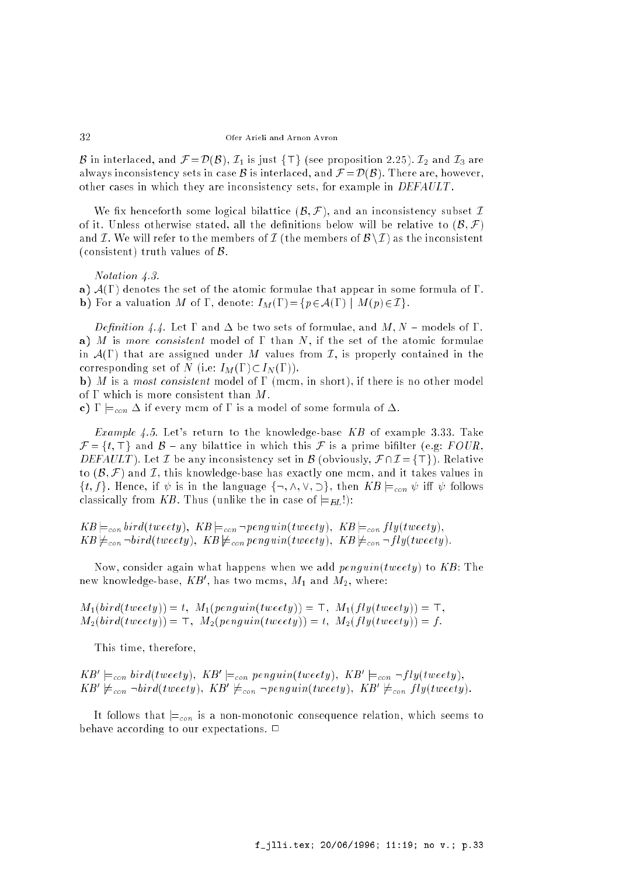B in interlaced, and  $\mathcal{F} = \mathcal{D}(\mathcal{B}), \mathcal{I}_1$  is just  $\{\top\}$  (see proposition 2.25).  $\mathcal{I}_2$  and  $\mathcal{I}_3$  are always inconsistency sets in case B is interlaced, and  $\mathcal{F} = \mathcal{D}(\mathcal{B})$ . There are, however, other cases in which they are inconsistency sets, for example in DEFAULT .

We fix henceforth some logical bilattice  $(\mathcal{B}, \mathcal{F})$ , and an inconsistency subset I of it. Unless otherwise stated, all the definitions below will be relative to  $(B, \mathcal{F})$ and I. We will refer to the members of I (the members of  $\mathcal{B}\setminus I$ ) as the inconsistent (consistent) truth values of  $\beta$ .

Notation 4.3.

a)  $A(\Gamma)$  denotes the set of the atomic formulae that appear in some formula of  $\Gamma$ . **b**) For a valuation M of  $\Gamma$ , denote:  $I_M(\Gamma) = \{p \in A(\Gamma) \mid M(p) \in \mathcal{I}\}.$ 

Definition 4.4. Let  $\Gamma$  and  $\Delta$  be two sets of formulae, and  $M, N$  – models of  $\Gamma$ . a) M is more consistent model of  $\Gamma$  than N, if the set of the atomic formulae in  $\mathcal{A}(\Gamma)$  that are assigned under M values from  $\mathcal{I}$ , is properly contained in the corresponding set of N (i.e:  $I_M(\Gamma) \subset I_N(\Gamma)$ ).

b) M is a most consistent model of  $\Gamma$  (mcm, in short), if there is no other model of  $\Gamma$  which is more consistent than M.

c)  $\Gamma \models_{con} \Delta$  if every mcm of  $\Gamma$  is a model of some formula of  $\Delta$ .

*Example 4.5.* Let's return to the knowledge-base  $KB$  of example 3.33. Take  $\mathcal{F} = \{t, \top\}$  and  $\mathcal{B}$  – any bilattice in which this  $\mathcal{F}$  is a prime bifilter (e.g: FOUR, DEFAULT). Let I be any inconsistency set in B (obviously,  $\mathcal{F} \cap \mathcal{I} = {\{\top\}}$ ). Relative to  $(\mathcal{B}, \mathcal{F})$  and I, this knowledge-base has exactly one mcm, and it takes values in  $\{t, f\}$ . Hence, if  $\psi$  is in the language  $\{\neg, \wedge, \vee, \supset\}$ , then  $KB \models_{con} \psi$  iff  $\psi$  follows classically from KB. Thus (unlike the in case of  $\models$   $_{BL}$ !):

 $KB \models_{con} bird(tweety), \ KB \models_{con} \neg penguin(tweety), \ KB \models_{con} fly(tweety),$  $KB \not\models_{con} \neg bird(tweety), KB \not\models_{con} penguin(tweety), KB \not\models_{con} \neg fly(tweety)$ 

Now, consider again what happens when we add  $penguin(tweety)$  to  $KB$ : The new knowledge-base,  $\Lambda B$  , has two mcms,  $M_1$  and  $M_2$ , where:

 $M_1(bird(tweety)) = t$ ,  $M_1(penguin(tweety)) = \top$ ,  $M_1(fly(tweety)) = \top$ ,  $M_2(bird(tweety)) = \top$ ,  $M_2(penguin(tweety)) = t$ ,  $M_2(fly(tweety)) = f$ .

This time, therefore,

 $\mathbf{A}$   $\mathbf{D}$   $\equiv_{con}$   $\mathbf{D}$   $\mathbf{D}$   $\mathbf{D}$   $\equiv_{con}$   $\mathbf{D}$   $\mathbf{D}$   $\mathbf{D}$   $\mathbf{D}$   $\equiv_{con}$   $\neg$   $\mathbf{D}$   $\mathbf{D}$   $\mathbf{D}$   $\equiv_{con}$   $\neg$   $\mathbf{D}$   $\mathbf{D}$   $\mathbf{D}$   $\equiv_{con}$   $\neg$   $\mathbf{D}$   $\mathbf{D}$   $\mathbf{D}$   $\equiv_{$  $\mathbf{A}$ B $\mathbf{E}_{con}$   $\neg \mathit{otra}(i \text{} \text{} \text{} \text{} \text{} \text{} \text{} \text{} \text{} \text{)}$ ;  $\mathbf{A}$ B $\varphi$   $\mathbf{E}_{con}$   $\varphi$   $\mathbf{E}_{con}$   $\varphi$   $\mathbf{E}_{con}$   $\varphi$   $\mathbf{E}_{con}$   $\varphi$   $\mathbf{E}_{con}$   $\varphi$   $\mathbf{E}_{con}$   $\varphi$   $\mathbf{E}_{con}$   $\varphi$   $\mathbf{E}_{con}$   $\$ 

It follows that  $\models_{con}$  is a non-monotonic consequence relation, which seems to behave according to our expectations.  $\Box$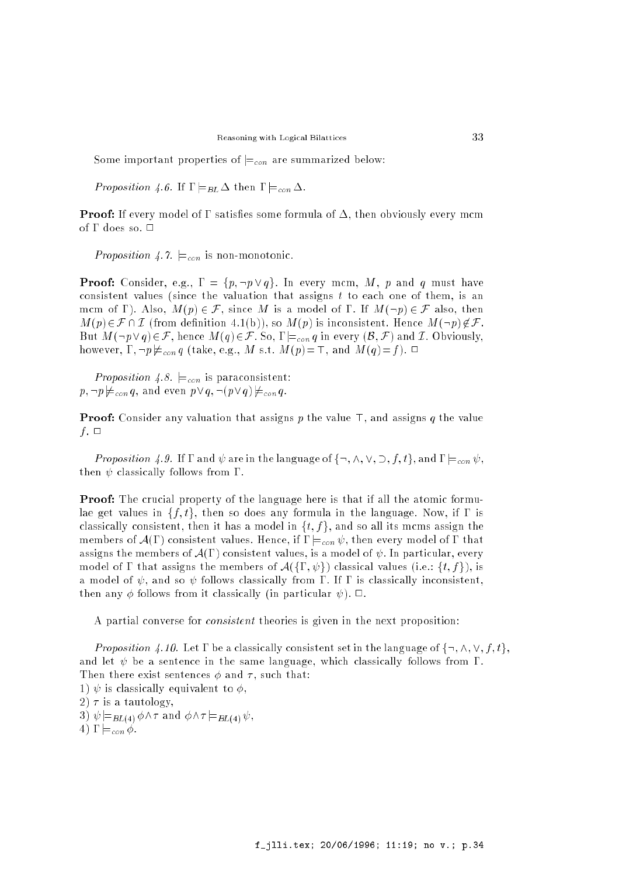Some important properties of  $\models_{con}$  are summarized below:

Proposition 4.6. If  $\Gamma \models_{BL} \Delta$  then  $\Gamma \models_{con} \Delta$ .

**Proof:** If every model of  $\Gamma$  satisfies some formula of  $\Delta$ , then obviously every mcm of  $\Gamma$  does so.  $\Box$ 

Proposition 4.7.  $\models_{con}$  is non-monotonic.

**Proof:** Consider, e.g.,  $\Gamma = \{p, \neg p \lor q\}$ . In every mcm, M, p and q must have consistent values (since the valuation that assigns  $t$  to each one of them, is an mcm of  $\Gamma$ ). Also,  $M(p) \in \mathcal{F}$ , since M is a model of  $\Gamma$ . If  $M(\neg p) \in \mathcal{F}$  also, then  $M(p) \in \mathcal{F} \cap \mathcal{I}$  (from definition 4.1(b)), so  $M(p)$  is inconsistent. Hence  $M(\neg p) \notin \mathcal{F}$ . But  $M(\neg p \lor q) \in \mathcal{F}$ , hence  $M(q) \in \mathcal{F}$ . So,  $\Gamma \models_{con} q$  in every  $(\mathcal{B}, \mathcal{F})$  and I. Obviously, however,  $\Gamma$ ,  $\neg p \not\models_{con} q$  (take, e.g., M s.t.  $M(p)=\top$ , and  $M(q)=f$ ).  $\Box$ 

Proposition 4.8.  $\models_{con}$  is paraconsistent:  $p, \neg p \not\models_{con} q$ , and even  $p \vee q$ ,  $\neg(p \vee q) \not\models_{con} q$ .

**Proof:** Consider any valuation that assigns p the value  $\top$ , and assigns q the value f.  $\Box$ 

Proposition 4.9. If  $\Gamma$  and  $\psi$  are in the language of  $\{\neg, \wedge, \vee, \supset, f, t\}$ , and  $\Gamma \models_{con} \psi$ , then  $\psi$  classically follows from  $\Gamma$ .

**Proof:** The crucial property of the language here is that if all the atomic formulae get values in  $\{f, t\}$ , then so does any formula in the language. Now, if  $\Gamma$  is classically consistent, then it has a model in  $\{t, f\}$ , and so all its mcms assign the members of  $\mathcal{A}(\Gamma)$  consistent values. Hence, if  $\Gamma \models_{con} \psi$ , then every model of  $\Gamma$  that assigns the members of  $\mathcal{A}(\Gamma)$  consistent values, is a model of  $\psi$ . In particular, every model of  $\Gamma$  that assigns the members of  $\mathcal{A}(\{\Gamma,\psi\})$  classical values (i.e.:  $\{t,f\}$ ), is a model of  $\psi$ , and so  $\psi$  follows classically from  $\Gamma$ . If  $\Gamma$  is classically inconsistent, then any  $\phi$  follows from it classically (in particular  $\psi$ ).  $\Box$ .

A partial converse for consistent theories is given in the next proposition:

Proposition 4.10. Let  $\Gamma$  be a classically consistent set in the language of  $\{\neg, \wedge, \vee, f, t\}$ , and let  $\psi$  be a sentence in the same language, which classically follows from  $\Gamma$ . Then there exist sentences  $\phi$  and  $\tau$ , such that: 1)  $\psi$  is classically equivalent to  $\phi$ . 2)  $\tau$  is a tautology, 3)  $\psi \models_{BL(4)} \phi \wedge \tau$  and  $\phi \wedge \tau \models_{BL(4)} \psi$ , 4)  $\Gamma \models_{con} \phi$ .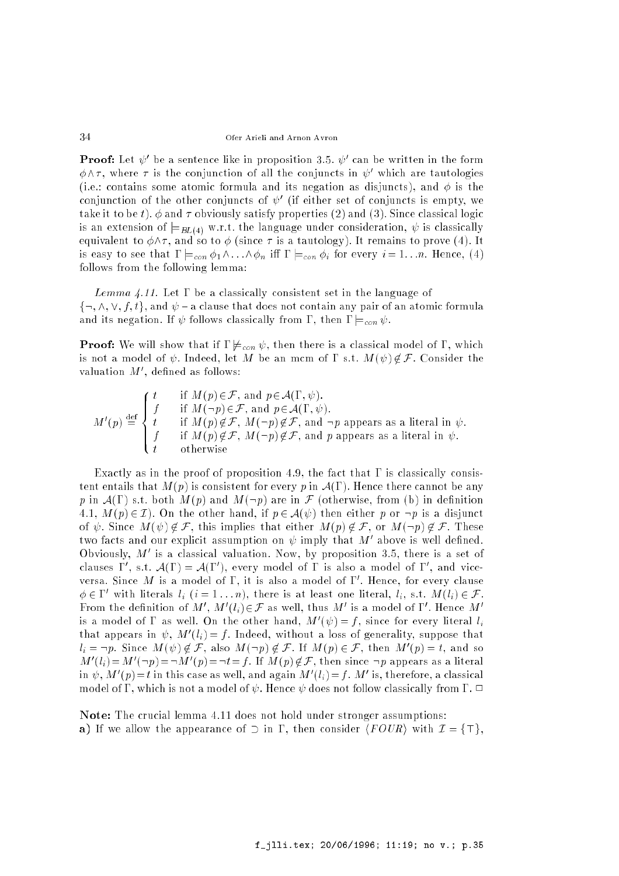**Proof:** Let  $\psi$  be a sentence like in proposition 3.5.  $\psi$  can be written in the form  $\phi \wedge \tau$ , where  $\tau$  is the conjunction of all the conjuncts in  $\psi'$  which are tautologies (i.e.: contains some atomic formula and its negation as disjuncts), and  $\phi$  is the conjunction of the other conjuncts of  $\psi$  (if either set of conjuncts is empty, we take it to be t).  $\phi$  and  $\tau$  obviously satisfy properties (2) and (3). Since classical logic is an extension of  $\models_{BL(4)}$  w.r.t. the language under consideration,  $\psi$  is classically equivalent to  $\phi \wedge \tau$ , and so to  $\phi$  (since  $\tau$  is a tautology). It remains to prove (4). It is easy to see that  $\Gamma \models_{con} \phi_1 \wedge \ldots \wedge \phi_n$  iff  $\Gamma \models_{con} \phi_i$  for every  $i = 1...n$ . Hence, (4) follows from the following lemma:

Lemma 4.11. Let  $\Gamma$  be a classically consistent set in the language of  $\{\neg, \wedge, \vee, f, t\}$ , and  $\psi$  - a clause that does not contain any pair of an atomic formula and its negation. If  $\psi$  follows classically from  $\Gamma$ , then  $\Gamma \models_{con} \psi$ .

**Proof:** We will show that if  $\Gamma \not\models_{con} \psi$ , then there is a classical model of  $\Gamma$ , which is not a model of  $\psi$ . Indeed, let M be an mcm of  $\Gamma$  s.t.  $M(\psi) \notin \mathcal{F}$ . Consider the valuation M<sup>o</sup>, denned as follows:

$$
M'(p) \stackrel{\text{def}}{=} \begin{cases} t & \text{if } M(p) \in \mathcal{F}, \text{ and } p \in \mathcal{A}(\Gamma, \psi). \\ f & \text{if } M(\neg p) \in \mathcal{F}, \text{ and } p \in \mathcal{A}(\Gamma, \psi). \\ t & \text{if } M(p) \notin \mathcal{F}, M(\neg p) \notin \mathcal{F}, \text{ and } \neg p \text{ appears as a literal in } \psi. \\ f & \text{if } M(p) \notin \mathcal{F}, M(\neg p) \notin \mathcal{F}, \text{ and } p \text{ appears as a literal in } \psi. \\ t & \text{otherwise} \end{cases}
$$

Exactly as in the proof of proposition 4.9, the fact that  $\Gamma$  is classically consistent entails that  $M(p)$  is consistent for every p in  $\mathcal{A}(\Gamma)$ . Hence there cannot be any p in  $\mathcal{A}(\Gamma)$  s.t. both  $M(p)$  and  $M(\neg p)$  are in F (otherwise, from (b) in definition 4.1,  $M(p) \in \mathcal{I}$ ). On the other hand, if  $p \in \mathcal{A}(\psi)$  then either p or  $\neg p$  is a disjunct of  $\psi$ . Since  $M(\psi) \notin \mathcal{F}$ , this implies that either  $M(p) \notin \mathcal{F}$ , or  $M(\neg p) \notin \mathcal{F}$ . These two facts and our explicit assumption on  $\psi$  imply that  $M$  above is well defined. Obviously, M<sup>0</sup> is a classical valuation. Now, by proposition 3.5, there is a set of clauses 1, s.t.  $A(1) = A(1)$ , every model of 1 is also a model of 1, and viceversa. Since M is a model of 1, it is also a model of 1. Hence, for every clause  $\varphi \in I$  with literals  $l_i$   $(i = 1 \ldots n)$ , there is at least one literal,  $l_i$ , s.t.  $M(l_i) \in \mathcal{F}$ . From the definition of M , M  $(i) \in \mathcal{F}$  as well, thus M is a model of I. Hence M is a model of 1 as well. On the other hand,  $M^-(\psi) \equiv f,$  since for every literal  $l_i$ that appears in  $\psi$ ,  $M_1(i) \equiv j$ . Indeed, without a loss of generality, suppose that  $l_i = \neg p$ . Since  $M(\psi) \notin \mathcal{F}$ , also  $M(\neg p) \notin \mathcal{F}$ . If  $M(p) \in \mathcal{F}$ , then  $M'(p) = l$ , and so  $m_{0}(i,j=m_{0})=\neg M_{0}(p)=\neg i=j$ . If  $M(p)\not\in\mathcal{F}$ , then since  $\neg p$  appears as a literal in  $\psi$ ,  $m$  ( $p$ ) =  $i$  in this case as well, and again  $m$  ( $i_i$ ) =  $j$  .  $m$  is, therefore, a classical model of  $\Gamma$ , which is not a model of  $\psi$ . Hence  $\psi$  does not follow classically from  $\Gamma$ .  $\Box$ 

Note: The crucial lemma 4.11 does not hold under stronger assumptions: a) If we allow the appearance of  $\supset$  in  $\Gamma$ , then consider  $\langle \text{FOUR} \rangle$  with  $\mathcal{I} = {\{\top\}}$ .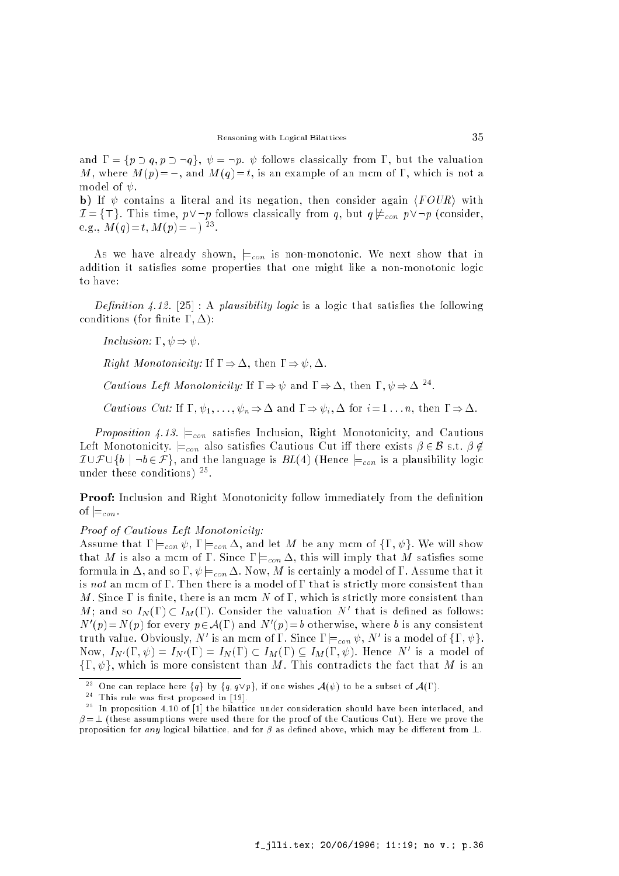and  $\Gamma = \{p \supset q, p \supset \neg q\}, \psi = \neg p. \psi$  follows classically from  $\Gamma$ , but the valuation M, where  $M(p) = \bot$ , and  $M(q) = t$ , is an example of an mcm of  $\Gamma$ , which is not a model of  $\psi$ .

b) If  $\psi$  contains a literal and its negation, then consider again  $\langle \text{FOUR} \rangle$  with  $\mathcal{I} = \{\top\}$ . This time,  $p \vee \neg p$  follows classically from q, but  $q \not\models_{con} p \vee \neg p$  (consider, e.g.,  $M(q) = t$ ,  $M(p) = \bot$ )

As we have already shown,  $\models_{con}$  is non-monotonic. We next show that in addition it satisfies some properties that one might like a non-monotonic logic to have:

Definition 4.12. [25]: A plausibility logic is a logic that satisfies the following conditions (for finite  $\Gamma, \Delta$ ):

Inclusion:  $\Gamma$ ,  $\psi \Rightarrow \psi$ .

*Right Monotonicity:* If  $\Gamma \Rightarrow \Delta$ , then  $\Gamma \Rightarrow \psi, \Delta$ .

Cautious Left Monotonicity: If  $1 \Rightarrow \psi$  and  $1 \Rightarrow \Delta$ , then  $1, \psi \Rightarrow \Delta^{-1}$ .

*Cautious Cut:* If  $\Gamma, \psi_1, \ldots, \psi_n \Rightarrow \Delta$  and  $\Gamma \Rightarrow \psi_i, \Delta$  for  $i = 1 \ldots n$ , then  $\Gamma \Rightarrow \Delta$ .

Proposition 4.13.  $\models_{con}$  satisfies Inclusion, Right Monotonicity, and Cautious Left Monotonicity.  $\models_{con}$  also satisfies Cautious Cut iff there exists  $\beta \in \mathcal{B}$  s.t.  $\beta \notin$  $I \cup \mathcal{F} \cup \{b \mid \neg b \in \mathcal{F}\}\$ , and the language is  $BL(4)$  (Hence  $\models_{con}$  is a plausibility logic under these conditions) <sup>25</sup> .

**Proof:** Inclusion and Right Monotonicity follow immediately from the definition of  $\vDash_{con}$ .

Proof of Cautious Left Monotonicity:

Assume that  $\Gamma \models_{con} \psi$ ,  $\Gamma \models_{con} \Delta$ , and let M be any mcm of  $\{\Gamma, \psi\}$ . We will show that M is also a mcm of  $\Gamma$ . Since  $\Gamma \models_{con} \Delta$ , this will imply that M satisfies some formula in  $\Delta$ , and so  $\Gamma$ ,  $\psi|_{\epsilon_{con}}\Delta$ . Now, M is certainly a model of  $\Gamma$ . Assume that it is not an mcm of  $\Gamma$ . Then there is a model of  $\Gamma$  that is strictly more consistent than M. Since  $\Gamma$  is finite, there is an mcm N of  $\Gamma$ , which is strictly more consistent than  $M$ ; and so  $I_N(1) \subset I_M(1)$ . Consider the valuation  $N$  -that is defined as follows: IV  $(p) = N(p)$  for every  $p \in \mathcal{A}(1)$  and IV  $(p) = b$  otherwise, where b is any consistent truth value. Obviously, *N* is an mcm of 1. Since  $\mathbf{I} =_{con} \psi$ , *N* is a model of  $\{1, \psi\}$ . Now,  $I_{N'}(1,\psi) \equiv I_{N'}(1) \equiv I_N(1) \subset I_M(1) \subseteq I_M(1,\psi)$ . Hence N is a model of  $\{\Gamma, \psi\}$ , which is more consistent than M. This contradicts the fact that M is an

<sup>23</sup> One can replace here  $\{q\}$  by  $\{q, q\vee p\}$ , if one wishes  $\mathcal{A}(\psi)$  to be a subset of  $\mathcal{A}(\Gamma)$ .

<sup>&</sup>lt;sup>--</sup> Inis rule was first proposed in [19].

<sup>25</sup> In proposition 4.10 of [1] the bilattice under consideration should have been interlaced, and  $\beta = \bot$  (these assumptions were used there for the proof of the Cautious Cut). Here we prove the proposition for any logical bilattice, and for  $\beta$  as defined above, which may be different from  $\bot$ .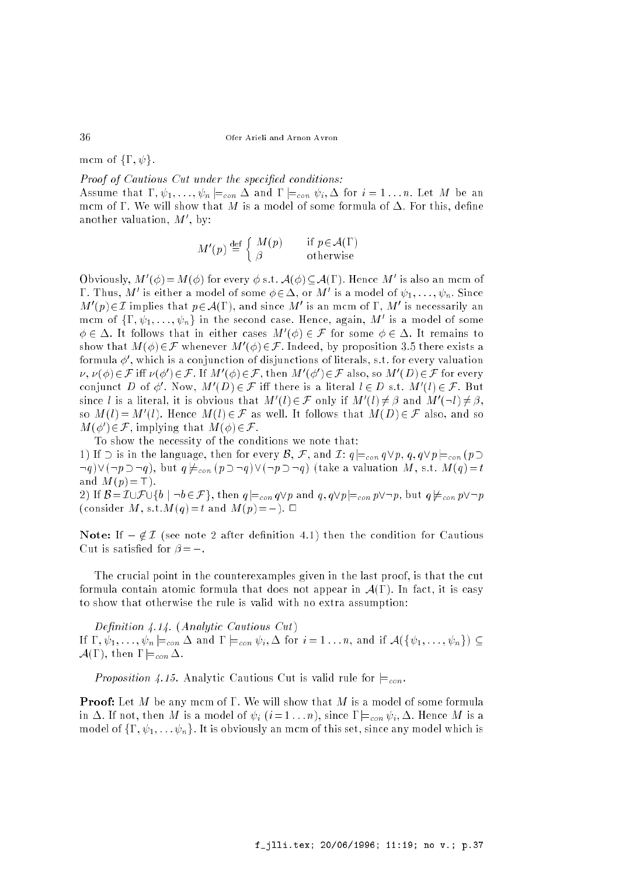mcm of  $\{\Gamma, \psi\}.$ 

Proof of Cautious Cut under the specified conditions:

Assume that  $\Gamma, \psi_1, \ldots, \psi_n \models_{con} \Delta$  and  $\Gamma \models_{con} \psi_i, \Delta$  for  $i = 1 \ldots n$ . Let M be an mcm of  $\Gamma$ . We will show that M is a model of some formula of  $\Delta$ . For this, define another valuation, *M* , by:

$$
M'(p) \stackrel{\text{def}}{=} \begin{cases} M(p) & \text{if } p \in \mathcal{A}(\Gamma) \\ \beta & \text{otherwise} \end{cases}
$$

Obviously,  $M(\emptyset) = M(\emptyset)$  for every  $\emptyset$  s.t.  $A(\emptyset) \subseteq A(1)$ . Hence M is also an mcm of **1** . Thus, M is either a model of some  $\varphi \in \Delta$ , or M is a model of  $\psi_1, \ldots, \psi_n$  . Since  $M$  ( $p$ ) $\in$  1 implies that  $p \in A(1)$ , and since M is an mcm of  $1$ , M is necessarily an mcm of  $\{1\,,\, \psi_1,\ldots,\psi_n\}$  in the second case. Hence, again,  $M$  is a model of some  $\varphi \in \Delta$ . It follows that in either cases  $M^+(\varphi) \in \mathcal{F}$  for some  $\varphi \in \Delta$ . It remains to show that  $M(\varphi)\in \mathcal{F}$  whenever  $M_+(\varphi)\in \mathcal{F}$ . Indeed, by proposition 3.5 there exists a formula  $\varphi$  , which is a conjunction of disjunctions of literals, s.t. for every valuation  $\nu$ ,  $\nu$ ( $\varphi$ )  $\in$   $\tau$  in  $\nu$  are  $\nu$  ( $\varphi$ )  $\in$   $\tau$ , then  $M$  ( $\varphi$ )  $\in$   $\tau$  also, so  $M$  ( $D$ )  $\in$   $\tau$  for every conjunct D of  $\varphi$  , Now,  $M^*(D) \in \mathcal{F}$  in there is a literal  $l \in D$  s.t.  $M^*(l) \in \mathcal{F}$ . But since *i* is a literal, it is obvious that  $M_1(i) \in \mathcal{F}$  only if  $M_1(i) \neq \beta$  and  $M_1(\neg i) \neq \beta$ , so  $M(i) = M(i)$ . Hence  $M(i) \in \mathcal{F}$  as well. It follows that  $M(D) \in \mathcal{F}$  also, and so  $M(\emptyset) \in \mathcal{F}$ , implying that  $M(\emptyset) \in \mathcal{F}$ .

To show the necessity of the conditions we note that:

1) If  $\supset$  is in the language, then for every  $\mathcal{B}, \mathcal{F}$ , and  $\mathcal{I}: q \models_{con} q \lor p, q, q \lor p \models_{con} (p \supset$  $(q) \vee (\neg p \supset \neg q)$ , but  $q \not\models_{con} (p \supset \neg q) \vee (\neg p \supset \neg q)$  (take a valuation M, s.t.  $M(q) = t$ and  $M(p) = \top$ ).

2) If  $\mathcal{B} = \mathcal{I} \cup \mathcal{F} \cup \{b \mid \neg b \in \mathcal{F}\}\$ , then  $q \models_{con} q \lor p$  and  $q, q \lor p \models_{con} p \lor \neg p$ , but  $q \not\models_{con} p \lor \neg p$ (consider M, s.t.  $M(q) = t$  and  $M(p) = \perp$ ).  $\Box$ 

**Note:** If  $\perp \notin \mathcal{I}$  (see note 2 after definition 4.1) then the condition for Cautious Cut is satisfied for  $\beta = \perp$ .

The crucial point in the counterexamples given in the last proof, is that the cut formula contain atomic formula that does not appear in  $\mathcal{A}(\Gamma)$ . In fact, it is easy to show that otherwise the rule is valid with no extra assumption:

Definition  $4.14$ . (Analytic Cautious Cut) If  $\Gamma, \psi_1, \ldots, \psi_n \models_{con} \Delta$  and  $\Gamma \models_{con} \psi_i, \Delta$  for  $i = 1 \ldots n$ , and if  $\mathcal{A}(\{\psi_1, \ldots, \psi_n\}) \subseteq$  $\mathcal{A}(\Gamma)$ , then  $\Gamma \models_{con} \Delta$ 

Proposition 4.15. Analytic Cautious Cut is valid rule for  $\models_{con}$ .

**Proof:** Let M be any mcm of  $\Gamma$ . We will show that M is a model of some formula in  $\Delta$ . If not, then M is a model of  $\psi_i$   $(i=1 \ldots n)$ , since  $\Gamma \models_{con} \psi_i, \Delta$ . Hence M is a model of  $\{\Gamma, \psi_1, \ldots, \psi_n\}$ . It is obviously an mcm of this set, since any model which is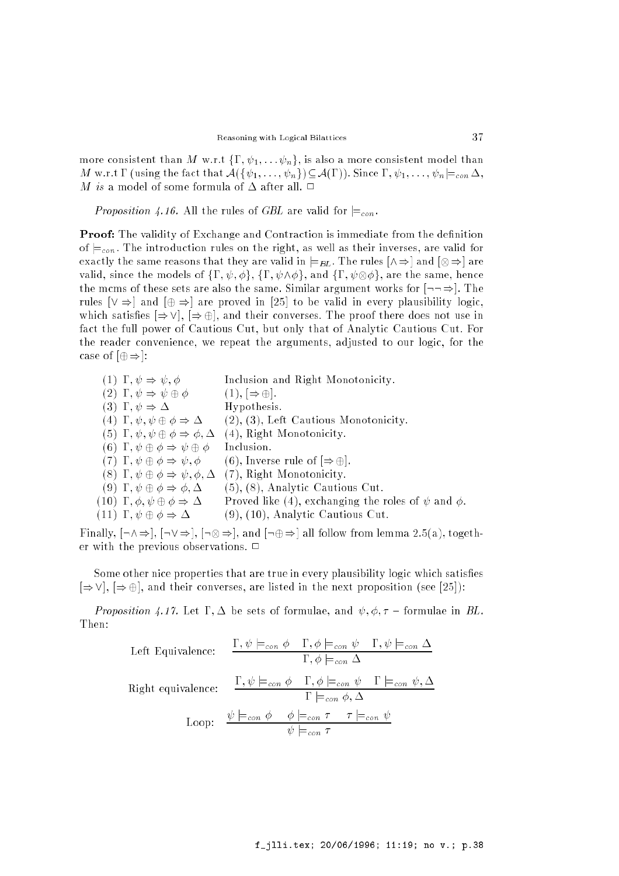more consistent than M w.r.t  $\{\Gamma, \psi_1, \ldots, \psi_n\}$ , is also a more consistent model than M w.r.t  $\Gamma$  (using the fact that  $\mathcal{A}(\{\psi_1,\ldots,\psi_n\}) \subseteq \mathcal{A}(\Gamma)$ ). Since  $\Gamma, \psi_1, \ldots, \psi_n \models_{con} \Delta$ , M is a model of some formula of  $\Delta$  after all.  $\Box$ 

Proposition 4.16. All the rules of GBL are valid for  $\models_{con}$ .

**Proof:** The validity of Exchange and Contraction is immediate from the definition of  $\equiv_{con}$ . The introduction rules on the right, as well as their inverses, are valid for exactly the same reasons that they are valid in j=BL. The rules  $\mu$  ,  $\mu$  ,  $\mu$  and  $\mu$ valid, since the models of figures of figures of figures of figures of figures of  $\alpha$ the mcms of these sets are also the same. Similar argument works for  $\left[-\right]$ . The rules  $[\vee \Rightarrow]$  and  $[\oplus \Rightarrow]$  are proved in [25] to be valid in every plausibility logic, which satisfies  $[\Rightarrow \vee], [\Rightarrow \oplus]$ , and their converses. The proof there does not use in fact the full power of Cautious Cut, but only that of Analytic Cautious Cut. For the reader convenience, we repeat the arguments, adjusted to our logic, for the case of  $[\oplus \Rightarrow]$ :

| $(1) \Gamma, \psi \Rightarrow \psi, \phi$                     | Inclusion and Right Monotonicity.                            |
|---------------------------------------------------------------|--------------------------------------------------------------|
| $(2) \Gamma, \psi \Rightarrow \psi \oplus \phi$               | $(1), [\Rightarrow \oplus].$                                 |
| $(3) \Gamma, \psi \Rightarrow \Delta$                         | Hypothesis.                                                  |
| $(4) \Gamma, \psi, \psi \oplus \phi \Rightarrow \Delta$       | $(2), (3),$ Left Cautious Monotonicity.                      |
| (5) $\Gamma, \psi, \psi \oplus \phi \Rightarrow \phi, \Delta$ | $(4)$ , Right Monotonicity.                                  |
| (6) $\Gamma, \psi \oplus \phi \Rightarrow \psi \oplus \phi$   | Inclusion.                                                   |
| $(T) \Gamma, \psi \oplus \phi \Rightarrow \psi, \phi$         | $(6)$ , Inverse rule of $\Rightarrow$ $\oplus$ .             |
| $(8) \Gamma, \psi \oplus \phi \Rightarrow \psi, \phi, \Delta$ | (7), Right Monotonicity.                                     |
| $(9) \Gamma, \psi \oplus \phi \Rightarrow \phi, \Delta$       | $(5), (8),$ Analytic Cautious Cut.                           |
| $(10) \Gamma, \phi, \psi \oplus \phi \Rightarrow \Delta$      | Proved like (4), exchanging the roles of $\psi$ and $\phi$ . |
| $(11) \Gamma, \psi \oplus \phi \Rightarrow \Delta$            | $(9)$ , $(10)$ , Analytic Cautious Cut.                      |

Finally, [:^)], [:\_)], [: )], and [:)] all follow from lemma 2.5(a), together with the previous observations.  $\Box$ 

Some other nice properties that are true in every plausibility logic which satisfies  $[\Rightarrow \vee]$ ,  $[\Rightarrow \oplus]$ , and their converses, are listed in the next proposition (see [25]):

Proposition 4.17. Let  $\Gamma, \Delta$  be sets of formulae, and  $\psi, \phi, \tau$  – formulae in BL. Then:

Left Equivalence: 
$$
\frac{\Gamma, \psi \models_{con} \phi \quad \Gamma, \phi \models_{con} \psi \quad \Gamma, \psi \models_{con} \Delta}{\Gamma, \phi \models_{con} \Delta}
$$
  
Right equivalence: 
$$
\frac{\Gamma, \psi \models_{con} \phi \quad \Gamma, \phi \models_{con} \psi \quad \Gamma \models_{con} \psi, \Delta}{\Gamma \models_{con} \phi, \Delta}
$$
  
Loop: 
$$
\frac{\psi \models_{con} \phi \quad \phi \models_{con} \tau \quad \tau \models_{con} \psi}{\psi \models_{con} \tau}
$$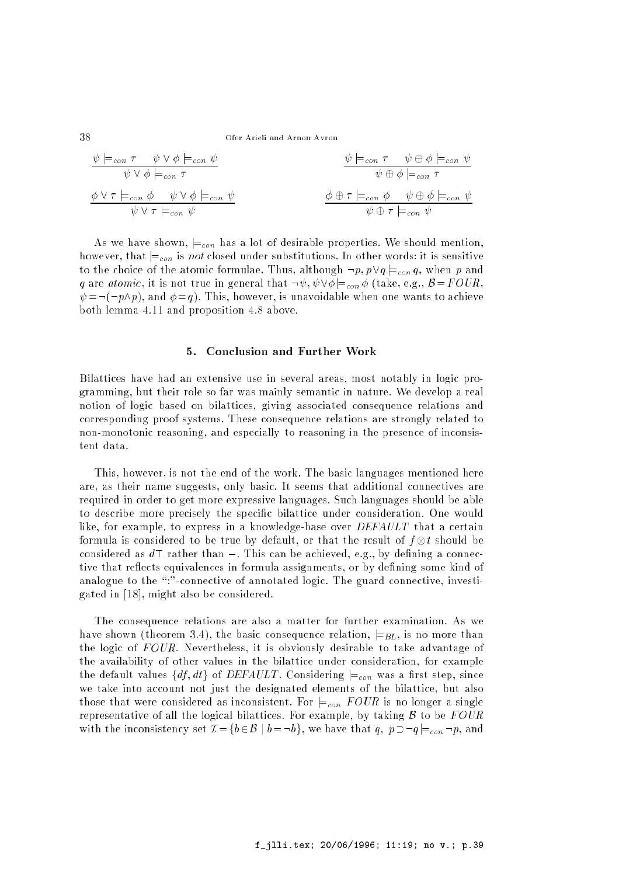j=con \_ j=con \_ j=con j=con j=con j=con \_ j=con \_ j=con \_ j=con j=con j=con j=con

As we have shown,  $\models_{con}$  has a lot of desirable properties. We should mention, however, that  $\models_{con}$  is not closed under substitutions. In other words: it is sensitive to the choice of the atomic formulae. Thus, although  $\neg p, p \lor q \models_{con} q$ , when p and q are atomic, it is not true in general that  $\neg \psi, \psi \lor \phi \models_{con} \phi$  (take, e.g.,  $\mathcal{B} = FOUR$ ,  $\psi = \neg(\neg p \land p)$ , and  $\phi = q$ ). This, however, is unavoidable when one wants to achieve both lemma 4.11 and proposition 4.8 above.

#### $5^{\circ}$ 5. Conclusion and Further Work

Bilattices have had an extensive use in several areas, most notably in logic programming, but their role so far was mainly semantic in nature. We develop a real notion of logic based on bilattices, giving associated consequence relations and corresponding proof systems. These consequence relations are strongly related to non-monotonic reasoning, and especially to reasoning in the presence of inconsistent data.

This, however, is not the end of the work. The basic languages mentioned here are, as their name suggests, only basic. It seems that additional connectives are required in order to get more expressive languages. Such languages should be able to describe more precisely the specic bilattice under consideration. One would like, for example, to express in a knowledge-base over DEFAULT that a certain formula is considered to be true by default, or that the result of f t should be considered as  $d\top$  rather than  $\bot$ . This can be achieved, e.g., by defining a connective that reflects equivalences in formula assignments, or by defining some kind of analogue to the ":"-connective of annotated logic. The guard connective, investigated in [18], might also be considered.

The consequence relations are also a matter for further examination. As we have shown (theorem 3.4), the basic consequence relation,  $\models_{BL}$ , is no more than the logic of  $FOUR$ . Nevertheless, it is obviously desirable to take advantage of the availability of other values in the bilattice under consideration, for example the default values  $\{df, dt\}$  of *DEFAULT*. Considering  $\models_{con}$  was a first step, since we take into account not just the designated elements of the bilattice, but also those that were considered as inconsistent. For  $\models_{con}$  FOUR is no longer a single representative of all the logical bilattices. For example, by taking  $\beta$  to be  $FOUR$ with the inconsistency set  $\mathcal{I} = \{b \in \mathcal{B} \mid b = \neg b\}$ , we have that  $q, p \supset \neg q \models_{con} \neg p$ , and

38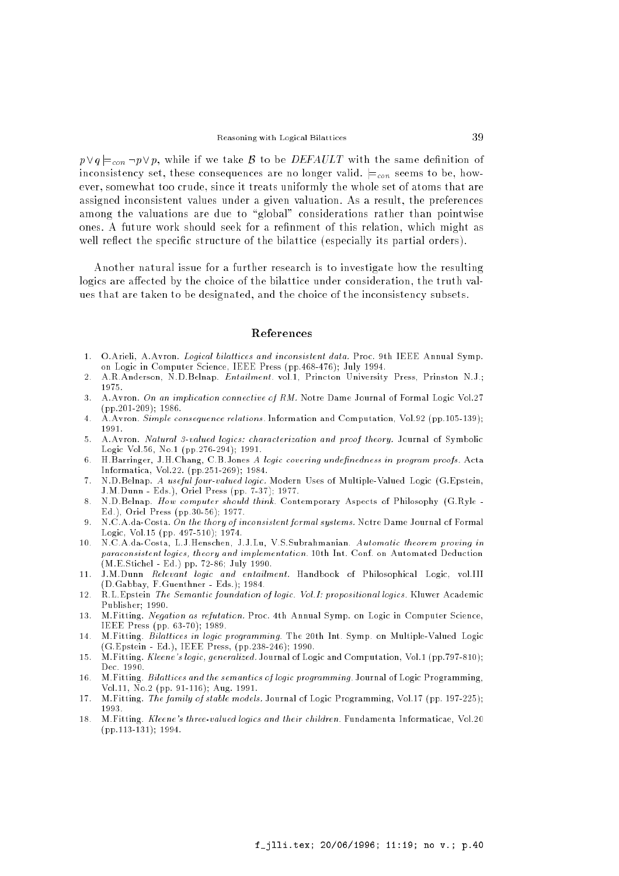$p \vee q \models_{con} \neg p \vee p$ , while if we take B to be *DEFAULT* with the same definition of inconsistency set, these consequences are no longer valid.  $\models_{con}$  seems to be, however, somewhat too crude, since it treats uniformly the whole set of atoms that are assigned inconsistent values under a given valuation. As a result, the preferences among the valuations are due to "global" considerations rather than pointwise ones. A future work should seek for a refinment of this relation, which might as well reflect the specific structure of the bilattice (especially its partial orders).

Another natural issue for a further research is to investigate how the resulting logics are affected by the choice of the bilattice under consideration, the truth values that are taken to be designated, and the choice of the inconsistency subsets.

## References

- 1. O.Arieli, A.Avron. Logical bilattices and inconsistent data. Proc. 9th IEEE Annual Symp. on Logic in Computer Science, IEEE Press (pp.468-476); July 1994.
- $2<sup>1</sup>$ 2. A.R.Anderson, N.D.Belnap. Entailment. vol.1, Princton University Press, Prinston N.J.; 1975.
- 3. A.Avron. On an implication connective of RM. Notre Dame Journal of Formal Logic Vol.27 (pp.201-209); 1986.
- 4. A.Avron. Simple consequence relations. Information and Computation, Vol.92 (pp.105-139); 1991.
- 5. A.Avron. Natural 3-valued logics: characterization and proof theory. Journal of Symbolic Logic Vol.56, No.1 (pp.276-294); 1991.
- H. Barringer, J.H.Chang, C.B.Jones A logic covering undefinedness in program proofs. Acta 6 Informatica, Vol.22. (pp.251-269); 1984.
- 7. N.D.Belnap. A useful four-valued logic. Modern Uses of Multiple-Valued Logic (G.Epstein, J.M.Dunn - Eds.), Oriel Press (pp. 7-37); 1977.
- 8. N.D.Belnap. How computer should think. Contemporary Aspects of Philosophy (G.Ryle 8 Ed.), Oriel Press (pp.30-56); 1977.
- $\mathbf{q}$ 9. N.C.A.da-Costa. On the thory of inconsistent formal systems. Notre Dame Journal of Formal Logic, Vol.15 (pp. 497-510); 1974.
- 10. N.C.A.da-Costa, L.J.Henschen, J.J.Lu, V.S.Subrahmanian. Automatic theorem proving in paraconsistent logics, theory and implementation. 10th Int. Conf. on Automated Deduction (M.E.Stichel - Ed.) pp. 72-86; July 1990.
- 11. J.M.Dunn Relevant logic and entailment. Handbook of Philosophical Logic, vol.III (D.Gabbay, F.Guenthner - Eds.); 1984.
- $12.$ 12. R.L.Epstein The Semantic foundation of logic. Vol.I: propositional logics. Kluwer Academic Publisher; 1990.
- 13. M.Fitting. Negation as refutation. Proc. 4th Annual Symp. on Logic in Computer Science, IEEE Press (pp. 63-70); 1989.
- 14. M.Fitting. Bilattices in logic programming. The 20th Int. Symp. on Multiple-Valued Logic  $14.$ (G.Epstein - Ed.), IEEE Press, (pp.238-246); 1990.
- 15. M.Fitting. Kleene's logic, generalized. Journal of Logic and Computation, Vol.1 (pp.797-810);
- 16. M.Fitting. Bilattices and the semantics of logic programming. Journal of Logic Programming,  $16.$ Vol.11, No.2 (pp. 91-116); Aug. 1991.
- 17. M.Fitting. The family of stable models. Journal of Logic Programming, Vol.17 (pp. 197-225); 1993.
- 18. M.Fitting. Kleene's three-valued logics and their children. Fundamenta Informaticae, Vol.20 (pp.113-131); 1994.